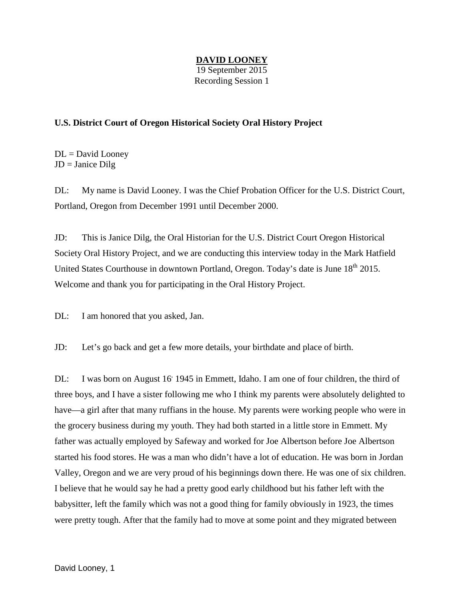# **DAVID LOONEY**

19 September 2015 Recording Session 1

# **U.S. District Court of Oregon Historical Society Oral History Project**

 $DL = David Looney$  $JD =$  Janice Dilg

DL: My name is David Looney. I was the Chief Probation Officer for the U.S. District Court, Portland, Oregon from December 1991 until December 2000.

JD: This is Janice Dilg, the Oral Historian for the U.S. District Court Oregon Historical Society Oral History Project, and we are conducting this interview today in the Mark Hatfield United States Courthouse in downtown Portland, Oregon. Today's date is June 18<sup>th</sup> 2015. Welcome and thank you for participating in the Oral History Project.

DL: I am honored that you asked, Jan.

JD: Let's go back and get a few more details, your birthdate and place of birth.

DL: I was born on August 16' 1945 in Emmett, Idaho. I am one of four children, the third of three boys, and I have a sister following me who I think my parents were absolutely delighted to have—a girl after that many ruffians in the house. My parents were working people who were in the grocery business during my youth. They had both started in a little store in Emmett. My father was actually employed by Safeway and worked for Joe Albertson before Joe Albertson started his food stores. He was a man who didn't have a lot of education. He was born in Jordan Valley, Oregon and we are very proud of his beginnings down there. He was one of six children. I believe that he would say he had a pretty good early childhood but his father left with the babysitter, left the family which was not a good thing for family obviously in 1923, the times were pretty tough. After that the family had to move at some point and they migrated between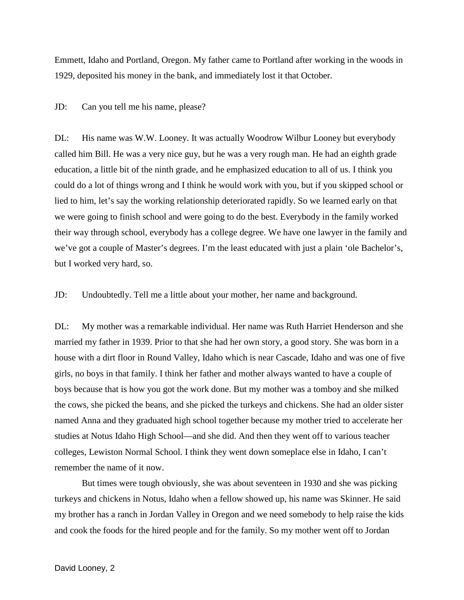Emmett, Idaho and Portland, Oregon. My father came to Portland after working in the woods in 1929, deposited his money in the bank, and immediately lost it that October.

#### JD: Can you tell me his name, please?

DL: His name was W.W. Looney. It was actually Woodrow Wilbur Looney but everybody called him Bill. He was a very nice guy, but he was a very rough man. He had an eighth grade education, a little bit of the ninth grade, and he emphasized education to all of us. I think you could do a lot of things wrong and I think he would work with you, but if you skipped school or lied to him, let's say the working relationship deteriorated rapidly. So we learned early on that we were going to finish school and were going to do the best. Everybody in the family worked their way through school, everybody has a college degree. We have one lawyer in the family and we've got a couple of Master's degrees. I'm the least educated with just a plain 'ole Bachelor's, but I worked very hard, so.

JD: Undoubtedly. Tell me a little about your mother, her name and background.

DL: My mother was a remarkable individual. Her name was Ruth Harriet Henderson and she married my father in 1939. Prior to that she had her own story, a good story. She was born in a house with a dirt floor in Round Valley, Idaho which is near Cascade, Idaho and was one of five girls, no boys in that family. I think her father and mother always wanted to have a couple of boys because that is how you got the work done. But my mother was a tomboy and she milked the cows, she picked the beans, and she picked the turkeys and chickens. She had an older sister named Anna and they graduated high school together because my mother tried to accelerate her studies at Notus Idaho High School—and she did. And then they went off to various teacher colleges, Lewiston Normal School. I think they went down someplace else in Idaho, I can't remember the name of it now.

But times were tough obviously, she was about seventeen in 1930 and she was picking turkeys and chickens in Notus, Idaho when a fellow showed up, his name was Skinner. He said my brother has a ranch in Jordan Valley in Oregon and we need somebody to help raise the kids and cook the foods for the hired people and for the family. So my mother went off to Jordan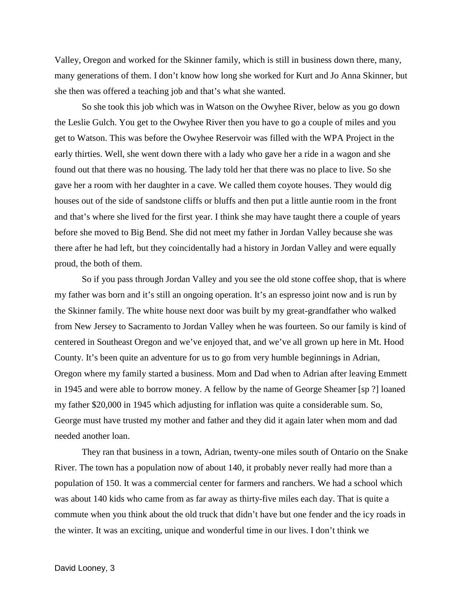Valley, Oregon and worked for the Skinner family, which is still in business down there, many, many generations of them. I don't know how long she worked for Kurt and Jo Anna Skinner, but she then was offered a teaching job and that's what she wanted.

So she took this job which was in Watson on the Owyhee River, below as you go down the Leslie Gulch. You get to the Owyhee River then you have to go a couple of miles and you get to Watson. This was before the Owyhee Reservoir was filled with the WPA Project in the early thirties. Well, she went down there with a lady who gave her a ride in a wagon and she found out that there was no housing. The lady told her that there was no place to live. So she gave her a room with her daughter in a cave. We called them coyote houses. They would dig houses out of the side of sandstone cliffs or bluffs and then put a little auntie room in the front and that's where she lived for the first year. I think she may have taught there a couple of years before she moved to Big Bend. She did not meet my father in Jordan Valley because she was there after he had left, but they coincidentally had a history in Jordan Valley and were equally proud, the both of them.

So if you pass through Jordan Valley and you see the old stone coffee shop, that is where my father was born and it's still an ongoing operation. It's an espresso joint now and is run by the Skinner family. The white house next door was built by my great-grandfather who walked from New Jersey to Sacramento to Jordan Valley when he was fourteen. So our family is kind of centered in Southeast Oregon and we've enjoyed that, and we've all grown up here in Mt. Hood County. It's been quite an adventure for us to go from very humble beginnings in Adrian, Oregon where my family started a business. Mom and Dad when to Adrian after leaving Emmett in 1945 and were able to borrow money. A fellow by the name of George Sheamer [sp ?] loaned my father \$20,000 in 1945 which adjusting for inflation was quite a considerable sum. So, George must have trusted my mother and father and they did it again later when mom and dad needed another loan.

They ran that business in a town, Adrian, twenty-one miles south of Ontario on the Snake River. The town has a population now of about 140, it probably never really had more than a population of 150. It was a commercial center for farmers and ranchers. We had a school which was about 140 kids who came from as far away as thirty-five miles each day. That is quite a commute when you think about the old truck that didn't have but one fender and the icy roads in the winter. It was an exciting, unique and wonderful time in our lives. I don't think we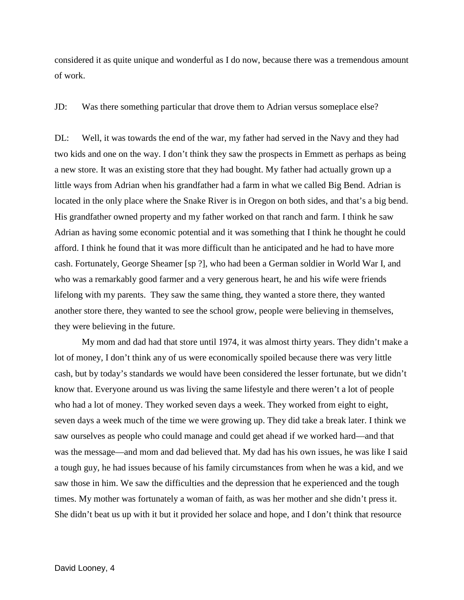considered it as quite unique and wonderful as I do now, because there was a tremendous amount of work.

JD: Was there something particular that drove them to Adrian versus someplace else?

DL: Well, it was towards the end of the war, my father had served in the Navy and they had two kids and one on the way. I don't think they saw the prospects in Emmett as perhaps as being a new store. It was an existing store that they had bought. My father had actually grown up a little ways from Adrian when his grandfather had a farm in what we called Big Bend. Adrian is located in the only place where the Snake River is in Oregon on both sides, and that's a big bend. His grandfather owned property and my father worked on that ranch and farm. I think he saw Adrian as having some economic potential and it was something that I think he thought he could afford. I think he found that it was more difficult than he anticipated and he had to have more cash. Fortunately, George Sheamer [sp ?], who had been a German soldier in World War I, and who was a remarkably good farmer and a very generous heart, he and his wife were friends lifelong with my parents. They saw the same thing, they wanted a store there, they wanted another store there, they wanted to see the school grow, people were believing in themselves, they were believing in the future.

My mom and dad had that store until 1974, it was almost thirty years. They didn't make a lot of money, I don't think any of us were economically spoiled because there was very little cash, but by today's standards we would have been considered the lesser fortunate, but we didn't know that. Everyone around us was living the same lifestyle and there weren't a lot of people who had a lot of money. They worked seven days a week. They worked from eight to eight, seven days a week much of the time we were growing up. They did take a break later. I think we saw ourselves as people who could manage and could get ahead if we worked hard—and that was the message—and mom and dad believed that. My dad has his own issues, he was like I said a tough guy, he had issues because of his family circumstances from when he was a kid, and we saw those in him. We saw the difficulties and the depression that he experienced and the tough times. My mother was fortunately a woman of faith, as was her mother and she didn't press it. She didn't beat us up with it but it provided her solace and hope, and I don't think that resource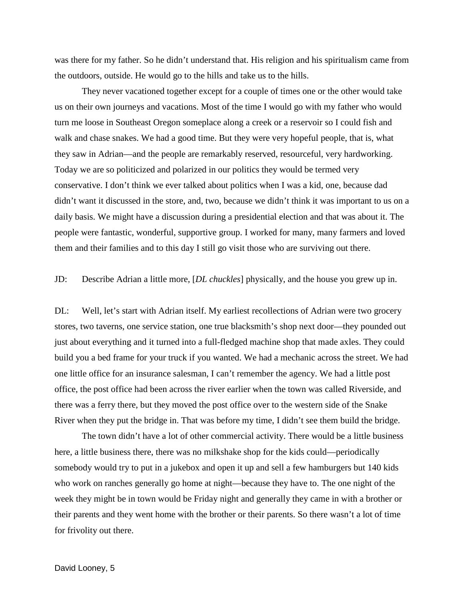was there for my father. So he didn't understand that. His religion and his spiritualism came from the outdoors, outside. He would go to the hills and take us to the hills.

They never vacationed together except for a couple of times one or the other would take us on their own journeys and vacations. Most of the time I would go with my father who would turn me loose in Southeast Oregon someplace along a creek or a reservoir so I could fish and walk and chase snakes. We had a good time. But they were very hopeful people, that is, what they saw in Adrian—and the people are remarkably reserved, resourceful, very hardworking. Today we are so politicized and polarized in our politics they would be termed very conservative. I don't think we ever talked about politics when I was a kid, one, because dad didn't want it discussed in the store, and, two, because we didn't think it was important to us on a daily basis. We might have a discussion during a presidential election and that was about it. The people were fantastic, wonderful, supportive group. I worked for many, many farmers and loved them and their families and to this day I still go visit those who are surviving out there.

JD: Describe Adrian a little more, [*DL chuckles*] physically, and the house you grew up in.

DL: Well, let's start with Adrian itself. My earliest recollections of Adrian were two grocery stores, two taverns, one service station, one true blacksmith's shop next door—they pounded out just about everything and it turned into a full-fledged machine shop that made axles. They could build you a bed frame for your truck if you wanted. We had a mechanic across the street. We had one little office for an insurance salesman, I can't remember the agency. We had a little post office, the post office had been across the river earlier when the town was called Riverside, and there was a ferry there, but they moved the post office over to the western side of the Snake River when they put the bridge in. That was before my time, I didn't see them build the bridge.

The town didn't have a lot of other commercial activity. There would be a little business here, a little business there, there was no milkshake shop for the kids could—periodically somebody would try to put in a jukebox and open it up and sell a few hamburgers but 140 kids who work on ranches generally go home at night—because they have to. The one night of the week they might be in town would be Friday night and generally they came in with a brother or their parents and they went home with the brother or their parents. So there wasn't a lot of time for frivolity out there.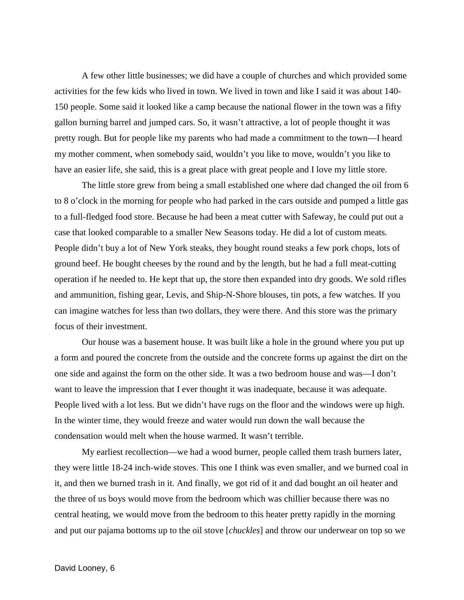A few other little businesses; we did have a couple of churches and which provided some activities for the few kids who lived in town. We lived in town and like I said it was about 140- 150 people. Some said it looked like a camp because the national flower in the town was a fifty gallon burning barrel and jumped cars. So, it wasn't attractive, a lot of people thought it was pretty rough. But for people like my parents who had made a commitment to the town—I heard my mother comment, when somebody said, wouldn't you like to move, wouldn't you like to have an easier life, she said, this is a great place with great people and I love my little store.

The little store grew from being a small established one where dad changed the oil from 6 to 8 o'clock in the morning for people who had parked in the cars outside and pumped a little gas to a full-fledged food store. Because he had been a meat cutter with Safeway, he could put out a case that looked comparable to a smaller New Seasons today. He did a lot of custom meats. People didn't buy a lot of New York steaks, they bought round steaks a few pork chops, lots of ground beef. He bought cheeses by the round and by the length, but he had a full meat-cutting operation if he needed to. He kept that up, the store then expanded into dry goods. We sold rifles and ammunition, fishing gear, Levis, and Ship-N-Shore blouses, tin pots, a few watches. If you can imagine watches for less than two dollars, they were there. And this store was the primary focus of their investment.

Our house was a basement house. It was built like a hole in the ground where you put up a form and poured the concrete from the outside and the concrete forms up against the dirt on the one side and against the form on the other side. It was a two bedroom house and was—I don't want to leave the impression that I ever thought it was inadequate, because it was adequate. People lived with a lot less. But we didn't have rugs on the floor and the windows were up high. In the winter time, they would freeze and water would run down the wall because the condensation would melt when the house warmed. It wasn't terrible.

My earliest recollection—we had a wood burner, people called them trash burners later, they were little 18-24 inch-wide stoves. This one I think was even smaller, and we burned coal in it, and then we burned trash in it. And finally, we got rid of it and dad bought an oil heater and the three of us boys would move from the bedroom which was chillier because there was no central heating, we would move from the bedroom to this heater pretty rapidly in the morning and put our pajama bottoms up to the oil stove [*chuckles*] and throw our underwear on top so we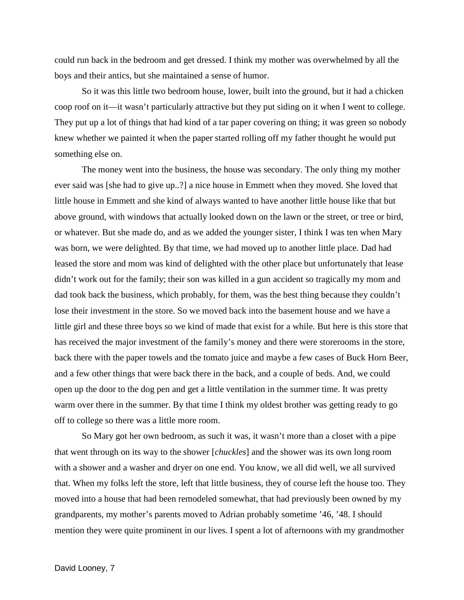could run back in the bedroom and get dressed. I think my mother was overwhelmed by all the boys and their antics, but she maintained a sense of humor.

So it was this little two bedroom house, lower, built into the ground, but it had a chicken coop roof on it—it wasn't particularly attractive but they put siding on it when I went to college. They put up a lot of things that had kind of a tar paper covering on thing; it was green so nobody knew whether we painted it when the paper started rolling off my father thought he would put something else on.

The money went into the business, the house was secondary. The only thing my mother ever said was [she had to give up..?] a nice house in Emmett when they moved. She loved that little house in Emmett and she kind of always wanted to have another little house like that but above ground, with windows that actually looked down on the lawn or the street, or tree or bird, or whatever. But she made do, and as we added the younger sister, I think I was ten when Mary was born, we were delighted. By that time, we had moved up to another little place. Dad had leased the store and mom was kind of delighted with the other place but unfortunately that lease didn't work out for the family; their son was killed in a gun accident so tragically my mom and dad took back the business, which probably, for them, was the best thing because they couldn't lose their investment in the store. So we moved back into the basement house and we have a little girl and these three boys so we kind of made that exist for a while. But here is this store that has received the major investment of the family's money and there were storerooms in the store, back there with the paper towels and the tomato juice and maybe a few cases of Buck Horn Beer, and a few other things that were back there in the back, and a couple of beds. And, we could open up the door to the dog pen and get a little ventilation in the summer time. It was pretty warm over there in the summer. By that time I think my oldest brother was getting ready to go off to college so there was a little more room.

So Mary got her own bedroom, as such it was, it wasn't more than a closet with a pipe that went through on its way to the shower [*chuckles*] and the shower was its own long room with a shower and a washer and dryer on one end. You know, we all did well, we all survived that. When my folks left the store, left that little business, they of course left the house too. They moved into a house that had been remodeled somewhat, that had previously been owned by my grandparents, my mother's parents moved to Adrian probably sometime '46, '48. I should mention they were quite prominent in our lives. I spent a lot of afternoons with my grandmother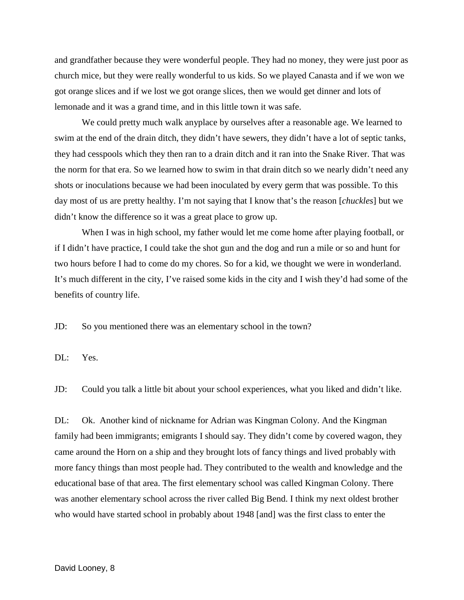and grandfather because they were wonderful people. They had no money, they were just poor as church mice, but they were really wonderful to us kids. So we played Canasta and if we won we got orange slices and if we lost we got orange slices, then we would get dinner and lots of lemonade and it was a grand time, and in this little town it was safe.

We could pretty much walk anyplace by ourselves after a reasonable age. We learned to swim at the end of the drain ditch, they didn't have sewers, they didn't have a lot of septic tanks, they had cesspools which they then ran to a drain ditch and it ran into the Snake River. That was the norm for that era. So we learned how to swim in that drain ditch so we nearly didn't need any shots or inoculations because we had been inoculated by every germ that was possible. To this day most of us are pretty healthy. I'm not saying that I know that's the reason [*chuckles*] but we didn't know the difference so it was a great place to grow up.

When I was in high school, my father would let me come home after playing football, or if I didn't have practice, I could take the shot gun and the dog and run a mile or so and hunt for two hours before I had to come do my chores. So for a kid, we thought we were in wonderland. It's much different in the city, I've raised some kids in the city and I wish they'd had some of the benefits of country life.

JD: So you mentioned there was an elementary school in the town?

DL: Yes.

JD: Could you talk a little bit about your school experiences, what you liked and didn't like.

DL: Ok. Another kind of nickname for Adrian was Kingman Colony. And the Kingman family had been immigrants; emigrants I should say. They didn't come by covered wagon, they came around the Horn on a ship and they brought lots of fancy things and lived probably with more fancy things than most people had. They contributed to the wealth and knowledge and the educational base of that area. The first elementary school was called Kingman Colony. There was another elementary school across the river called Big Bend. I think my next oldest brother who would have started school in probably about 1948 [and] was the first class to enter the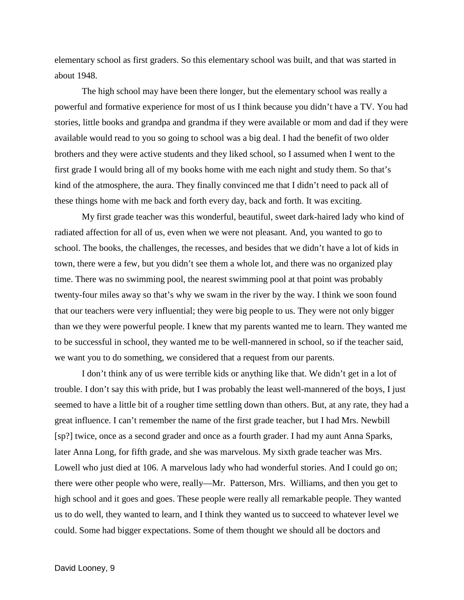elementary school as first graders. So this elementary school was built, and that was started in about 1948.

The high school may have been there longer, but the elementary school was really a powerful and formative experience for most of us I think because you didn't have a TV. You had stories, little books and grandpa and grandma if they were available or mom and dad if they were available would read to you so going to school was a big deal. I had the benefit of two older brothers and they were active students and they liked school, so I assumed when I went to the first grade I would bring all of my books home with me each night and study them. So that's kind of the atmosphere, the aura. They finally convinced me that I didn't need to pack all of these things home with me back and forth every day, back and forth. It was exciting.

My first grade teacher was this wonderful, beautiful, sweet dark-haired lady who kind of radiated affection for all of us, even when we were not pleasant. And, you wanted to go to school. The books, the challenges, the recesses, and besides that we didn't have a lot of kids in town, there were a few, but you didn't see them a whole lot, and there was no organized play time. There was no swimming pool, the nearest swimming pool at that point was probably twenty-four miles away so that's why we swam in the river by the way. I think we soon found that our teachers were very influential; they were big people to us. They were not only bigger than we they were powerful people. I knew that my parents wanted me to learn. They wanted me to be successful in school, they wanted me to be well-mannered in school, so if the teacher said, we want you to do something, we considered that a request from our parents.

I don't think any of us were terrible kids or anything like that. We didn't get in a lot of trouble. I don't say this with pride, but I was probably the least well-mannered of the boys, I just seemed to have a little bit of a rougher time settling down than others. But, at any rate, they had a great influence. I can't remember the name of the first grade teacher, but I had Mrs. Newbill [sp?] twice, once as a second grader and once as a fourth grader. I had my aunt Anna Sparks, later Anna Long, for fifth grade, and she was marvelous. My sixth grade teacher was Mrs. Lowell who just died at 106. A marvelous lady who had wonderful stories. And I could go on; there were other people who were, really—Mr. Patterson, Mrs. Williams, and then you get to high school and it goes and goes. These people were really all remarkable people. They wanted us to do well, they wanted to learn, and I think they wanted us to succeed to whatever level we could. Some had bigger expectations. Some of them thought we should all be doctors and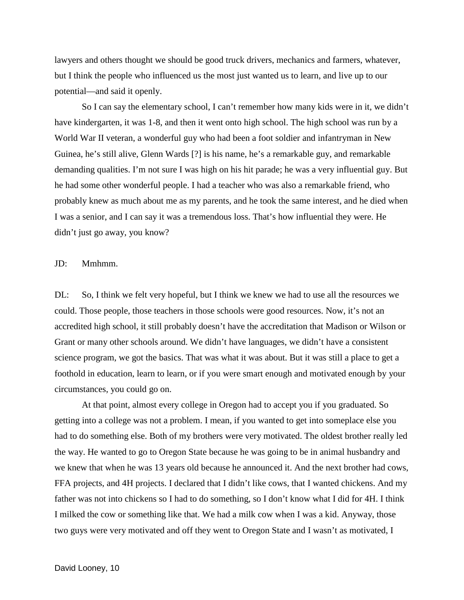lawyers and others thought we should be good truck drivers, mechanics and farmers, whatever, but I think the people who influenced us the most just wanted us to learn, and live up to our potential—and said it openly.

So I can say the elementary school, I can't remember how many kids were in it, we didn't have kindergarten, it was 1-8, and then it went onto high school. The high school was run by a World War II veteran, a wonderful guy who had been a foot soldier and infantryman in New Guinea, he's still alive, Glenn Wards [?] is his name, he's a remarkable guy, and remarkable demanding qualities. I'm not sure I was high on his hit parade; he was a very influential guy. But he had some other wonderful people. I had a teacher who was also a remarkable friend, who probably knew as much about me as my parents, and he took the same interest, and he died when I was a senior, and I can say it was a tremendous loss. That's how influential they were. He didn't just go away, you know?

# JD: Mmhmm.

DL: So, I think we felt very hopeful, but I think we knew we had to use all the resources we could. Those people, those teachers in those schools were good resources. Now, it's not an accredited high school, it still probably doesn't have the accreditation that Madison or Wilson or Grant or many other schools around. We didn't have languages, we didn't have a consistent science program, we got the basics. That was what it was about. But it was still a place to get a foothold in education, learn to learn, or if you were smart enough and motivated enough by your circumstances, you could go on.

At that point, almost every college in Oregon had to accept you if you graduated. So getting into a college was not a problem. I mean, if you wanted to get into someplace else you had to do something else. Both of my brothers were very motivated. The oldest brother really led the way. He wanted to go to Oregon State because he was going to be in animal husbandry and we knew that when he was 13 years old because he announced it. And the next brother had cows, FFA projects, and 4H projects. I declared that I didn't like cows, that I wanted chickens. And my father was not into chickens so I had to do something, so I don't know what I did for 4H. I think I milked the cow or something like that. We had a milk cow when I was a kid. Anyway, those two guys were very motivated and off they went to Oregon State and I wasn't as motivated, I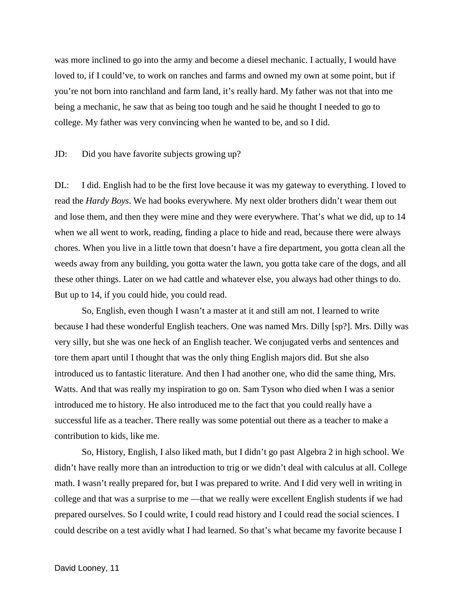was more inclined to go into the army and become a diesel mechanic. I actually, I would have loved to, if I could've, to work on ranches and farms and owned my own at some point, but if you're not born into ranchland and farm land, it's really hard. My father was not that into me being a mechanic, he saw that as being too tough and he said he thought I needed to go to college. My father was very convincing when he wanted to be, and so I did.

JD: Did you have favorite subjects growing up?

DL: I did. English had to be the first love because it was my gateway to everything. I loved to read the *Hardy Boys*. We had books everywhere. My next older brothers didn't wear them out and lose them, and then they were mine and they were everywhere. That's what we did, up to 14 when we all went to work, reading, finding a place to hide and read, because there were always chores. When you live in a little town that doesn't have a fire department, you gotta clean all the weeds away from any building, you gotta water the lawn, you gotta take care of the dogs, and all these other things. Later on we had cattle and whatever else, you always had other things to do. But up to 14, if you could hide, you could read.

So, English, even though I wasn't a master at it and still am not. I learned to write because I had these wonderful English teachers. One was named Mrs. Dilly [sp?]. Mrs. Dilly was very silly, but she was one heck of an English teacher. We conjugated verbs and sentences and tore them apart until I thought that was the only thing English majors did. But she also introduced us to fantastic literature. And then I had another one, who did the same thing, Mrs. Watts. And that was really my inspiration to go on. Sam Tyson who died when I was a senior introduced me to history. He also introduced me to the fact that you could really have a successful life as a teacher. There really was some potential out there as a teacher to make a contribution to kids, like me.

So, History, English, I also liked math, but I didn't go past Algebra 2 in high school. We didn't have really more than an introduction to trig or we didn't deal with calculus at all. College math. I wasn't really prepared for, but I was prepared to write. And I did very well in writing in college and that was a surprise to me —that we really were excellent English students if we had prepared ourselves. So I could write, I could read history and I could read the social sciences. I could describe on a test avidly what I had learned. So that's what became my favorite because I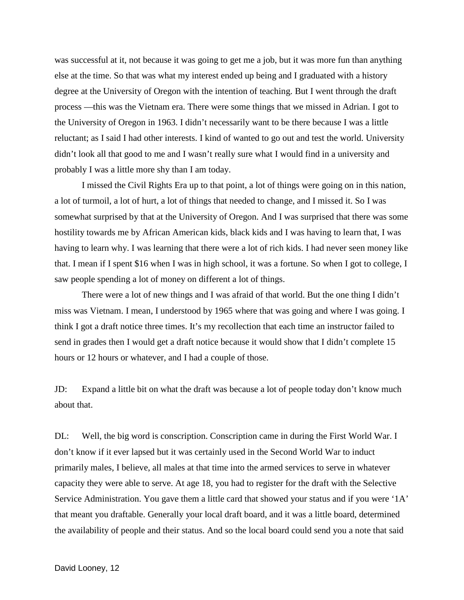was successful at it, not because it was going to get me a job, but it was more fun than anything else at the time. So that was what my interest ended up being and I graduated with a history degree at the University of Oregon with the intention of teaching. But I went through the draft process —this was the Vietnam era. There were some things that we missed in Adrian. I got to the University of Oregon in 1963. I didn't necessarily want to be there because I was a little reluctant; as I said I had other interests. I kind of wanted to go out and test the world. University didn't look all that good to me and I wasn't really sure what I would find in a university and probably I was a little more shy than I am today.

I missed the Civil Rights Era up to that point, a lot of things were going on in this nation, a lot of turmoil, a lot of hurt, a lot of things that needed to change, and I missed it. So I was somewhat surprised by that at the University of Oregon. And I was surprised that there was some hostility towards me by African American kids, black kids and I was having to learn that, I was having to learn why. I was learning that there were a lot of rich kids. I had never seen money like that. I mean if I spent \$16 when I was in high school, it was a fortune. So when I got to college, I saw people spending a lot of money on different a lot of things.

There were a lot of new things and I was afraid of that world. But the one thing I didn't miss was Vietnam. I mean, I understood by 1965 where that was going and where I was going. I think I got a draft notice three times. It's my recollection that each time an instructor failed to send in grades then I would get a draft notice because it would show that I didn't complete 15 hours or 12 hours or whatever, and I had a couple of those.

JD: Expand a little bit on what the draft was because a lot of people today don't know much about that.

DL: Well, the big word is conscription. Conscription came in during the First World War. I don't know if it ever lapsed but it was certainly used in the Second World War to induct primarily males, I believe, all males at that time into the armed services to serve in whatever capacity they were able to serve. At age 18, you had to register for the draft with the Selective Service Administration. You gave them a little card that showed your status and if you were '1A' that meant you draftable. Generally your local draft board, and it was a little board, determined the availability of people and their status. And so the local board could send you a note that said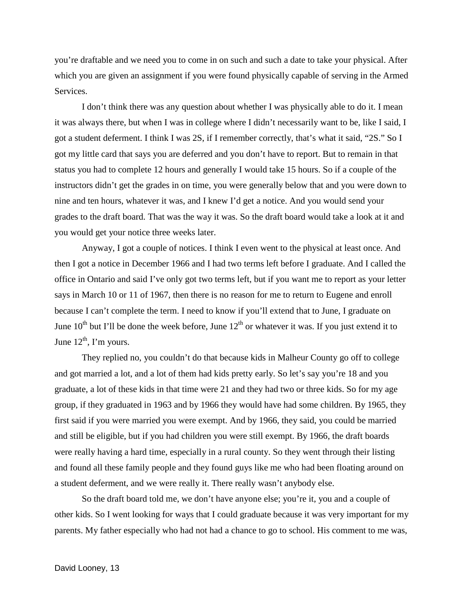you're draftable and we need you to come in on such and such a date to take your physical. After which you are given an assignment if you were found physically capable of serving in the Armed Services.

I don't think there was any question about whether I was physically able to do it. I mean it was always there, but when I was in college where I didn't necessarily want to be, like I said, I got a student deferment. I think I was 2S, if I remember correctly, that's what it said, "2S." So I got my little card that says you are deferred and you don't have to report. But to remain in that status you had to complete 12 hours and generally I would take 15 hours. So if a couple of the instructors didn't get the grades in on time, you were generally below that and you were down to nine and ten hours, whatever it was, and I knew I'd get a notice. And you would send your grades to the draft board. That was the way it was. So the draft board would take a look at it and you would get your notice three weeks later.

Anyway, I got a couple of notices. I think I even went to the physical at least once. And then I got a notice in December 1966 and I had two terms left before I graduate. And I called the office in Ontario and said I've only got two terms left, but if you want me to report as your letter says in March 10 or 11 of 1967, then there is no reason for me to return to Eugene and enroll because I can't complete the term. I need to know if you'll extend that to June, I graduate on June  $10^{th}$  but I'll be done the week before, June  $12^{th}$  or whatever it was. If you just extend it to June  $12^{th}$ , I'm yours.

They replied no, you couldn't do that because kids in Malheur County go off to college and got married a lot, and a lot of them had kids pretty early. So let's say you're 18 and you graduate, a lot of these kids in that time were 21 and they had two or three kids. So for my age group, if they graduated in 1963 and by 1966 they would have had some children. By 1965, they first said if you were married you were exempt. And by 1966, they said, you could be married and still be eligible, but if you had children you were still exempt. By 1966, the draft boards were really having a hard time, especially in a rural county. So they went through their listing and found all these family people and they found guys like me who had been floating around on a student deferment, and we were really it. There really wasn't anybody else.

So the draft board told me, we don't have anyone else; you're it, you and a couple of other kids. So I went looking for ways that I could graduate because it was very important for my parents. My father especially who had not had a chance to go to school. His comment to me was,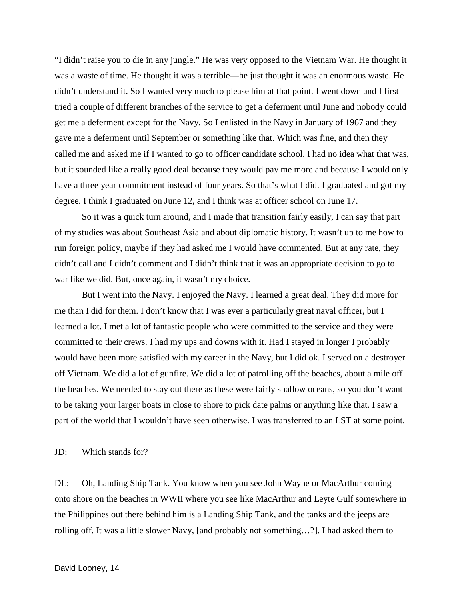"I didn't raise you to die in any jungle." He was very opposed to the Vietnam War. He thought it was a waste of time. He thought it was a terrible—he just thought it was an enormous waste. He didn't understand it. So I wanted very much to please him at that point. I went down and I first tried a couple of different branches of the service to get a deferment until June and nobody could get me a deferment except for the Navy. So I enlisted in the Navy in January of 1967 and they gave me a deferment until September or something like that. Which was fine, and then they called me and asked me if I wanted to go to officer candidate school. I had no idea what that was, but it sounded like a really good deal because they would pay me more and because I would only have a three year commitment instead of four years. So that's what I did. I graduated and got my degree. I think I graduated on June 12, and I think was at officer school on June 17.

So it was a quick turn around, and I made that transition fairly easily, I can say that part of my studies was about Southeast Asia and about diplomatic history. It wasn't up to me how to run foreign policy, maybe if they had asked me I would have commented. But at any rate, they didn't call and I didn't comment and I didn't think that it was an appropriate decision to go to war like we did. But, once again, it wasn't my choice.

But I went into the Navy. I enjoyed the Navy. I learned a great deal. They did more for me than I did for them. I don't know that I was ever a particularly great naval officer, but I learned a lot. I met a lot of fantastic people who were committed to the service and they were committed to their crews. I had my ups and downs with it. Had I stayed in longer I probably would have been more satisfied with my career in the Navy, but I did ok. I served on a destroyer off Vietnam. We did a lot of gunfire. We did a lot of patrolling off the beaches, about a mile off the beaches. We needed to stay out there as these were fairly shallow oceans, so you don't want to be taking your larger boats in close to shore to pick date palms or anything like that. I saw a part of the world that I wouldn't have seen otherwise. I was transferred to an LST at some point.

## JD: Which stands for?

DL: Oh, Landing Ship Tank. You know when you see John Wayne or MacArthur coming onto shore on the beaches in WWII where you see like MacArthur and Leyte Gulf somewhere in the Philippines out there behind him is a Landing Ship Tank, and the tanks and the jeeps are rolling off. It was a little slower Navy, [and probably not something…?]. I had asked them to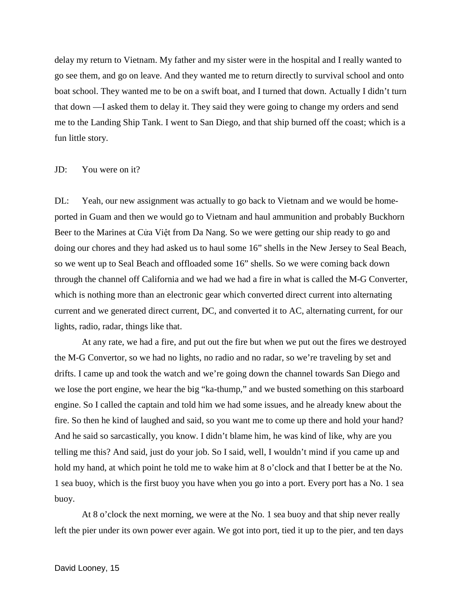delay my return to Vietnam. My father and my sister were in the hospital and I really wanted to go see them, and go on leave. And they wanted me to return directly to survival school and onto boat school. They wanted me to be on a swift boat, and I turned that down. Actually I didn't turn that down —I asked them to delay it. They said they were going to change my orders and send me to the Landing Ship Tank. I went to San Diego, and that ship burned off the coast; which is a fun little story.

#### JD: You were on it?

DL: Yeah, our new assignment was actually to go back to Vietnam and we would be homeported in Guam and then we would go to Vietnam and haul ammunition and probably Buckhorn Beer to the Marines at Cửa Việt from Da Nang. So we were getting our ship ready to go and doing our chores and they had asked us to haul some 16" shells in the New Jersey to Seal Beach, so we went up to Seal Beach and offloaded some 16" shells. So we were coming back down through the channel off California and we had we had a fire in what is called the M-G Converter, which is nothing more than an electronic gear which converted direct current into alternating current and we generated direct current, DC, and converted it to AC, alternating current, for our lights, radio, radar, things like that.

At any rate, we had a fire, and put out the fire but when we put out the fires we destroyed the M-G Convertor, so we had no lights, no radio and no radar, so we're traveling by set and drifts. I came up and took the watch and we're going down the channel towards San Diego and we lose the port engine, we hear the big "ka-thump," and we busted something on this starboard engine. So I called the captain and told him we had some issues, and he already knew about the fire. So then he kind of laughed and said, so you want me to come up there and hold your hand? And he said so sarcastically, you know. I didn't blame him, he was kind of like, why are you telling me this? And said, just do your job. So I said, well, I wouldn't mind if you came up and hold my hand, at which point he told me to wake him at 8 o'clock and that I better be at the No. 1 sea buoy, which is the first buoy you have when you go into a port. Every port has a No. 1 sea buoy.

At 8 o'clock the next morning, we were at the No. 1 sea buoy and that ship never really left the pier under its own power ever again. We got into port, tied it up to the pier, and ten days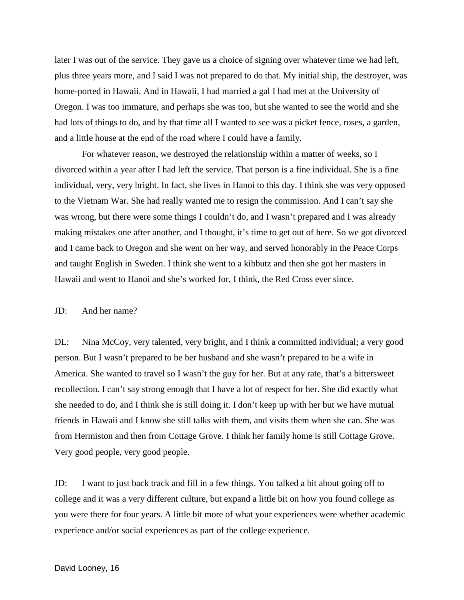later I was out of the service. They gave us a choice of signing over whatever time we had left, plus three years more, and I said I was not prepared to do that. My initial ship, the destroyer, was home-ported in Hawaii. And in Hawaii, I had married a gal I had met at the University of Oregon. I was too immature, and perhaps she was too, but she wanted to see the world and she had lots of things to do, and by that time all I wanted to see was a picket fence, roses, a garden, and a little house at the end of the road where I could have a family.

For whatever reason, we destroyed the relationship within a matter of weeks, so I divorced within a year after I had left the service. That person is a fine individual. She is a fine individual, very, very bright. In fact, she lives in Hanoi to this day. I think she was very opposed to the Vietnam War. She had really wanted me to resign the commission. And I can't say she was wrong, but there were some things I couldn't do, and I wasn't prepared and I was already making mistakes one after another, and I thought, it's time to get out of here. So we got divorced and I came back to Oregon and she went on her way, and served honorably in the Peace Corps and taught English in Sweden. I think she went to a kibbutz and then she got her masters in Hawaii and went to Hanoi and she's worked for, I think, the Red Cross ever since.

## JD: And her name?

DL: Nina McCoy, very talented, very bright, and I think a committed individual; a very good person. But I wasn't prepared to be her husband and she wasn't prepared to be a wife in America. She wanted to travel so I wasn't the guy for her. But at any rate, that's a bittersweet recollection. I can't say strong enough that I have a lot of respect for her. She did exactly what she needed to do, and I think she is still doing it. I don't keep up with her but we have mutual friends in Hawaii and I know she still talks with them, and visits them when she can. She was from Hermiston and then from Cottage Grove. I think her family home is still Cottage Grove. Very good people, very good people.

JD: I want to just back track and fill in a few things. You talked a bit about going off to college and it was a very different culture, but expand a little bit on how you found college as you were there for four years. A little bit more of what your experiences were whether academic experience and/or social experiences as part of the college experience.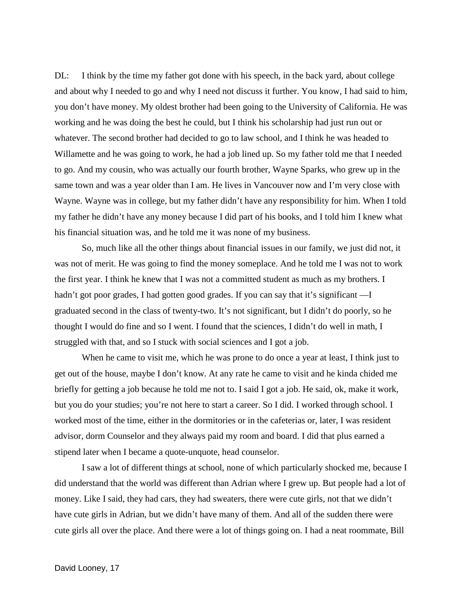DL: I think by the time my father got done with his speech, in the back yard, about college and about why I needed to go and why I need not discuss it further. You know, I had said to him, you don't have money. My oldest brother had been going to the University of California. He was working and he was doing the best he could, but I think his scholarship had just run out or whatever. The second brother had decided to go to law school, and I think he was headed to Willamette and he was going to work, he had a job lined up. So my father told me that I needed to go. And my cousin, who was actually our fourth brother, Wayne Sparks, who grew up in the same town and was a year older than I am. He lives in Vancouver now and I'm very close with Wayne. Wayne was in college, but my father didn't have any responsibility for him. When I told my father he didn't have any money because I did part of his books, and I told him I knew what his financial situation was, and he told me it was none of my business.

So, much like all the other things about financial issues in our family, we just did not, it was not of merit. He was going to find the money someplace. And he told me I was not to work the first year. I think he knew that I was not a committed student as much as my brothers. I hadn't got poor grades, I had gotten good grades. If you can say that it's significant —I graduated second in the class of twenty-two. It's not significant, but I didn't do poorly, so he thought I would do fine and so I went. I found that the sciences, I didn't do well in math, I struggled with that, and so I stuck with social sciences and I got a job.

When he came to visit me, which he was prone to do once a year at least, I think just to get out of the house, maybe I don't know. At any rate he came to visit and he kinda chided me briefly for getting a job because he told me not to. I said I got a job. He said, ok, make it work, but you do your studies; you're not here to start a career. So I did. I worked through school. I worked most of the time, either in the dormitories or in the cafeterias or, later, I was resident advisor, dorm Counselor and they always paid my room and board. I did that plus earned a stipend later when I became a quote-unquote, head counselor.

I saw a lot of different things at school, none of which particularly shocked me, because I did understand that the world was different than Adrian where I grew up. But people had a lot of money. Like I said, they had cars, they had sweaters, there were cute girls, not that we didn't have cute girls in Adrian, but we didn't have many of them. And all of the sudden there were cute girls all over the place. And there were a lot of things going on. I had a neat roommate, Bill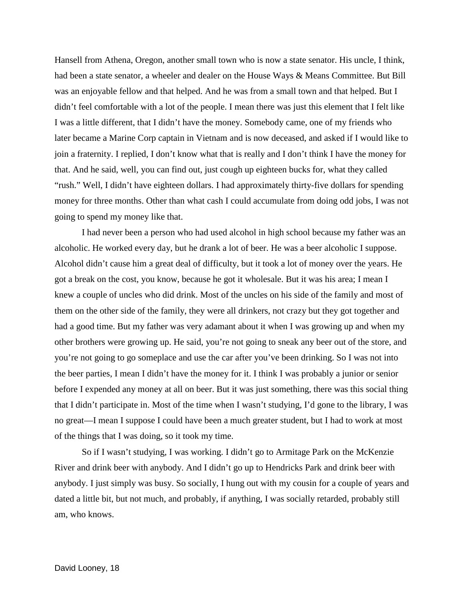Hansell from Athena, Oregon, another small town who is now a state senator. His uncle, I think, had been a state senator, a wheeler and dealer on the House Ways & Means Committee. But Bill was an enjoyable fellow and that helped. And he was from a small town and that helped. But I didn't feel comfortable with a lot of the people. I mean there was just this element that I felt like I was a little different, that I didn't have the money. Somebody came, one of my friends who later became a Marine Corp captain in Vietnam and is now deceased, and asked if I would like to join a fraternity. I replied, I don't know what that is really and I don't think I have the money for that. And he said, well, you can find out, just cough up eighteen bucks for, what they called "rush." Well, I didn't have eighteen dollars. I had approximately thirty-five dollars for spending money for three months. Other than what cash I could accumulate from doing odd jobs, I was not going to spend my money like that.

I had never been a person who had used alcohol in high school because my father was an alcoholic. He worked every day, but he drank a lot of beer. He was a beer alcoholic I suppose. Alcohol didn't cause him a great deal of difficulty, but it took a lot of money over the years. He got a break on the cost, you know, because he got it wholesale. But it was his area; I mean I knew a couple of uncles who did drink. Most of the uncles on his side of the family and most of them on the other side of the family, they were all drinkers, not crazy but they got together and had a good time. But my father was very adamant about it when I was growing up and when my other brothers were growing up. He said, you're not going to sneak any beer out of the store, and you're not going to go someplace and use the car after you've been drinking. So I was not into the beer parties, I mean I didn't have the money for it. I think I was probably a junior or senior before I expended any money at all on beer. But it was just something, there was this social thing that I didn't participate in. Most of the time when I wasn't studying, I'd gone to the library, I was no great—I mean I suppose I could have been a much greater student, but I had to work at most of the things that I was doing, so it took my time.

So if I wasn't studying, I was working. I didn't go to Armitage Park on the McKenzie River and drink beer with anybody. And I didn't go up to Hendricks Park and drink beer with anybody. I just simply was busy. So socially, I hung out with my cousin for a couple of years and dated a little bit, but not much, and probably, if anything, I was socially retarded, probably still am, who knows.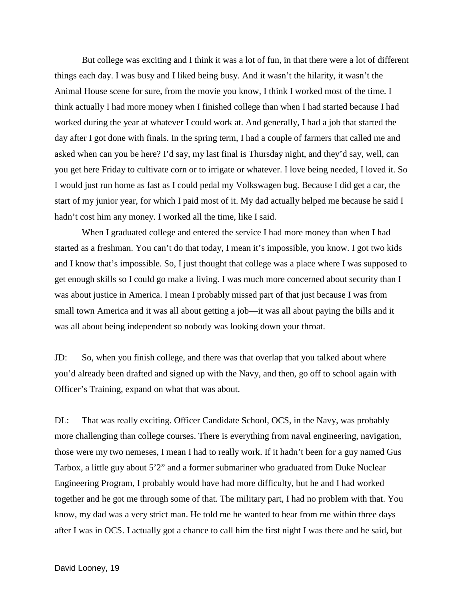But college was exciting and I think it was a lot of fun, in that there were a lot of different things each day. I was busy and I liked being busy. And it wasn't the hilarity, it wasn't the Animal House scene for sure, from the movie you know, I think I worked most of the time. I think actually I had more money when I finished college than when I had started because I had worked during the year at whatever I could work at. And generally, I had a job that started the day after I got done with finals. In the spring term, I had a couple of farmers that called me and asked when can you be here? I'd say, my last final is Thursday night, and they'd say, well, can you get here Friday to cultivate corn or to irrigate or whatever. I love being needed, I loved it. So I would just run home as fast as I could pedal my Volkswagen bug. Because I did get a car, the start of my junior year, for which I paid most of it. My dad actually helped me because he said I hadn't cost him any money. I worked all the time, like I said.

When I graduated college and entered the service I had more money than when I had started as a freshman. You can't do that today, I mean it's impossible, you know. I got two kids and I know that's impossible. So, I just thought that college was a place where I was supposed to get enough skills so I could go make a living. I was much more concerned about security than I was about justice in America. I mean I probably missed part of that just because I was from small town America and it was all about getting a job—it was all about paying the bills and it was all about being independent so nobody was looking down your throat.

JD: So, when you finish college, and there was that overlap that you talked about where you'd already been drafted and signed up with the Navy, and then, go off to school again with Officer's Training, expand on what that was about.

DL: That was really exciting. Officer Candidate School, OCS, in the Navy, was probably more challenging than college courses. There is everything from naval engineering, navigation, those were my two nemeses, I mean I had to really work. If it hadn't been for a guy named Gus Tarbox, a little guy about 5'2" and a former submariner who graduated from Duke Nuclear Engineering Program, I probably would have had more difficulty, but he and I had worked together and he got me through some of that. The military part, I had no problem with that. You know, my dad was a very strict man. He told me he wanted to hear from me within three days after I was in OCS. I actually got a chance to call him the first night I was there and he said, but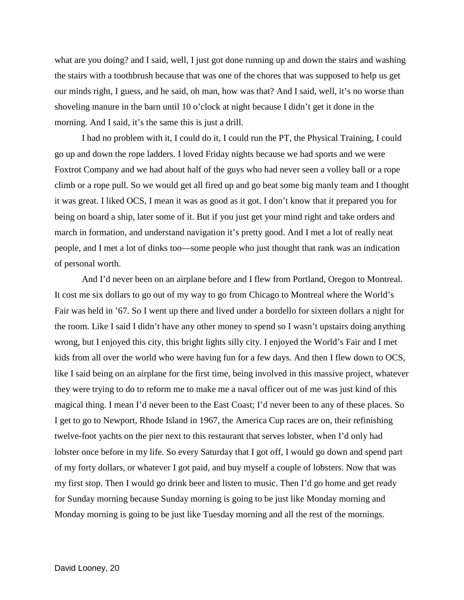what are you doing? and I said, well, I just got done running up and down the stairs and washing the stairs with a toothbrush because that was one of the chores that was supposed to help us get our minds right, I guess, and he said, oh man, how was that? And I said, well, it's no worse than shoveling manure in the barn until 10 o'clock at night because I didn't get it done in the morning. And I said, it's the same this is just a drill.

I had no problem with it, I could do it, I could run the PT, the Physical Training, I could go up and down the rope ladders. I loved Friday nights because we had sports and we were Foxtrot Company and we had about half of the guys who had never seen a volley ball or a rope climb or a rope pull. So we would get all fired up and go beat some big manly team and I thought it was great. I liked OCS, I mean it was as good as it got. I don't know that it prepared you for being on board a ship, later some of it. But if you just get your mind right and take orders and march in formation, and understand navigation it's pretty good. And I met a lot of really neat people, and I met a lot of dinks too—some people who just thought that rank was an indication of personal worth.

And I'd never been on an airplane before and I flew from Portland, Oregon to Montreal. It cost me six dollars to go out of my way to go from Chicago to Montreal where the World's Fair was held in '67. So I went up there and lived under a bordello for sixteen dollars a night for the room. Like I said I didn't have any other money to spend so I wasn't upstairs doing anything wrong, but I enjoyed this city, this bright lights silly city. I enjoyed the World's Fair and I met kids from all over the world who were having fun for a few days. And then I flew down to OCS, like I said being on an airplane for the first time, being involved in this massive project, whatever they were trying to do to reform me to make me a naval officer out of me was just kind of this magical thing. I mean I'd never been to the East Coast; I'd never been to any of these places. So I get to go to Newport, Rhode Island in 1967, the America Cup races are on, their refinishing twelve-foot yachts on the pier next to this restaurant that serves lobster, when I'd only had lobster once before in my life. So every Saturday that I got off, I would go down and spend part of my forty dollars, or whatever I got paid, and buy myself a couple of lobsters. Now that was my first stop. Then I would go drink beer and listen to music. Then I'd go home and get ready for Sunday morning because Sunday morning is going to be just like Monday morning and Monday morning is going to be just like Tuesday morning and all the rest of the mornings.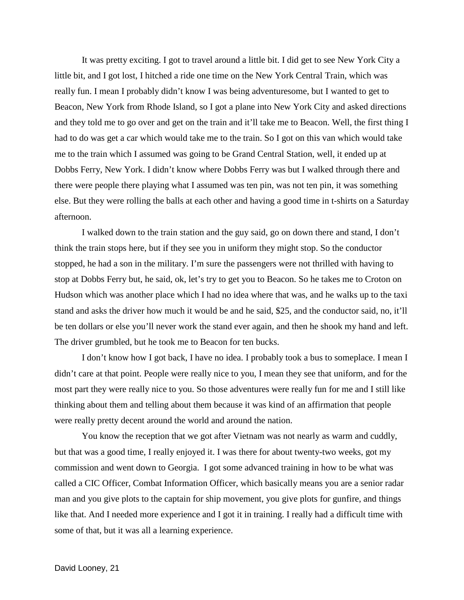It was pretty exciting. I got to travel around a little bit. I did get to see New York City a little bit, and I got lost, I hitched a ride one time on the New York Central Train, which was really fun. I mean I probably didn't know I was being adventuresome, but I wanted to get to Beacon, New York from Rhode Island, so I got a plane into New York City and asked directions and they told me to go over and get on the train and it'll take me to Beacon. Well, the first thing I had to do was get a car which would take me to the train. So I got on this van which would take me to the train which I assumed was going to be Grand Central Station, well, it ended up at Dobbs Ferry, New York. I didn't know where Dobbs Ferry was but I walked through there and there were people there playing what I assumed was ten pin, was not ten pin, it was something else. But they were rolling the balls at each other and having a good time in t-shirts on a Saturday afternoon.

I walked down to the train station and the guy said, go on down there and stand, I don't think the train stops here, but if they see you in uniform they might stop. So the conductor stopped, he had a son in the military. I'm sure the passengers were not thrilled with having to stop at Dobbs Ferry but, he said, ok, let's try to get you to Beacon. So he takes me to Croton on Hudson which was another place which I had no idea where that was, and he walks up to the taxi stand and asks the driver how much it would be and he said, \$25, and the conductor said, no, it'll be ten dollars or else you'll never work the stand ever again, and then he shook my hand and left. The driver grumbled, but he took me to Beacon for ten bucks.

I don't know how I got back, I have no idea. I probably took a bus to someplace. I mean I didn't care at that point. People were really nice to you, I mean they see that uniform, and for the most part they were really nice to you. So those adventures were really fun for me and I still like thinking about them and telling about them because it was kind of an affirmation that people were really pretty decent around the world and around the nation.

You know the reception that we got after Vietnam was not nearly as warm and cuddly, but that was a good time, I really enjoyed it. I was there for about twenty-two weeks, got my commission and went down to Georgia. I got some advanced training in how to be what was called a CIC Officer, Combat Information Officer, which basically means you are a senior radar man and you give plots to the captain for ship movement, you give plots for gunfire, and things like that. And I needed more experience and I got it in training. I really had a difficult time with some of that, but it was all a learning experience.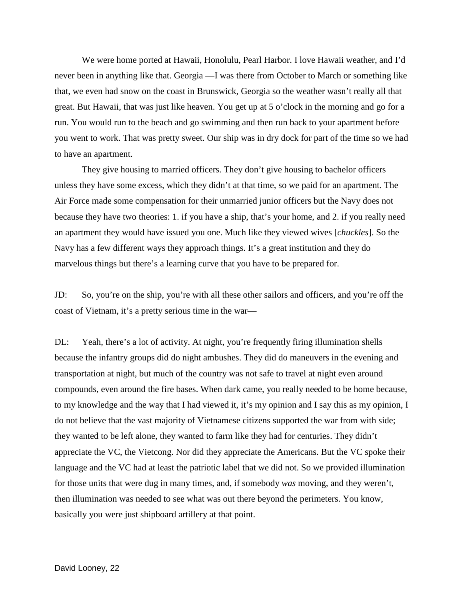We were home ported at Hawaii, Honolulu, Pearl Harbor. I love Hawaii weather, and I'd never been in anything like that. Georgia —I was there from October to March or something like that, we even had snow on the coast in Brunswick, Georgia so the weather wasn't really all that great. But Hawaii, that was just like heaven. You get up at 5 o'clock in the morning and go for a run. You would run to the beach and go swimming and then run back to your apartment before you went to work. That was pretty sweet. Our ship was in dry dock for part of the time so we had to have an apartment.

They give housing to married officers. They don't give housing to bachelor officers unless they have some excess, which they didn't at that time, so we paid for an apartment. The Air Force made some compensation for their unmarried junior officers but the Navy does not because they have two theories: 1. if you have a ship, that's your home, and 2. if you really need an apartment they would have issued you one. Much like they viewed wives [*chuckles*]. So the Navy has a few different ways they approach things. It's a great institution and they do marvelous things but there's a learning curve that you have to be prepared for.

JD: So, you're on the ship, you're with all these other sailors and officers, and you're off the coast of Vietnam, it's a pretty serious time in the war—

DL: Yeah, there's a lot of activity. At night, you're frequently firing illumination shells because the infantry groups did do night ambushes. They did do maneuvers in the evening and transportation at night, but much of the country was not safe to travel at night even around compounds, even around the fire bases. When dark came, you really needed to be home because, to my knowledge and the way that I had viewed it, it's my opinion and I say this as my opinion, I do not believe that the vast majority of Vietnamese citizens supported the war from with side; they wanted to be left alone, they wanted to farm like they had for centuries. They didn't appreciate the VC, the Vietcong. Nor did they appreciate the Americans. But the VC spoke their language and the VC had at least the patriotic label that we did not. So we provided illumination for those units that were dug in many times, and, if somebody *was* moving, and they weren't, then illumination was needed to see what was out there beyond the perimeters. You know, basically you were just shipboard artillery at that point.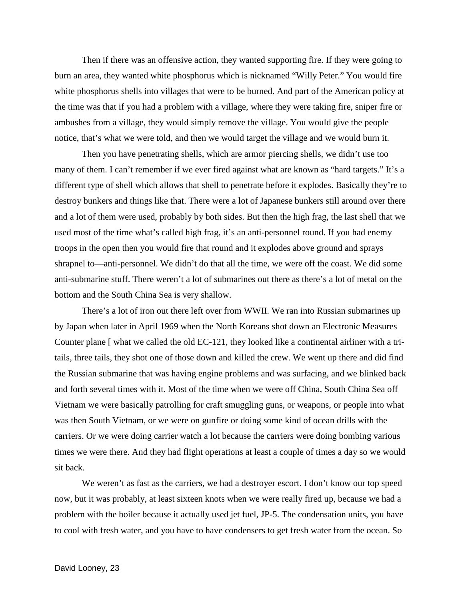Then if there was an offensive action, they wanted supporting fire. If they were going to burn an area, they wanted white phosphorus which is nicknamed "Willy Peter." You would fire white phosphorus shells into villages that were to be burned. And part of the American policy at the time was that if you had a problem with a village, where they were taking fire, sniper fire or ambushes from a village, they would simply remove the village. You would give the people notice, that's what we were told, and then we would target the village and we would burn it.

Then you have penetrating shells, which are armor piercing shells, we didn't use too many of them. I can't remember if we ever fired against what are known as "hard targets." It's a different type of shell which allows that shell to penetrate before it explodes. Basically they're to destroy bunkers and things like that. There were a lot of Japanese bunkers still around over there and a lot of them were used, probably by both sides. But then the high frag, the last shell that we used most of the time what's called high frag, it's an anti-personnel round. If you had enemy troops in the open then you would fire that round and it explodes above ground and sprays shrapnel to—anti-personnel. We didn't do that all the time, we were off the coast. We did some anti-submarine stuff. There weren't a lot of submarines out there as there's a lot of metal on the bottom and the South China Sea is very shallow.

There's a lot of iron out there left over from WWII. We ran into Russian submarines up by Japan when later in April 1969 when the North Koreans shot down an Electronic Measures Counter plane [ what we called the old EC-121, they looked like a continental airliner with a tritails, three tails, they shot one of those down and killed the crew. We went up there and did find the Russian submarine that was having engine problems and was surfacing, and we blinked back and forth several times with it. Most of the time when we were off China, South China Sea off Vietnam we were basically patrolling for craft smuggling guns, or weapons, or people into what was then South Vietnam, or we were on gunfire or doing some kind of ocean drills with the carriers. Or we were doing carrier watch a lot because the carriers were doing bombing various times we were there. And they had flight operations at least a couple of times a day so we would sit back.

We weren't as fast as the carriers, we had a destroyer escort. I don't know our top speed now, but it was probably, at least sixteen knots when we were really fired up, because we had a problem with the boiler because it actually used jet fuel, JP-5. The condensation units, you have to cool with fresh water, and you have to have condensers to get fresh water from the ocean. So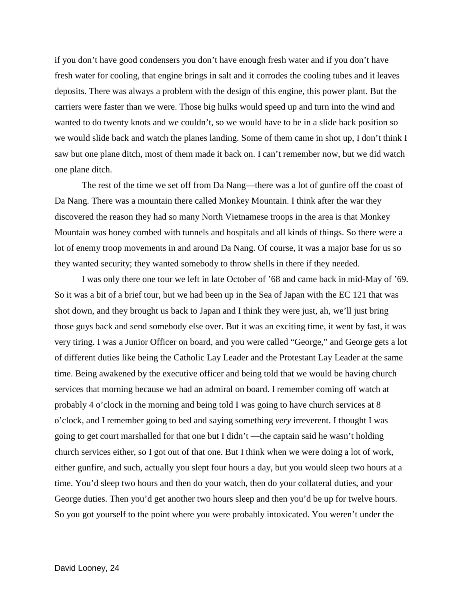if you don't have good condensers you don't have enough fresh water and if you don't have fresh water for cooling, that engine brings in salt and it corrodes the cooling tubes and it leaves deposits. There was always a problem with the design of this engine, this power plant. But the carriers were faster than we were. Those big hulks would speed up and turn into the wind and wanted to do twenty knots and we couldn't, so we would have to be in a slide back position so we would slide back and watch the planes landing. Some of them came in shot up, I don't think I saw but one plane ditch, most of them made it back on. I can't remember now, but we did watch one plane ditch.

The rest of the time we set off from Da Nang—there was a lot of gunfire off the coast of Da Nang. There was a mountain there called Monkey Mountain. I think after the war they discovered the reason they had so many North Vietnamese troops in the area is that Monkey Mountain was honey combed with tunnels and hospitals and all kinds of things. So there were a lot of enemy troop movements in and around Da Nang. Of course, it was a major base for us so they wanted security; they wanted somebody to throw shells in there if they needed.

I was only there one tour we left in late October of '68 and came back in mid-May of '69. So it was a bit of a brief tour, but we had been up in the Sea of Japan with the EC 121 that was shot down, and they brought us back to Japan and I think they were just, ah, we'll just bring those guys back and send somebody else over. But it was an exciting time, it went by fast, it was very tiring. I was a Junior Officer on board, and you were called "George," and George gets a lot of different duties like being the Catholic Lay Leader and the Protestant Lay Leader at the same time. Being awakened by the executive officer and being told that we would be having church services that morning because we had an admiral on board. I remember coming off watch at probably 4 o'clock in the morning and being told I was going to have church services at 8 o'clock, and I remember going to bed and saying something *very* irreverent. I thought I was going to get court marshalled for that one but I didn't —the captain said he wasn't holding church services either, so I got out of that one. But I think when we were doing a lot of work, either gunfire, and such, actually you slept four hours a day, but you would sleep two hours at a time. You'd sleep two hours and then do your watch, then do your collateral duties, and your George duties. Then you'd get another two hours sleep and then you'd be up for twelve hours. So you got yourself to the point where you were probably intoxicated. You weren't under the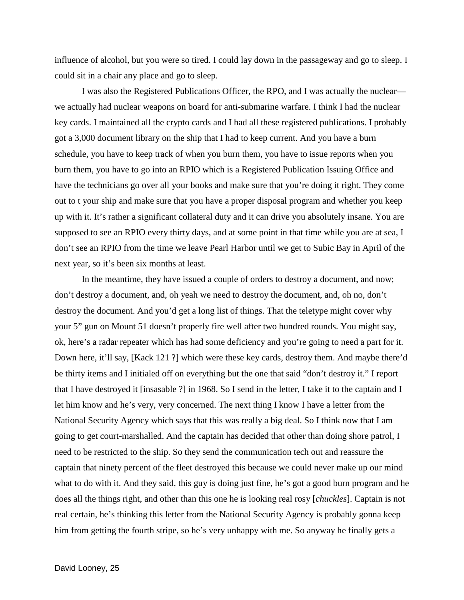influence of alcohol, but you were so tired. I could lay down in the passageway and go to sleep. I could sit in a chair any place and go to sleep.

I was also the Registered Publications Officer, the RPO, and I was actually the nuclear we actually had nuclear weapons on board for anti-submarine warfare. I think I had the nuclear key cards. I maintained all the crypto cards and I had all these registered publications. I probably got a 3,000 document library on the ship that I had to keep current. And you have a burn schedule, you have to keep track of when you burn them, you have to issue reports when you burn them, you have to go into an RPIO which is a Registered Publication Issuing Office and have the technicians go over all your books and make sure that you're doing it right. They come out to t your ship and make sure that you have a proper disposal program and whether you keep up with it. It's rather a significant collateral duty and it can drive you absolutely insane. You are supposed to see an RPIO every thirty days, and at some point in that time while you are at sea, I don't see an RPIO from the time we leave Pearl Harbor until we get to Subic Bay in April of the next year, so it's been six months at least.

In the meantime, they have issued a couple of orders to destroy a document, and now; don't destroy a document, and, oh yeah we need to destroy the document, and, oh no, don't destroy the document. And you'd get a long list of things. That the teletype might cover why your 5" gun on Mount 51 doesn't properly fire well after two hundred rounds. You might say, ok, here's a radar repeater which has had some deficiency and you're going to need a part for it. Down here, it'll say, [Kack 121 ?] which were these key cards, destroy them. And maybe there'd be thirty items and I initialed off on everything but the one that said "don't destroy it." I report that I have destroyed it [insasable ?] in 1968. So I send in the letter, I take it to the captain and I let him know and he's very, very concerned. The next thing I know I have a letter from the National Security Agency which says that this was really a big deal. So I think now that I am going to get court-marshalled. And the captain has decided that other than doing shore patrol, I need to be restricted to the ship. So they send the communication tech out and reassure the captain that ninety percent of the fleet destroyed this because we could never make up our mind what to do with it. And they said, this guy is doing just fine, he's got a good burn program and he does all the things right, and other than this one he is looking real rosy [*chuckles*]. Captain is not real certain, he's thinking this letter from the National Security Agency is probably gonna keep him from getting the fourth stripe, so he's very unhappy with me. So anyway he finally gets a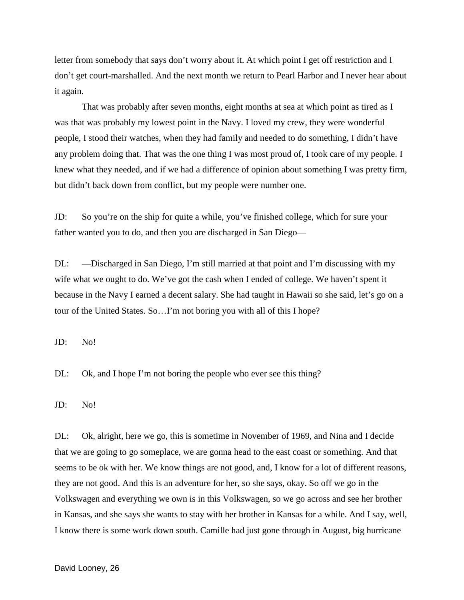letter from somebody that says don't worry about it. At which point I get off restriction and I don't get court-marshalled. And the next month we return to Pearl Harbor and I never hear about it again.

That was probably after seven months, eight months at sea at which point as tired as I was that was probably my lowest point in the Navy. I loved my crew, they were wonderful people, I stood their watches, when they had family and needed to do something, I didn't have any problem doing that. That was the one thing I was most proud of, I took care of my people. I knew what they needed, and if we had a difference of opinion about something I was pretty firm, but didn't back down from conflict, but my people were number one.

JD: So you're on the ship for quite a while, you've finished college, which for sure your father wanted you to do, and then you are discharged in San Diego—

DL: —Discharged in San Diego, I'm still married at that point and I'm discussing with my wife what we ought to do. We've got the cash when I ended of college. We haven't spent it because in the Navy I earned a decent salary. She had taught in Hawaii so she said, let's go on a tour of the United States. So…I'm not boring you with all of this I hope?

JD: No!

DL: Ok, and I hope I'm not boring the people who ever see this thing?

JD: No!

DL: Ok, alright, here we go, this is sometime in November of 1969, and Nina and I decide that we are going to go someplace, we are gonna head to the east coast or something. And that seems to be ok with her. We know things are not good, and, I know for a lot of different reasons, they are not good. And this is an adventure for her, so she says, okay. So off we go in the Volkswagen and everything we own is in this Volkswagen, so we go across and see her brother in Kansas, and she says she wants to stay with her brother in Kansas for a while. And I say, well, I know there is some work down south. Camille had just gone through in August, big hurricane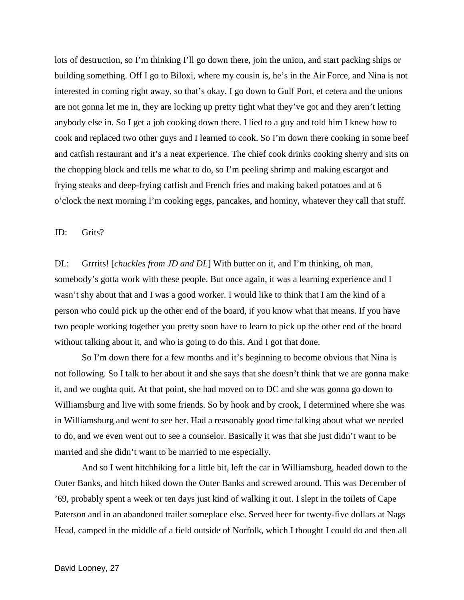lots of destruction, so I'm thinking I'll go down there, join the union, and start packing ships or building something. Off I go to Biloxi, where my cousin is, he's in the Air Force, and Nina is not interested in coming right away, so that's okay. I go down to Gulf Port, et cetera and the unions are not gonna let me in, they are locking up pretty tight what they've got and they aren't letting anybody else in. So I get a job cooking down there. I lied to a guy and told him I knew how to cook and replaced two other guys and I learned to cook. So I'm down there cooking in some beef and catfish restaurant and it's a neat experience. The chief cook drinks cooking sherry and sits on the chopping block and tells me what to do, so I'm peeling shrimp and making escargot and frying steaks and deep-frying catfish and French fries and making baked potatoes and at 6 o'clock the next morning I'm cooking eggs, pancakes, and hominy, whatever they call that stuff.

## JD: Grits?

DL: Grrrits! [*chuckles from JD and DL*] With butter on it, and I'm thinking, oh man, somebody's gotta work with these people. But once again, it was a learning experience and I wasn't shy about that and I was a good worker. I would like to think that I am the kind of a person who could pick up the other end of the board, if you know what that means. If you have two people working together you pretty soon have to learn to pick up the other end of the board without talking about it, and who is going to do this. And I got that done.

So I'm down there for a few months and it's beginning to become obvious that Nina is not following. So I talk to her about it and she says that she doesn't think that we are gonna make it, and we oughta quit. At that point, she had moved on to DC and she was gonna go down to Williamsburg and live with some friends. So by hook and by crook, I determined where she was in Williamsburg and went to see her. Had a reasonably good time talking about what we needed to do, and we even went out to see a counselor. Basically it was that she just didn't want to be married and she didn't want to be married to me especially.

And so I went hitchhiking for a little bit, left the car in Williamsburg, headed down to the Outer Banks, and hitch hiked down the Outer Banks and screwed around. This was December of '69, probably spent a week or ten days just kind of walking it out. I slept in the toilets of Cape Paterson and in an abandoned trailer someplace else. Served beer for twenty-five dollars at Nags Head, camped in the middle of a field outside of Norfolk, which I thought I could do and then all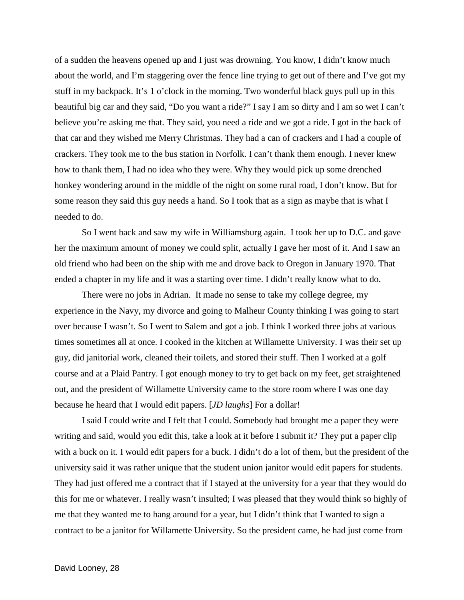of a sudden the heavens opened up and I just was drowning. You know, I didn't know much about the world, and I'm staggering over the fence line trying to get out of there and I've got my stuff in my backpack. It's 1 o'clock in the morning. Two wonderful black guys pull up in this beautiful big car and they said, "Do you want a ride?" I say I am so dirty and I am so wet I can't believe you're asking me that. They said, you need a ride and we got a ride. I got in the back of that car and they wished me Merry Christmas. They had a can of crackers and I had a couple of crackers. They took me to the bus station in Norfolk. I can't thank them enough. I never knew how to thank them, I had no idea who they were. Why they would pick up some drenched honkey wondering around in the middle of the night on some rural road, I don't know. But for some reason they said this guy needs a hand. So I took that as a sign as maybe that is what I needed to do.

So I went back and saw my wife in Williamsburg again. I took her up to D.C. and gave her the maximum amount of money we could split, actually I gave her most of it. And I saw an old friend who had been on the ship with me and drove back to Oregon in January 1970. That ended a chapter in my life and it was a starting over time. I didn't really know what to do.

There were no jobs in Adrian. It made no sense to take my college degree, my experience in the Navy, my divorce and going to Malheur County thinking I was going to start over because I wasn't. So I went to Salem and got a job. I think I worked three jobs at various times sometimes all at once. I cooked in the kitchen at Willamette University. I was their set up guy, did janitorial work, cleaned their toilets, and stored their stuff. Then I worked at a golf course and at a Plaid Pantry. I got enough money to try to get back on my feet, get straightened out, and the president of Willamette University came to the store room where I was one day because he heard that I would edit papers. [*JD laughs*] For a dollar!

I said I could write and I felt that I could. Somebody had brought me a paper they were writing and said, would you edit this, take a look at it before I submit it? They put a paper clip with a buck on it. I would edit papers for a buck. I didn't do a lot of them, but the president of the university said it was rather unique that the student union janitor would edit papers for students. They had just offered me a contract that if I stayed at the university for a year that they would do this for me or whatever. I really wasn't insulted; I was pleased that they would think so highly of me that they wanted me to hang around for a year, but I didn't think that I wanted to sign a contract to be a janitor for Willamette University. So the president came, he had just come from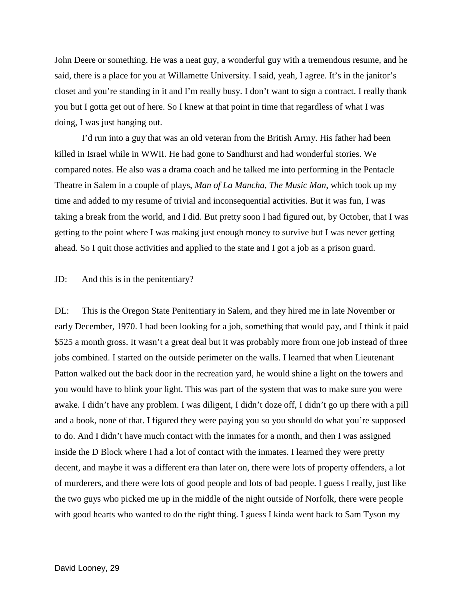John Deere or something. He was a neat guy, a wonderful guy with a tremendous resume, and he said, there is a place for you at Willamette University. I said, yeah, I agree. It's in the janitor's closet and you're standing in it and I'm really busy. I don't want to sign a contract. I really thank you but I gotta get out of here. So I knew at that point in time that regardless of what I was doing, I was just hanging out.

I'd run into a guy that was an old veteran from the British Army. His father had been killed in Israel while in WWII. He had gone to Sandhurst and had wonderful stories. We compared notes. He also was a drama coach and he talked me into performing in the Pentacle Theatre in Salem in a couple of plays, *Man of La Mancha*, *The Music Man*, which took up my time and added to my resume of trivial and inconsequential activities. But it was fun, I was taking a break from the world, and I did. But pretty soon I had figured out, by October, that I was getting to the point where I was making just enough money to survive but I was never getting ahead. So I quit those activities and applied to the state and I got a job as a prison guard.

# JD: And this is in the penitentiary?

DL: This is the Oregon State Penitentiary in Salem, and they hired me in late November or early December, 1970. I had been looking for a job, something that would pay, and I think it paid \$525 a month gross. It wasn't a great deal but it was probably more from one job instead of three jobs combined. I started on the outside perimeter on the walls. I learned that when Lieutenant Patton walked out the back door in the recreation yard, he would shine a light on the towers and you would have to blink your light. This was part of the system that was to make sure you were awake. I didn't have any problem. I was diligent, I didn't doze off, I didn't go up there with a pill and a book, none of that. I figured they were paying you so you should do what you're supposed to do. And I didn't have much contact with the inmates for a month, and then I was assigned inside the D Block where I had a lot of contact with the inmates. I learned they were pretty decent, and maybe it was a different era than later on, there were lots of property offenders, a lot of murderers, and there were lots of good people and lots of bad people. I guess I really, just like the two guys who picked me up in the middle of the night outside of Norfolk, there were people with good hearts who wanted to do the right thing. I guess I kinda went back to Sam Tyson my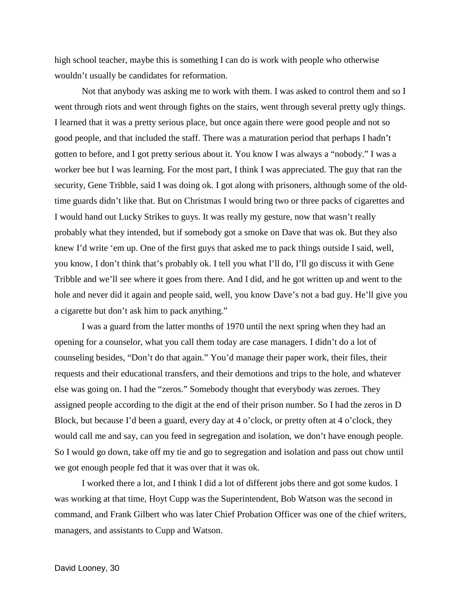high school teacher, maybe this is something I can do is work with people who otherwise wouldn't usually be candidates for reformation.

Not that anybody was asking me to work with them. I was asked to control them and so I went through riots and went through fights on the stairs, went through several pretty ugly things. I learned that it was a pretty serious place, but once again there were good people and not so good people, and that included the staff. There was a maturation period that perhaps I hadn't gotten to before, and I got pretty serious about it. You know I was always a "nobody." I was a worker bee but I was learning. For the most part, I think I was appreciated. The guy that ran the security, Gene Tribble, said I was doing ok. I got along with prisoners, although some of the oldtime guards didn't like that. But on Christmas I would bring two or three packs of cigarettes and I would hand out Lucky Strikes to guys. It was really my gesture, now that wasn't really probably what they intended, but if somebody got a smoke on Dave that was ok. But they also knew I'd write 'em up. One of the first guys that asked me to pack things outside I said, well, you know, I don't think that's probably ok. I tell you what I'll do, I'll go discuss it with Gene Tribble and we'll see where it goes from there. And I did, and he got written up and went to the hole and never did it again and people said, well, you know Dave's not a bad guy. He'll give you a cigarette but don't ask him to pack anything."

I was a guard from the latter months of 1970 until the next spring when they had an opening for a counselor, what you call them today are case managers. I didn't do a lot of counseling besides, "Don't do that again." You'd manage their paper work, their files, their requests and their educational transfers, and their demotions and trips to the hole, and whatever else was going on. I had the "zeros." Somebody thought that everybody was zeroes. They assigned people according to the digit at the end of their prison number. So I had the zeros in D Block, but because I'd been a guard, every day at 4 o'clock, or pretty often at 4 o'clock, they would call me and say, can you feed in segregation and isolation, we don't have enough people. So I would go down, take off my tie and go to segregation and isolation and pass out chow until we got enough people fed that it was over that it was ok.

I worked there a lot, and I think I did a lot of different jobs there and got some kudos. I was working at that time, Hoyt Cupp was the Superintendent, Bob Watson was the second in command, and Frank Gilbert who was later Chief Probation Officer was one of the chief writers, managers, and assistants to Cupp and Watson.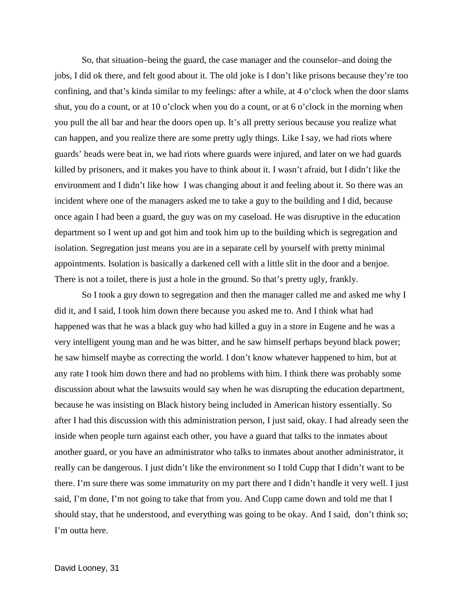So, that situation–being the guard, the case manager and the counselor–and doing the jobs, I did ok there, and felt good about it. The old joke is I don't like prisons because they're too confining, and that's kinda similar to my feelings: after a while, at 4 o'clock when the door slams shut, you do a count, or at 10 o'clock when you do a count, or at 6 o'clock in the morning when you pull the all bar and hear the doors open up. It's all pretty serious because you realize what can happen, and you realize there are some pretty ugly things. Like I say, we had riots where guards' heads were beat in, we had riots where guards were injured, and later on we had guards killed by prisoners, and it makes you have to think about it. I wasn't afraid, but I didn't like the environment and I didn't like how I was changing about it and feeling about it. So there was an incident where one of the managers asked me to take a guy to the building and I did, because once again I had been a guard, the guy was on my caseload. He was disruptive in the education department so I went up and got him and took him up to the building which is segregation and isolation. Segregation just means you are in a separate cell by yourself with pretty minimal appointments. Isolation is basically a darkened cell with a little slit in the door and a benjoe. There is not a toilet, there is just a hole in the ground. So that's pretty ugly, frankly.

So I took a guy down to segregation and then the manager called me and asked me why I did it, and I said, I took him down there because you asked me to. And I think what had happened was that he was a black guy who had killed a guy in a store in Eugene and he was a very intelligent young man and he was bitter, and he saw himself perhaps beyond black power; he saw himself maybe as correcting the world. I don't know whatever happened to him, but at any rate I took him down there and had no problems with him. I think there was probably some discussion about what the lawsuits would say when he was disrupting the education department, because he was insisting on Black history being included in American history essentially. So after I had this discussion with this administration person, I just said, okay. I had already seen the inside when people turn against each other, you have a guard that talks to the inmates about another guard, or you have an administrator who talks to inmates about another administrator, it really can be dangerous. I just didn't like the environment so I told Cupp that I didn't want to be there. I'm sure there was some immaturity on my part there and I didn't handle it very well. I just said, I'm done, I'm not going to take that from you. And Cupp came down and told me that I should stay, that he understood, and everything was going to be okay. And I said, don't think so; I'm outta here.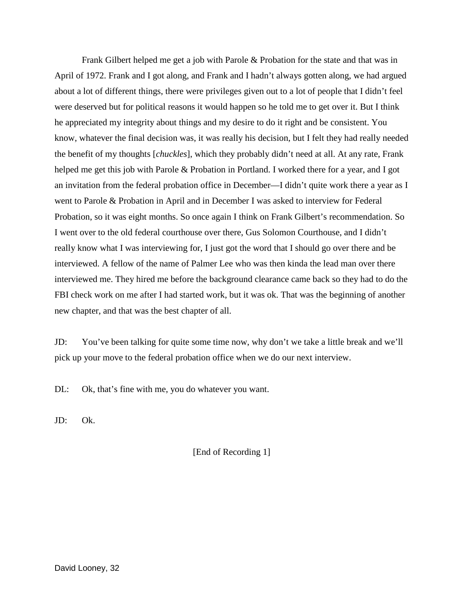Frank Gilbert helped me get a job with Parole & Probation for the state and that was in April of 1972. Frank and I got along, and Frank and I hadn't always gotten along, we had argued about a lot of different things, there were privileges given out to a lot of people that I didn't feel were deserved but for political reasons it would happen so he told me to get over it. But I think he appreciated my integrity about things and my desire to do it right and be consistent. You know, whatever the final decision was, it was really his decision, but I felt they had really needed the benefit of my thoughts [*chuckles*], which they probably didn't need at all. At any rate, Frank helped me get this job with Parole & Probation in Portland. I worked there for a year, and I got an invitation from the federal probation office in December—I didn't quite work there a year as I went to Parole & Probation in April and in December I was asked to interview for Federal Probation, so it was eight months. So once again I think on Frank Gilbert's recommendation. So I went over to the old federal courthouse over there, Gus Solomon Courthouse, and I didn't really know what I was interviewing for, I just got the word that I should go over there and be interviewed. A fellow of the name of Palmer Lee who was then kinda the lead man over there interviewed me. They hired me before the background clearance came back so they had to do the FBI check work on me after I had started work, but it was ok. That was the beginning of another new chapter, and that was the best chapter of all.

JD: You've been talking for quite some time now, why don't we take a little break and we'll pick up your move to the federal probation office when we do our next interview.

DL: Ok, that's fine with me, you do whatever you want.

JD: Ok.

[End of Recording 1]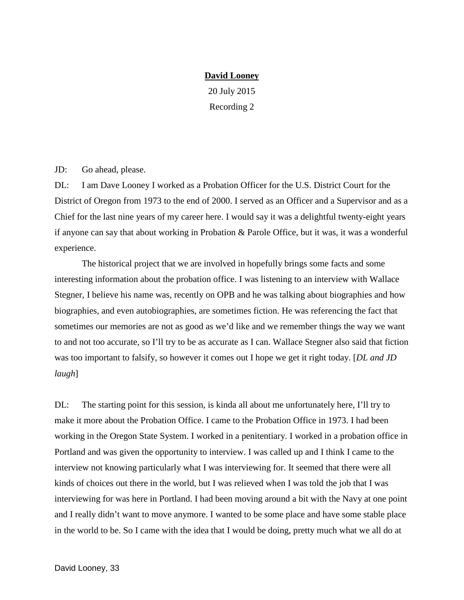# **David Looney**

20 July 2015 Recording 2

#### JD: Go ahead, please.

DL: I am Dave Looney I worked as a Probation Officer for the U.S. District Court for the District of Oregon from 1973 to the end of 2000. I served as an Officer and a Supervisor and as a Chief for the last nine years of my career here. I would say it was a delightful twenty-eight years if anyone can say that about working in Probation & Parole Office, but it was, it was a wonderful experience.

The historical project that we are involved in hopefully brings some facts and some interesting information about the probation office. I was listening to an interview with Wallace Stegner, I believe his name was, recently on OPB and he was talking about biographies and how biographies, and even autobiographies, are sometimes fiction. He was referencing the fact that sometimes our memories are not as good as we'd like and we remember things the way we want to and not too accurate, so I'll try to be as accurate as I can. Wallace Stegner also said that fiction was too important to falsify, so however it comes out I hope we get it right today. [*DL and JD laugh*]

DL: The starting point for this session, is kinda all about me unfortunately here, I'll try to make it more about the Probation Office. I came to the Probation Office in 1973. I had been working in the Oregon State System. I worked in a penitentiary. I worked in a probation office in Portland and was given the opportunity to interview. I was called up and I think I came to the interview not knowing particularly what I was interviewing for. It seemed that there were all kinds of choices out there in the world, but I was relieved when I was told the job that I was interviewing for was here in Portland. I had been moving around a bit with the Navy at one point and I really didn't want to move anymore. I wanted to be some place and have some stable place in the world to be. So I came with the idea that I would be doing, pretty much what we all do at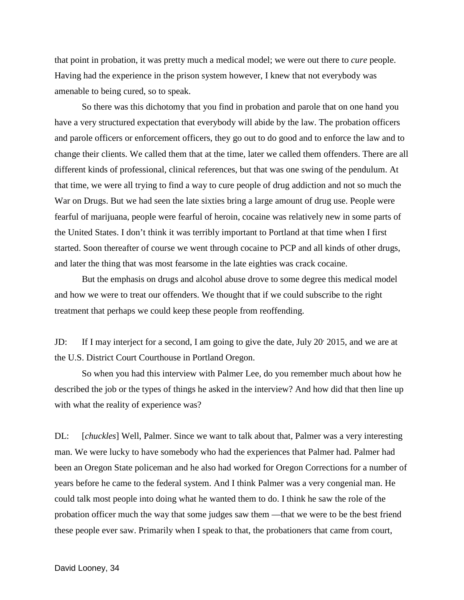that point in probation, it was pretty much a medical model; we were out there to *cure* people. Having had the experience in the prison system however, I knew that not everybody was amenable to being cured, so to speak.

So there was this dichotomy that you find in probation and parole that on one hand you have a very structured expectation that everybody will abide by the law. The probation officers and parole officers or enforcement officers, they go out to do good and to enforce the law and to change their clients. We called them that at the time, later we called them offenders. There are all different kinds of professional, clinical references, but that was one swing of the pendulum. At that time, we were all trying to find a way to cure people of drug addiction and not so much the War on Drugs. But we had seen the late sixties bring a large amount of drug use. People were fearful of marijuana, people were fearful of heroin, cocaine was relatively new in some parts of the United States. I don't think it was terribly important to Portland at that time when I first started. Soon thereafter of course we went through cocaine to PCP and all kinds of other drugs, and later the thing that was most fearsome in the late eighties was crack cocaine.

But the emphasis on drugs and alcohol abuse drove to some degree this medical model and how we were to treat our offenders. We thought that if we could subscribe to the right treatment that perhaps we could keep these people from reoffending.

JD: If I may interject for a second, I am going to give the date, July 20' 2015, and we are at the U.S. District Court Courthouse in Portland Oregon.

So when you had this interview with Palmer Lee, do you remember much about how he described the job or the types of things he asked in the interview? And how did that then line up with what the reality of experience was?

DL: [*chuckles*] Well, Palmer. Since we want to talk about that, Palmer was a very interesting man. We were lucky to have somebody who had the experiences that Palmer had. Palmer had been an Oregon State policeman and he also had worked for Oregon Corrections for a number of years before he came to the federal system. And I think Palmer was a very congenial man. He could talk most people into doing what he wanted them to do. I think he saw the role of the probation officer much the way that some judges saw them —that we were to be the best friend these people ever saw. Primarily when I speak to that, the probationers that came from court,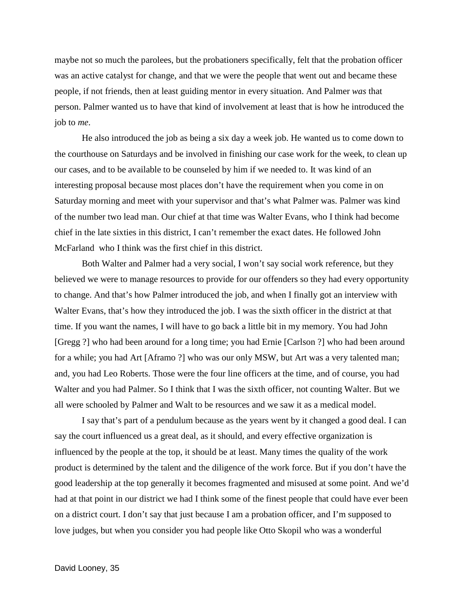maybe not so much the parolees, but the probationers specifically, felt that the probation officer was an active catalyst for change, and that we were the people that went out and became these people, if not friends, then at least guiding mentor in every situation. And Palmer *was* that person. Palmer wanted us to have that kind of involvement at least that is how he introduced the job to *me*.

He also introduced the job as being a six day a week job. He wanted us to come down to the courthouse on Saturdays and be involved in finishing our case work for the week, to clean up our cases, and to be available to be counseled by him if we needed to. It was kind of an interesting proposal because most places don't have the requirement when you come in on Saturday morning and meet with your supervisor and that's what Palmer was. Palmer was kind of the number two lead man. Our chief at that time was Walter Evans, who I think had become chief in the late sixties in this district, I can't remember the exact dates. He followed John McFarland who I think was the first chief in this district.

Both Walter and Palmer had a very social, I won't say social work reference, but they believed we were to manage resources to provide for our offenders so they had every opportunity to change. And that's how Palmer introduced the job, and when I finally got an interview with Walter Evans, that's how they introduced the job. I was the sixth officer in the district at that time. If you want the names, I will have to go back a little bit in my memory. You had John [Gregg ?] who had been around for a long time; you had Ernie [Carlson ?] who had been around for a while; you had Art [Aframo ?] who was our only MSW, but Art was a very talented man; and, you had Leo Roberts. Those were the four line officers at the time, and of course, you had Walter and you had Palmer. So I think that I was the sixth officer, not counting Walter. But we all were schooled by Palmer and Walt to be resources and we saw it as a medical model.

I say that's part of a pendulum because as the years went by it changed a good deal. I can say the court influenced us a great deal, as it should, and every effective organization is influenced by the people at the top, it should be at least. Many times the quality of the work product is determined by the talent and the diligence of the work force. But if you don't have the good leadership at the top generally it becomes fragmented and misused at some point. And we'd had at that point in our district we had I think some of the finest people that could have ever been on a district court. I don't say that just because I am a probation officer, and I'm supposed to love judges, but when you consider you had people like Otto Skopil who was a wonderful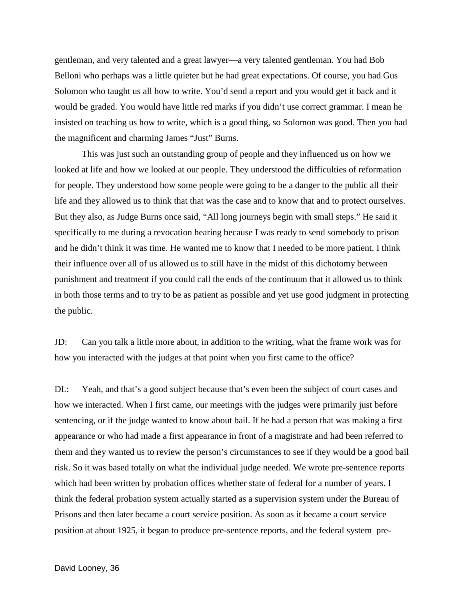gentleman, and very talented and a great lawyer—a very talented gentleman. You had Bob Belloni who perhaps was a little quieter but he had great expectations. Of course, you had Gus Solomon who taught us all how to write. You'd send a report and you would get it back and it would be graded. You would have little red marks if you didn't use correct grammar. I mean he insisted on teaching us how to write, which is a good thing, so Solomon was good. Then you had the magnificent and charming James "Just" Burns.

This was just such an outstanding group of people and they influenced us on how we looked at life and how we looked at our people. They understood the difficulties of reformation for people. They understood how some people were going to be a danger to the public all their life and they allowed us to think that that was the case and to know that and to protect ourselves. But they also, as Judge Burns once said, "All long journeys begin with small steps." He said it specifically to me during a revocation hearing because I was ready to send somebody to prison and he didn't think it was time. He wanted me to know that I needed to be more patient. I think their influence over all of us allowed us to still have in the midst of this dichotomy between punishment and treatment if you could call the ends of the continuum that it allowed us to think in both those terms and to try to be as patient as possible and yet use good judgment in protecting the public.

JD: Can you talk a little more about, in addition to the writing, what the frame work was for how you interacted with the judges at that point when you first came to the office?

DL: Yeah, and that's a good subject because that's even been the subject of court cases and how we interacted. When I first came, our meetings with the judges were primarily just before sentencing, or if the judge wanted to know about bail. If he had a person that was making a first appearance or who had made a first appearance in front of a magistrate and had been referred to them and they wanted us to review the person's circumstances to see if they would be a good bail risk. So it was based totally on what the individual judge needed. We wrote pre-sentence reports which had been written by probation offices whether state of federal for a number of years. I think the federal probation system actually started as a supervision system under the Bureau of Prisons and then later became a court service position. As soon as it became a court service position at about 1925, it began to produce pre-sentence reports, and the federal system pre-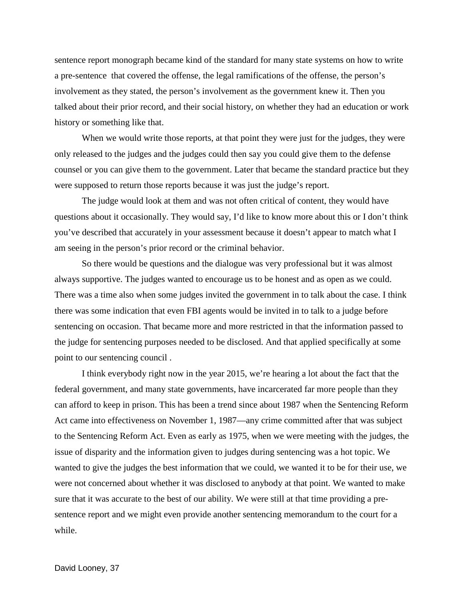sentence report monograph became kind of the standard for many state systems on how to write a pre-sentence that covered the offense, the legal ramifications of the offense, the person's involvement as they stated, the person's involvement as the government knew it. Then you talked about their prior record, and their social history, on whether they had an education or work history or something like that.

When we would write those reports, at that point they were just for the judges, they were only released to the judges and the judges could then say you could give them to the defense counsel or you can give them to the government. Later that became the standard practice but they were supposed to return those reports because it was just the judge's report.

The judge would look at them and was not often critical of content, they would have questions about it occasionally. They would say, I'd like to know more about this or I don't think you've described that accurately in your assessment because it doesn't appear to match what I am seeing in the person's prior record or the criminal behavior.

So there would be questions and the dialogue was very professional but it was almost always supportive. The judges wanted to encourage us to be honest and as open as we could. There was a time also when some judges invited the government in to talk about the case. I think there was some indication that even FBI agents would be invited in to talk to a judge before sentencing on occasion. That became more and more restricted in that the information passed to the judge for sentencing purposes needed to be disclosed. And that applied specifically at some point to our sentencing council .

I think everybody right now in the year 2015, we're hearing a lot about the fact that the federal government, and many state governments, have incarcerated far more people than they can afford to keep in prison. This has been a trend since about 1987 when the Sentencing Reform Act came into effectiveness on November 1, 1987—any crime committed after that was subject to the Sentencing Reform Act. Even as early as 1975, when we were meeting with the judges, the issue of disparity and the information given to judges during sentencing was a hot topic. We wanted to give the judges the best information that we could, we wanted it to be for their use, we were not concerned about whether it was disclosed to anybody at that point. We wanted to make sure that it was accurate to the best of our ability. We were still at that time providing a presentence report and we might even provide another sentencing memorandum to the court for a while.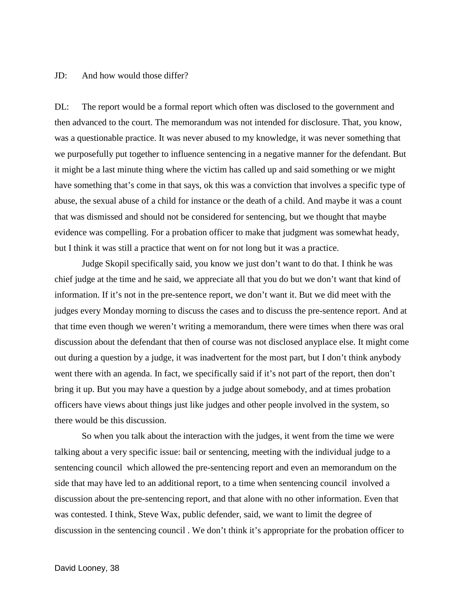## JD: And how would those differ?

DL: The report would be a formal report which often was disclosed to the government and then advanced to the court. The memorandum was not intended for disclosure. That, you know, was a questionable practice. It was never abused to my knowledge, it was never something that we purposefully put together to influence sentencing in a negative manner for the defendant. But it might be a last minute thing where the victim has called up and said something or we might have something that's come in that says, ok this was a conviction that involves a specific type of abuse, the sexual abuse of a child for instance or the death of a child. And maybe it was a count that was dismissed and should not be considered for sentencing, but we thought that maybe evidence was compelling. For a probation officer to make that judgment was somewhat heady, but I think it was still a practice that went on for not long but it was a practice.

Judge Skopil specifically said, you know we just don't want to do that. I think he was chief judge at the time and he said, we appreciate all that you do but we don't want that kind of information. If it's not in the pre-sentence report, we don't want it. But we did meet with the judges every Monday morning to discuss the cases and to discuss the pre-sentence report. And at that time even though we weren't writing a memorandum, there were times when there was oral discussion about the defendant that then of course was not disclosed anyplace else. It might come out during a question by a judge, it was inadvertent for the most part, but I don't think anybody went there with an agenda. In fact, we specifically said if it's not part of the report, then don't bring it up. But you may have a question by a judge about somebody, and at times probation officers have views about things just like judges and other people involved in the system, so there would be this discussion.

So when you talk about the interaction with the judges, it went from the time we were talking about a very specific issue: bail or sentencing, meeting with the individual judge to a sentencing council which allowed the pre-sentencing report and even an memorandum on the side that may have led to an additional report, to a time when sentencing council involved a discussion about the pre-sentencing report, and that alone with no other information. Even that was contested. I think, Steve Wax, public defender, said, we want to limit the degree of discussion in the sentencing council . We don't think it's appropriate for the probation officer to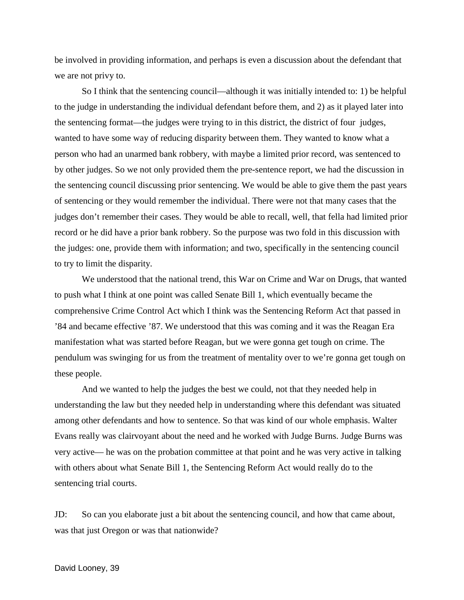be involved in providing information, and perhaps is even a discussion about the defendant that we are not privy to.

So I think that the sentencing council—although it was initially intended to: 1) be helpful to the judge in understanding the individual defendant before them, and 2) as it played later into the sentencing format—the judges were trying to in this district, the district of four judges, wanted to have some way of reducing disparity between them. They wanted to know what a person who had an unarmed bank robbery, with maybe a limited prior record, was sentenced to by other judges. So we not only provided them the pre-sentence report, we had the discussion in the sentencing council discussing prior sentencing. We would be able to give them the past years of sentencing or they would remember the individual. There were not that many cases that the judges don't remember their cases. They would be able to recall, well, that fella had limited prior record or he did have a prior bank robbery. So the purpose was two fold in this discussion with the judges: one, provide them with information; and two, specifically in the sentencing council to try to limit the disparity.

We understood that the national trend, this War on Crime and War on Drugs, that wanted to push what I think at one point was called Senate Bill 1, which eventually became the comprehensive Crime Control Act which I think was the Sentencing Reform Act that passed in '84 and became effective '87. We understood that this was coming and it was the Reagan Era manifestation what was started before Reagan, but we were gonna get tough on crime. The pendulum was swinging for us from the treatment of mentality over to we're gonna get tough on these people.

And we wanted to help the judges the best we could, not that they needed help in understanding the law but they needed help in understanding where this defendant was situated among other defendants and how to sentence. So that was kind of our whole emphasis. Walter Evans really was clairvoyant about the need and he worked with Judge Burns. Judge Burns was very active— he was on the probation committee at that point and he was very active in talking with others about what Senate Bill 1, the Sentencing Reform Act would really do to the sentencing trial courts.

JD: So can you elaborate just a bit about the sentencing council, and how that came about, was that just Oregon or was that nationwide?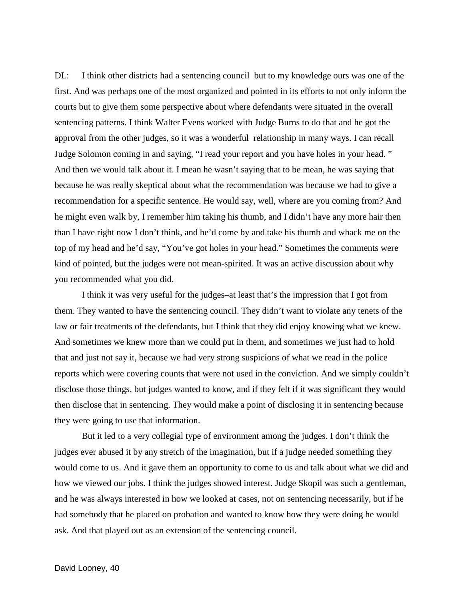DL: I think other districts had a sentencing council but to my knowledge ours was one of the first. And was perhaps one of the most organized and pointed in its efforts to not only inform the courts but to give them some perspective about where defendants were situated in the overall sentencing patterns. I think Walter Evens worked with Judge Burns to do that and he got the approval from the other judges, so it was a wonderful relationship in many ways. I can recall Judge Solomon coming in and saying, "I read your report and you have holes in your head. " And then we would talk about it. I mean he wasn't saying that to be mean, he was saying that because he was really skeptical about what the recommendation was because we had to give a recommendation for a specific sentence. He would say, well, where are you coming from? And he might even walk by, I remember him taking his thumb, and I didn't have any more hair then than I have right now I don't think, and he'd come by and take his thumb and whack me on the top of my head and he'd say, "You've got holes in your head." Sometimes the comments were kind of pointed, but the judges were not mean-spirited. It was an active discussion about why you recommended what you did.

I think it was very useful for the judges–at least that's the impression that I got from them. They wanted to have the sentencing council. They didn't want to violate any tenets of the law or fair treatments of the defendants, but I think that they did enjoy knowing what we knew. And sometimes we knew more than we could put in them, and sometimes we just had to hold that and just not say it, because we had very strong suspicions of what we read in the police reports which were covering counts that were not used in the conviction. And we simply couldn't disclose those things, but judges wanted to know, and if they felt if it was significant they would then disclose that in sentencing. They would make a point of disclosing it in sentencing because they were going to use that information.

But it led to a very collegial type of environment among the judges. I don't think the judges ever abused it by any stretch of the imagination, but if a judge needed something they would come to us. And it gave them an opportunity to come to us and talk about what we did and how we viewed our jobs. I think the judges showed interest. Judge Skopil was such a gentleman, and he was always interested in how we looked at cases, not on sentencing necessarily, but if he had somebody that he placed on probation and wanted to know how they were doing he would ask. And that played out as an extension of the sentencing council.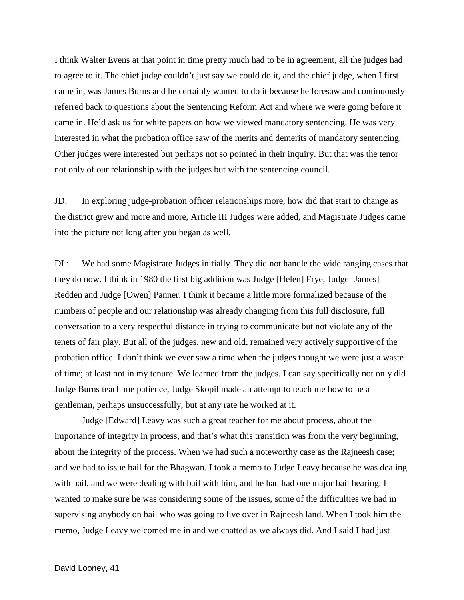I think Walter Evens at that point in time pretty much had to be in agreement, all the judges had to agree to it. The chief judge couldn't just say we could do it, and the chief judge, when I first came in, was James Burns and he certainly wanted to do it because he foresaw and continuously referred back to questions about the Sentencing Reform Act and where we were going before it came in. He'd ask us for white papers on how we viewed mandatory sentencing. He was very interested in what the probation office saw of the merits and demerits of mandatory sentencing. Other judges were interested but perhaps not so pointed in their inquiry. But that was the tenor not only of our relationship with the judges but with the sentencing council.

JD: In exploring judge-probation officer relationships more, how did that start to change as the district grew and more and more, Article III Judges were added, and Magistrate Judges came into the picture not long after you began as well.

DL: We had some Magistrate Judges initially. They did not handle the wide ranging cases that they do now. I think in 1980 the first big addition was Judge [Helen] Frye, Judge [James] Redden and Judge [Owen] Panner. I think it became a little more formalized because of the numbers of people and our relationship was already changing from this full disclosure, full conversation to a very respectful distance in trying to communicate but not violate any of the tenets of fair play. But all of the judges, new and old, remained very actively supportive of the probation office. I don't think we ever saw a time when the judges thought we were just a waste of time; at least not in my tenure. We learned from the judges. I can say specifically not only did Judge Burns teach me patience, Judge Skopil made an attempt to teach me how to be a gentleman, perhaps unsuccessfully, but at any rate he worked at it.

Judge [Edward] Leavy was such a great teacher for me about process, about the importance of integrity in process, and that's what this transition was from the very beginning, about the integrity of the process. When we had such a noteworthy case as the Rajneesh case; and we had to issue bail for the Bhagwan. I took a memo to Judge Leavy because he was dealing with bail, and we were dealing with bail with him, and he had had one major bail hearing. I wanted to make sure he was considering some of the issues, some of the difficulties we had in supervising anybody on bail who was going to live over in Rajneesh land. When I took him the memo, Judge Leavy welcomed me in and we chatted as we always did. And I said I had just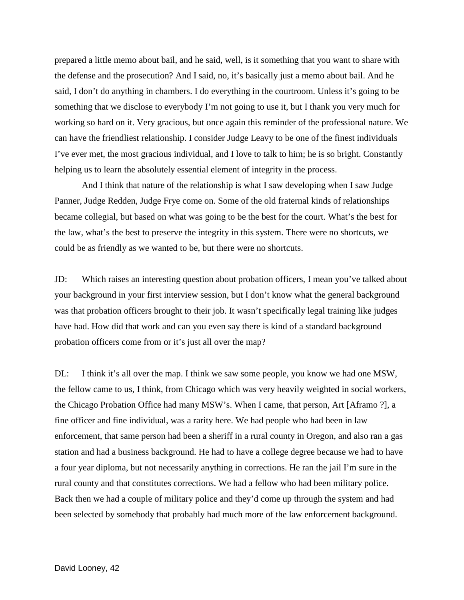prepared a little memo about bail, and he said, well, is it something that you want to share with the defense and the prosecution? And I said, no, it's basically just a memo about bail. And he said, I don't do anything in chambers. I do everything in the courtroom. Unless it's going to be something that we disclose to everybody I'm not going to use it, but I thank you very much for working so hard on it. Very gracious, but once again this reminder of the professional nature. We can have the friendliest relationship. I consider Judge Leavy to be one of the finest individuals I've ever met, the most gracious individual, and I love to talk to him; he is so bright. Constantly helping us to learn the absolutely essential element of integrity in the process.

And I think that nature of the relationship is what I saw developing when I saw Judge Panner, Judge Redden, Judge Frye come on. Some of the old fraternal kinds of relationships became collegial, but based on what was going to be the best for the court. What's the best for the law, what's the best to preserve the integrity in this system. There were no shortcuts, we could be as friendly as we wanted to be, but there were no shortcuts.

JD: Which raises an interesting question about probation officers, I mean you've talked about your background in your first interview session, but I don't know what the general background was that probation officers brought to their job. It wasn't specifically legal training like judges have had. How did that work and can you even say there is kind of a standard background probation officers come from or it's just all over the map?

DL: I think it's all over the map. I think we saw some people, you know we had one MSW, the fellow came to us, I think, from Chicago which was very heavily weighted in social workers, the Chicago Probation Office had many MSW's. When I came, that person, Art [Aframo ?], a fine officer and fine individual, was a rarity here. We had people who had been in law enforcement, that same person had been a sheriff in a rural county in Oregon, and also ran a gas station and had a business background. He had to have a college degree because we had to have a four year diploma, but not necessarily anything in corrections. He ran the jail I'm sure in the rural county and that constitutes corrections. We had a fellow who had been military police. Back then we had a couple of military police and they'd come up through the system and had been selected by somebody that probably had much more of the law enforcement background.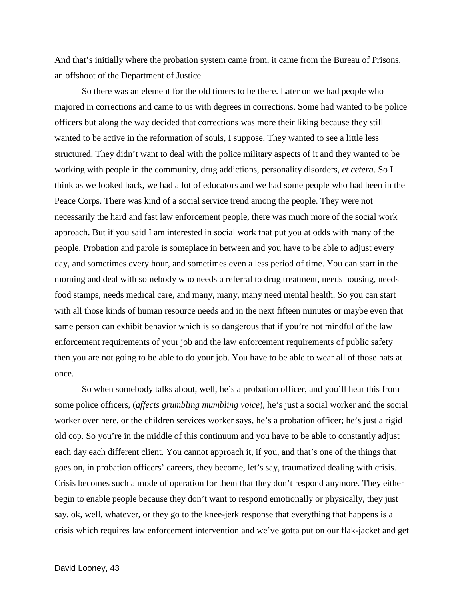And that's initially where the probation system came from, it came from the Bureau of Prisons, an offshoot of the Department of Justice.

So there was an element for the old timers to be there. Later on we had people who majored in corrections and came to us with degrees in corrections. Some had wanted to be police officers but along the way decided that corrections was more their liking because they still wanted to be active in the reformation of souls, I suppose. They wanted to see a little less structured. They didn't want to deal with the police military aspects of it and they wanted to be working with people in the community, drug addictions, personality disorders, *et cetera*. So I think as we looked back, we had a lot of educators and we had some people who had been in the Peace Corps. There was kind of a social service trend among the people. They were not necessarily the hard and fast law enforcement people, there was much more of the social work approach. But if you said I am interested in social work that put you at odds with many of the people. Probation and parole is someplace in between and you have to be able to adjust every day, and sometimes every hour, and sometimes even a less period of time. You can start in the morning and deal with somebody who needs a referral to drug treatment, needs housing, needs food stamps, needs medical care, and many, many, many need mental health. So you can start with all those kinds of human resource needs and in the next fifteen minutes or maybe even that same person can exhibit behavior which is so dangerous that if you're not mindful of the law enforcement requirements of your job and the law enforcement requirements of public safety then you are not going to be able to do your job. You have to be able to wear all of those hats at once.

So when somebody talks about, well, he's a probation officer, and you'll hear this from some police officers, (*affects grumbling mumbling voice*), he's just a social worker and the social worker over here, or the children services worker says, he's a probation officer; he's just a rigid old cop. So you're in the middle of this continuum and you have to be able to constantly adjust each day each different client. You cannot approach it, if you, and that's one of the things that goes on, in probation officers' careers, they become, let's say, traumatized dealing with crisis. Crisis becomes such a mode of operation for them that they don't respond anymore. They either begin to enable people because they don't want to respond emotionally or physically, they just say, ok, well, whatever, or they go to the knee-jerk response that everything that happens is a crisis which requires law enforcement intervention and we've gotta put on our flak-jacket and get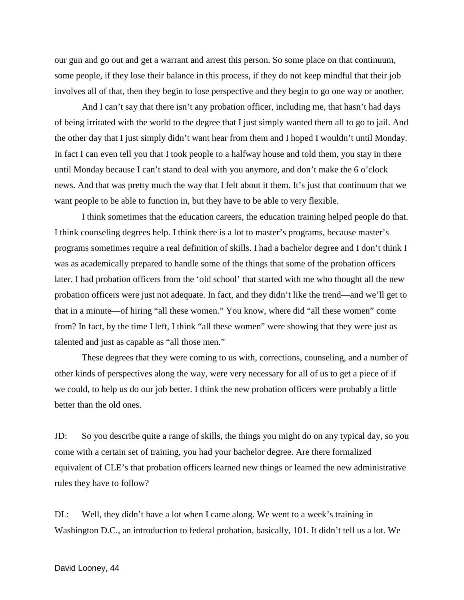our gun and go out and get a warrant and arrest this person. So some place on that continuum, some people, if they lose their balance in this process, if they do not keep mindful that their job involves all of that, then they begin to lose perspective and they begin to go one way or another.

And I can't say that there isn't any probation officer, including me, that hasn't had days of being irritated with the world to the degree that I just simply wanted them all to go to jail. And the other day that I just simply didn't want hear from them and I hoped I wouldn't until Monday. In fact I can even tell you that I took people to a halfway house and told them, you stay in there until Monday because I can't stand to deal with you anymore, and don't make the 6 o'clock news. And that was pretty much the way that I felt about it them. It's just that continuum that we want people to be able to function in, but they have to be able to very flexible.

I think sometimes that the education careers, the education training helped people do that. I think counseling degrees help. I think there is a lot to master's programs, because master's programs sometimes require a real definition of skills. I had a bachelor degree and I don't think I was as academically prepared to handle some of the things that some of the probation officers later. I had probation officers from the 'old school' that started with me who thought all the new probation officers were just not adequate. In fact, and they didn't like the trend—and we'll get to that in a minute—of hiring "all these women." You know, where did "all these women" come from? In fact, by the time I left, I think "all these women" were showing that they were just as talented and just as capable as "all those men."

These degrees that they were coming to us with, corrections, counseling, and a number of other kinds of perspectives along the way, were very necessary for all of us to get a piece of if we could, to help us do our job better. I think the new probation officers were probably a little better than the old ones.

JD: So you describe quite a range of skills, the things you might do on any typical day, so you come with a certain set of training, you had your bachelor degree. Are there formalized equivalent of CLE's that probation officers learned new things or learned the new administrative rules they have to follow?

DL: Well, they didn't have a lot when I came along. We went to a week's training in Washington D.C., an introduction to federal probation, basically, 101. It didn't tell us a lot. We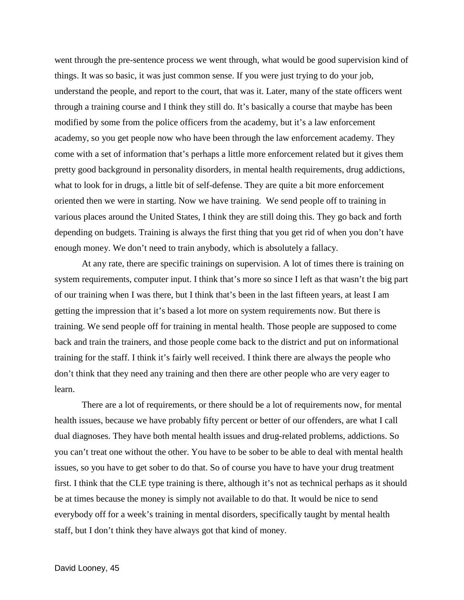went through the pre-sentence process we went through, what would be good supervision kind of things. It was so basic, it was just common sense. If you were just trying to do your job, understand the people, and report to the court, that was it. Later, many of the state officers went through a training course and I think they still do. It's basically a course that maybe has been modified by some from the police officers from the academy, but it's a law enforcement academy, so you get people now who have been through the law enforcement academy. They come with a set of information that's perhaps a little more enforcement related but it gives them pretty good background in personality disorders, in mental health requirements, drug addictions, what to look for in drugs, a little bit of self-defense. They are quite a bit more enforcement oriented then we were in starting. Now we have training. We send people off to training in various places around the United States, I think they are still doing this. They go back and forth depending on budgets. Training is always the first thing that you get rid of when you don't have enough money. We don't need to train anybody, which is absolutely a fallacy.

At any rate, there are specific trainings on supervision. A lot of times there is training on system requirements, computer input. I think that's more so since I left as that wasn't the big part of our training when I was there, but I think that's been in the last fifteen years, at least I am getting the impression that it's based a lot more on system requirements now. But there is training. We send people off for training in mental health. Those people are supposed to come back and train the trainers, and those people come back to the district and put on informational training for the staff. I think it's fairly well received. I think there are always the people who don't think that they need any training and then there are other people who are very eager to learn.

There are a lot of requirements, or there should be a lot of requirements now, for mental health issues, because we have probably fifty percent or better of our offenders, are what I call dual diagnoses. They have both mental health issues and drug-related problems, addictions. So you can't treat one without the other. You have to be sober to be able to deal with mental health issues, so you have to get sober to do that. So of course you have to have your drug treatment first. I think that the CLE type training is there, although it's not as technical perhaps as it should be at times because the money is simply not available to do that. It would be nice to send everybody off for a week's training in mental disorders, specifically taught by mental health staff, but I don't think they have always got that kind of money.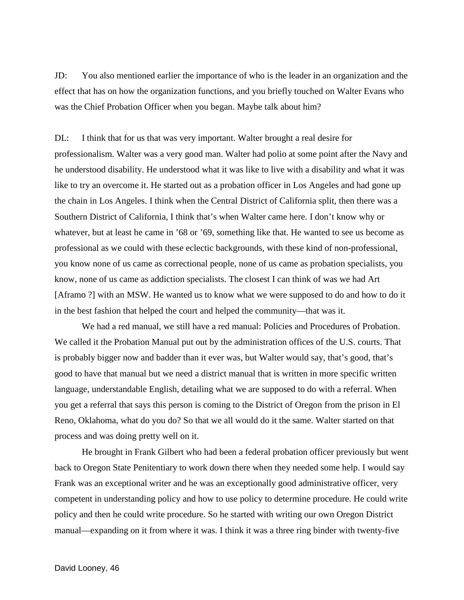JD: You also mentioned earlier the importance of who is the leader in an organization and the effect that has on how the organization functions, and you briefly touched on Walter Evans who was the Chief Probation Officer when you began. Maybe talk about him?

DL: I think that for us that was very important. Walter brought a real desire for professionalism. Walter was a very good man. Walter had polio at some point after the Navy and he understood disability. He understood what it was like to live with a disability and what it was like to try an overcome it. He started out as a probation officer in Los Angeles and had gone up the chain in Los Angeles. I think when the Central District of California split, then there was a Southern District of California, I think that's when Walter came here. I don't know why or whatever, but at least he came in '68 or '69, something like that. He wanted to see us become as professional as we could with these eclectic backgrounds, with these kind of non-professional, you know none of us came as correctional people, none of us came as probation specialists, you know, none of us came as addiction specialists. The closest I can think of was we had Art [Aframo ?] with an MSW. He wanted us to know what we were supposed to do and how to do it in the best fashion that helped the court and helped the community—that was it.

We had a red manual, we still have a red manual: Policies and Procedures of Probation. We called it the Probation Manual put out by the administration offices of the U.S. courts. That is probably bigger now and badder than it ever was, but Walter would say, that's good, that's good to have that manual but we need a district manual that is written in more specific written language, understandable English, detailing what we are supposed to do with a referral. When you get a referral that says this person is coming to the District of Oregon from the prison in El Reno, Oklahoma, what do you do? So that we all would do it the same. Walter started on that process and was doing pretty well on it.

He brought in Frank Gilbert who had been a federal probation officer previously but went back to Oregon State Penitentiary to work down there when they needed some help. I would say Frank was an exceptional writer and he was an exceptionally good administrative officer, very competent in understanding policy and how to use policy to determine procedure. He could write policy and then he could write procedure. So he started with writing our own Oregon District manual—expanding on it from where it was. I think it was a three ring binder with twenty-five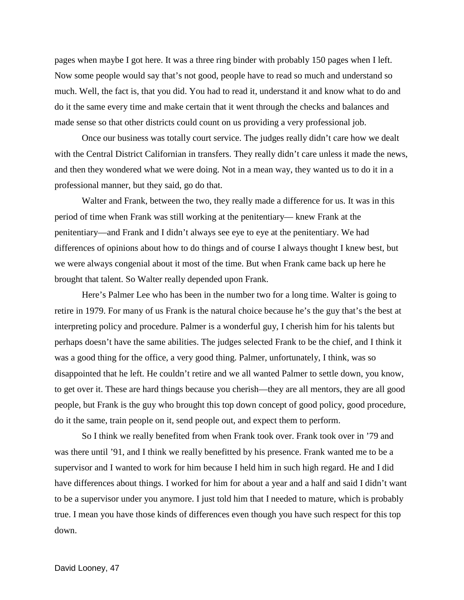pages when maybe I got here. It was a three ring binder with probably 150 pages when I left. Now some people would say that's not good, people have to read so much and understand so much. Well, the fact is, that you did. You had to read it, understand it and know what to do and do it the same every time and make certain that it went through the checks and balances and made sense so that other districts could count on us providing a very professional job.

Once our business was totally court service. The judges really didn't care how we dealt with the Central District Californian in transfers. They really didn't care unless it made the news, and then they wondered what we were doing. Not in a mean way, they wanted us to do it in a professional manner, but they said, go do that.

Walter and Frank, between the two, they really made a difference for us. It was in this period of time when Frank was still working at the penitentiary— knew Frank at the penitentiary—and Frank and I didn't always see eye to eye at the penitentiary. We had differences of opinions about how to do things and of course I always thought I knew best, but we were always congenial about it most of the time. But when Frank came back up here he brought that talent. So Walter really depended upon Frank.

Here's Palmer Lee who has been in the number two for a long time. Walter is going to retire in 1979. For many of us Frank is the natural choice because he's the guy that's the best at interpreting policy and procedure. Palmer is a wonderful guy, I cherish him for his talents but perhaps doesn't have the same abilities. The judges selected Frank to be the chief, and I think it was a good thing for the office, a very good thing. Palmer, unfortunately, I think, was so disappointed that he left. He couldn't retire and we all wanted Palmer to settle down, you know, to get over it. These are hard things because you cherish—they are all mentors, they are all good people, but Frank is the guy who brought this top down concept of good policy, good procedure, do it the same, train people on it, send people out, and expect them to perform.

So I think we really benefited from when Frank took over. Frank took over in '79 and was there until '91, and I think we really benefitted by his presence. Frank wanted me to be a supervisor and I wanted to work for him because I held him in such high regard. He and I did have differences about things. I worked for him for about a year and a half and said I didn't want to be a supervisor under you anymore. I just told him that I needed to mature, which is probably true. I mean you have those kinds of differences even though you have such respect for this top down.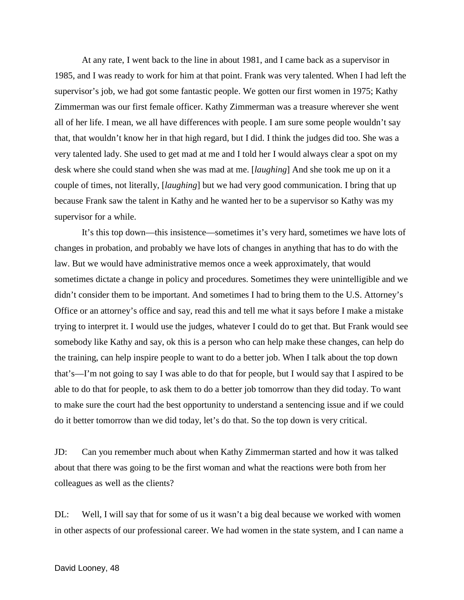At any rate, I went back to the line in about 1981, and I came back as a supervisor in 1985, and I was ready to work for him at that point. Frank was very talented. When I had left the supervisor's job, we had got some fantastic people. We gotten our first women in 1975; Kathy Zimmerman was our first female officer. Kathy Zimmerman was a treasure wherever she went all of her life. I mean, we all have differences with people. I am sure some people wouldn't say that, that wouldn't know her in that high regard, but I did. I think the judges did too. She was a very talented lady. She used to get mad at me and I told her I would always clear a spot on my desk where she could stand when she was mad at me. [*laughing*] And she took me up on it a couple of times, not literally, [*laughing*] but we had very good communication. I bring that up because Frank saw the talent in Kathy and he wanted her to be a supervisor so Kathy was my supervisor for a while.

It's this top down—this insistence—sometimes it's very hard, sometimes we have lots of changes in probation, and probably we have lots of changes in anything that has to do with the law. But we would have administrative memos once a week approximately, that would sometimes dictate a change in policy and procedures. Sometimes they were unintelligible and we didn't consider them to be important. And sometimes I had to bring them to the U.S. Attorney's Office or an attorney's office and say, read this and tell me what it says before I make a mistake trying to interpret it. I would use the judges, whatever I could do to get that. But Frank would see somebody like Kathy and say, ok this is a person who can help make these changes, can help do the training, can help inspire people to want to do a better job. When I talk about the top down that's—I'm not going to say I was able to do that for people, but I would say that I aspired to be able to do that for people, to ask them to do a better job tomorrow than they did today. To want to make sure the court had the best opportunity to understand a sentencing issue and if we could do it better tomorrow than we did today, let's do that. So the top down is very critical.

JD: Can you remember much about when Kathy Zimmerman started and how it was talked about that there was going to be the first woman and what the reactions were both from her colleagues as well as the clients?

DL: Well, I will say that for some of us it wasn't a big deal because we worked with women in other aspects of our professional career. We had women in the state system, and I can name a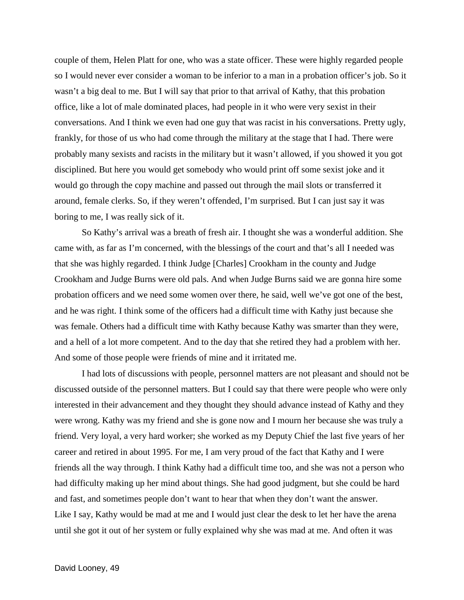couple of them, Helen Platt for one, who was a state officer. These were highly regarded people so I would never ever consider a woman to be inferior to a man in a probation officer's job. So it wasn't a big deal to me. But I will say that prior to that arrival of Kathy, that this probation office, like a lot of male dominated places, had people in it who were very sexist in their conversations. And I think we even had one guy that was racist in his conversations. Pretty ugly, frankly, for those of us who had come through the military at the stage that I had. There were probably many sexists and racists in the military but it wasn't allowed, if you showed it you got disciplined. But here you would get somebody who would print off some sexist joke and it would go through the copy machine and passed out through the mail slots or transferred it around, female clerks. So, if they weren't offended, I'm surprised. But I can just say it was boring to me, I was really sick of it.

So Kathy's arrival was a breath of fresh air. I thought she was a wonderful addition. She came with, as far as I'm concerned, with the blessings of the court and that's all I needed was that she was highly regarded. I think Judge [Charles] Crookham in the county and Judge Crookham and Judge Burns were old pals. And when Judge Burns said we are gonna hire some probation officers and we need some women over there, he said, well we've got one of the best, and he was right. I think some of the officers had a difficult time with Kathy just because she was female. Others had a difficult time with Kathy because Kathy was smarter than they were, and a hell of a lot more competent. And to the day that she retired they had a problem with her. And some of those people were friends of mine and it irritated me.

I had lots of discussions with people, personnel matters are not pleasant and should not be discussed outside of the personnel matters. But I could say that there were people who were only interested in their advancement and they thought they should advance instead of Kathy and they were wrong. Kathy was my friend and she is gone now and I mourn her because she was truly a friend. Very loyal, a very hard worker; she worked as my Deputy Chief the last five years of her career and retired in about 1995. For me, I am very proud of the fact that Kathy and I were friends all the way through. I think Kathy had a difficult time too, and she was not a person who had difficulty making up her mind about things. She had good judgment, but she could be hard and fast, and sometimes people don't want to hear that when they don't want the answer. Like I say, Kathy would be mad at me and I would just clear the desk to let her have the arena until she got it out of her system or fully explained why she was mad at me. And often it was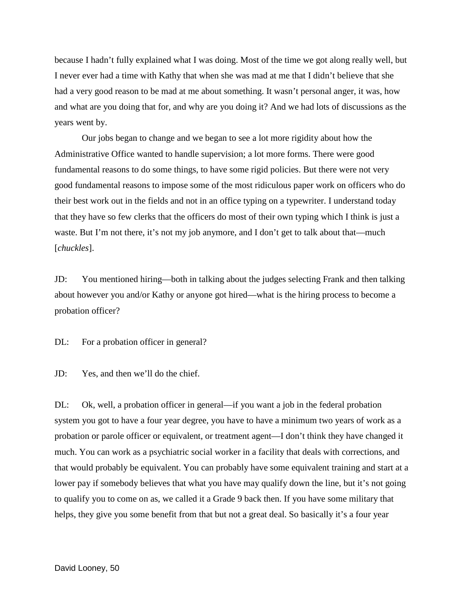because I hadn't fully explained what I was doing. Most of the time we got along really well, but I never ever had a time with Kathy that when she was mad at me that I didn't believe that she had a very good reason to be mad at me about something. It wasn't personal anger, it was, how and what are you doing that for, and why are you doing it? And we had lots of discussions as the years went by.

Our jobs began to change and we began to see a lot more rigidity about how the Administrative Office wanted to handle supervision; a lot more forms. There were good fundamental reasons to do some things, to have some rigid policies. But there were not very good fundamental reasons to impose some of the most ridiculous paper work on officers who do their best work out in the fields and not in an office typing on a typewriter. I understand today that they have so few clerks that the officers do most of their own typing which I think is just a waste. But I'm not there, it's not my job anymore, and I don't get to talk about that—much [*chuckles*].

JD: You mentioned hiring—both in talking about the judges selecting Frank and then talking about however you and/or Kathy or anyone got hired—what is the hiring process to become a probation officer?

DL: For a probation officer in general?

JD: Yes, and then we'll do the chief.

DL: Ok, well, a probation officer in general—if you want a job in the federal probation system you got to have a four year degree, you have to have a minimum two years of work as a probation or parole officer or equivalent, or treatment agent—I don't think they have changed it much. You can work as a psychiatric social worker in a facility that deals with corrections, and that would probably be equivalent. You can probably have some equivalent training and start at a lower pay if somebody believes that what you have may qualify down the line, but it's not going to qualify you to come on as, we called it a Grade 9 back then. If you have some military that helps, they give you some benefit from that but not a great deal. So basically it's a four year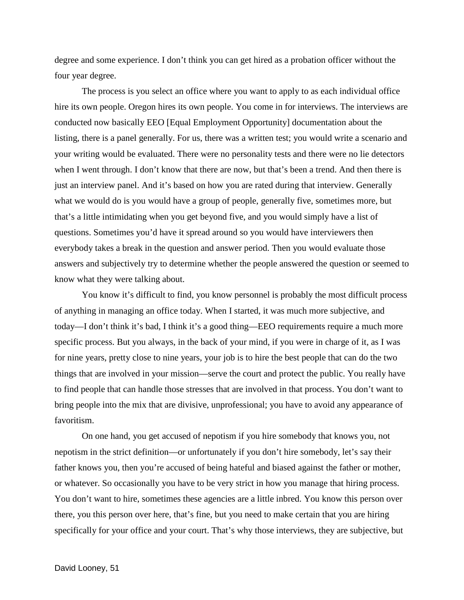degree and some experience. I don't think you can get hired as a probation officer without the four year degree.

The process is you select an office where you want to apply to as each individual office hire its own people. Oregon hires its own people. You come in for interviews. The interviews are conducted now basically EEO [Equal Employment Opportunity] documentation about the listing, there is a panel generally. For us, there was a written test; you would write a scenario and your writing would be evaluated. There were no personality tests and there were no lie detectors when I went through. I don't know that there are now, but that's been a trend. And then there is just an interview panel. And it's based on how you are rated during that interview. Generally what we would do is you would have a group of people, generally five, sometimes more, but that's a little intimidating when you get beyond five, and you would simply have a list of questions. Sometimes you'd have it spread around so you would have interviewers then everybody takes a break in the question and answer period. Then you would evaluate those answers and subjectively try to determine whether the people answered the question or seemed to know what they were talking about.

You know it's difficult to find, you know personnel is probably the most difficult process of anything in managing an office today. When I started, it was much more subjective, and today—I don't think it's bad, I think it's a good thing—EEO requirements require a much more specific process. But you always, in the back of your mind, if you were in charge of it, as I was for nine years, pretty close to nine years, your job is to hire the best people that can do the two things that are involved in your mission—serve the court and protect the public. You really have to find people that can handle those stresses that are involved in that process. You don't want to bring people into the mix that are divisive, unprofessional; you have to avoid any appearance of favoritism.

On one hand, you get accused of nepotism if you hire somebody that knows you, not nepotism in the strict definition—or unfortunately if you don't hire somebody, let's say their father knows you, then you're accused of being hateful and biased against the father or mother, or whatever. So occasionally you have to be very strict in how you manage that hiring process. You don't want to hire, sometimes these agencies are a little inbred. You know this person over there, you this person over here, that's fine, but you need to make certain that you are hiring specifically for your office and your court. That's why those interviews, they are subjective, but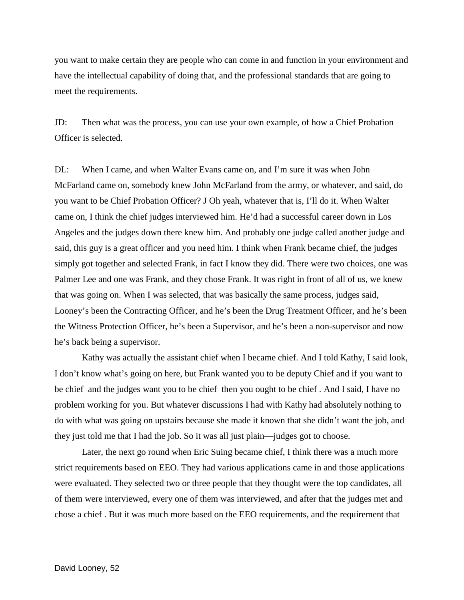you want to make certain they are people who can come in and function in your environment and have the intellectual capability of doing that, and the professional standards that are going to meet the requirements.

JD: Then what was the process, you can use your own example, of how a Chief Probation Officer is selected.

DL: When I came, and when Walter Evans came on, and I'm sure it was when John McFarland came on, somebody knew John McFarland from the army, or whatever, and said, do you want to be Chief Probation Officer? J Oh yeah, whatever that is, I'll do it. When Walter came on, I think the chief judges interviewed him. He'd had a successful career down in Los Angeles and the judges down there knew him. And probably one judge called another judge and said, this guy is a great officer and you need him. I think when Frank became chief, the judges simply got together and selected Frank, in fact I know they did. There were two choices, one was Palmer Lee and one was Frank, and they chose Frank. It was right in front of all of us, we knew that was going on. When I was selected, that was basically the same process, judges said, Looney's been the Contracting Officer, and he's been the Drug Treatment Officer, and he's been the Witness Protection Officer, he's been a Supervisor, and he's been a non-supervisor and now he's back being a supervisor.

Kathy was actually the assistant chief when I became chief. And I told Kathy, I said look, I don't know what's going on here, but Frank wanted you to be deputy Chief and if you want to be chief and the judges want you to be chief then you ought to be chief . And I said, I have no problem working for you. But whatever discussions I had with Kathy had absolutely nothing to do with what was going on upstairs because she made it known that she didn't want the job, and they just told me that I had the job. So it was all just plain—judges got to choose.

Later, the next go round when Eric Suing became chief, I think there was a much more strict requirements based on EEO. They had various applications came in and those applications were evaluated. They selected two or three people that they thought were the top candidates, all of them were interviewed, every one of them was interviewed, and after that the judges met and chose a chief . But it was much more based on the EEO requirements, and the requirement that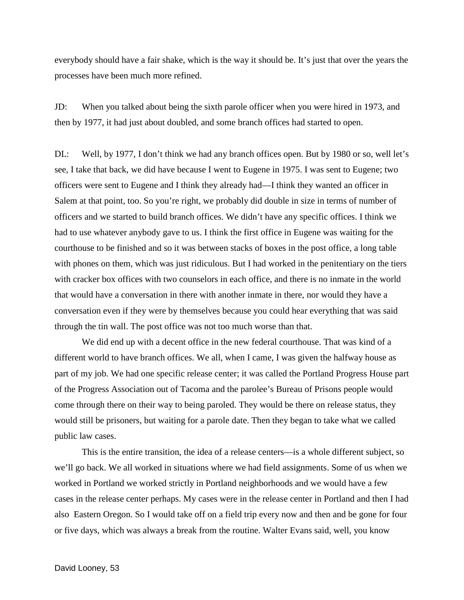everybody should have a fair shake, which is the way it should be. It's just that over the years the processes have been much more refined.

JD: When you talked about being the sixth parole officer when you were hired in 1973, and then by 1977, it had just about doubled, and some branch offices had started to open.

DL: Well, by 1977, I don't think we had any branch offices open. But by 1980 or so, well let's see, I take that back, we did have because I went to Eugene in 1975. I was sent to Eugene; two officers were sent to Eugene and I think they already had—I think they wanted an officer in Salem at that point, too. So you're right, we probably did double in size in terms of number of officers and we started to build branch offices. We didn't have any specific offices. I think we had to use whatever anybody gave to us. I think the first office in Eugene was waiting for the courthouse to be finished and so it was between stacks of boxes in the post office, a long table with phones on them, which was just ridiculous. But I had worked in the penitentiary on the tiers with cracker box offices with two counselors in each office, and there is no inmate in the world that would have a conversation in there with another inmate in there, nor would they have a conversation even if they were by themselves because you could hear everything that was said through the tin wall. The post office was not too much worse than that.

We did end up with a decent office in the new federal courthouse. That was kind of a different world to have branch offices. We all, when I came, I was given the halfway house as part of my job. We had one specific release center; it was called the Portland Progress House part of the Progress Association out of Tacoma and the parolee's Bureau of Prisons people would come through there on their way to being paroled. They would be there on release status, they would still be prisoners, but waiting for a parole date. Then they began to take what we called public law cases.

This is the entire transition, the idea of a release centers—is a whole different subject, so we'll go back. We all worked in situations where we had field assignments. Some of us when we worked in Portland we worked strictly in Portland neighborhoods and we would have a few cases in the release center perhaps. My cases were in the release center in Portland and then I had also Eastern Oregon. So I would take off on a field trip every now and then and be gone for four or five days, which was always a break from the routine. Walter Evans said, well, you know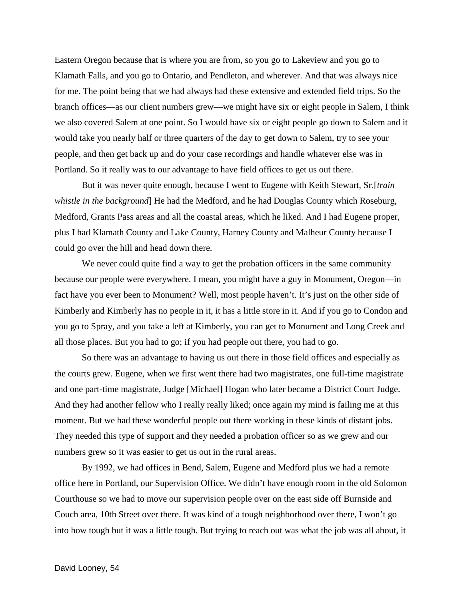Eastern Oregon because that is where you are from, so you go to Lakeview and you go to Klamath Falls, and you go to Ontario, and Pendleton, and wherever. And that was always nice for me. The point being that we had always had these extensive and extended field trips. So the branch offices—as our client numbers grew—we might have six or eight people in Salem, I think we also covered Salem at one point. So I would have six or eight people go down to Salem and it would take you nearly half or three quarters of the day to get down to Salem, try to see your people, and then get back up and do your case recordings and handle whatever else was in Portland. So it really was to our advantage to have field offices to get us out there.

But it was never quite enough, because I went to Eugene with Keith Stewart, Sr.[*train whistle in the background*] He had the Medford, and he had Douglas County which Roseburg, Medford, Grants Pass areas and all the coastal areas, which he liked. And I had Eugene proper, plus I had Klamath County and Lake County, Harney County and Malheur County because I could go over the hill and head down there.

We never could quite find a way to get the probation officers in the same community because our people were everywhere. I mean, you might have a guy in Monument, Oregon—in fact have you ever been to Monument? Well, most people haven't. It's just on the other side of Kimberly and Kimberly has no people in it, it has a little store in it. And if you go to Condon and you go to Spray, and you take a left at Kimberly, you can get to Monument and Long Creek and all those places. But you had to go; if you had people out there, you had to go.

So there was an advantage to having us out there in those field offices and especially as the courts grew. Eugene, when we first went there had two magistrates, one full-time magistrate and one part-time magistrate, Judge [Michael] Hogan who later became a District Court Judge. And they had another fellow who I really really liked; once again my mind is failing me at this moment. But we had these wonderful people out there working in these kinds of distant jobs. They needed this type of support and they needed a probation officer so as we grew and our numbers grew so it was easier to get us out in the rural areas.

By 1992, we had offices in Bend, Salem, Eugene and Medford plus we had a remote office here in Portland, our Supervision Office. We didn't have enough room in the old Solomon Courthouse so we had to move our supervision people over on the east side off Burnside and Couch area, 10th Street over there. It was kind of a tough neighborhood over there, I won't go into how tough but it was a little tough. But trying to reach out was what the job was all about, it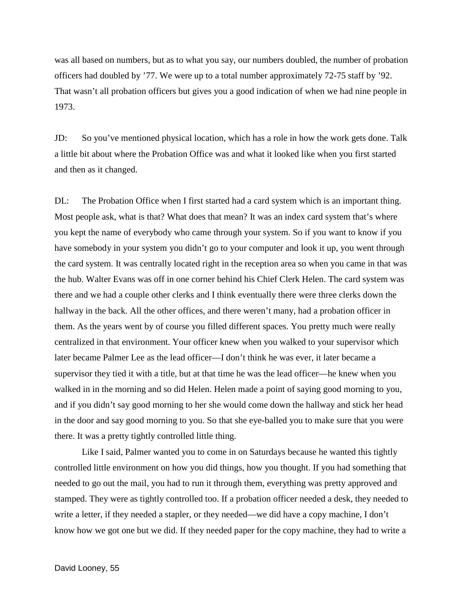was all based on numbers, but as to what you say, our numbers doubled, the number of probation officers had doubled by '77. We were up to a total number approximately 72-75 staff by '92. That wasn't all probation officers but gives you a good indication of when we had nine people in 1973.

JD: So you've mentioned physical location, which has a role in how the work gets done. Talk a little bit about where the Probation Office was and what it looked like when you first started and then as it changed.

DL: The Probation Office when I first started had a card system which is an important thing. Most people ask, what is that? What does that mean? It was an index card system that's where you kept the name of everybody who came through your system. So if you want to know if you have somebody in your system you didn't go to your computer and look it up, you went through the card system. It was centrally located right in the reception area so when you came in that was the hub. Walter Evans was off in one corner behind his Chief Clerk Helen. The card system was there and we had a couple other clerks and I think eventually there were three clerks down the hallway in the back. All the other offices, and there weren't many, had a probation officer in them. As the years went by of course you filled different spaces. You pretty much were really centralized in that environment. Your officer knew when you walked to your supervisor which later became Palmer Lee as the lead officer—I don't think he was ever, it later became a supervisor they tied it with a title, but at that time he was the lead officer—he knew when you walked in in the morning and so did Helen. Helen made a point of saying good morning to you, and if you didn't say good morning to her she would come down the hallway and stick her head in the door and say good morning to you. So that she eye-balled you to make sure that you were there. It was a pretty tightly controlled little thing.

Like I said, Palmer wanted you to come in on Saturdays because he wanted this tightly controlled little environment on how you did things, how you thought. If you had something that needed to go out the mail, you had to run it through them, everything was pretty approved and stamped. They were as tightly controlled too. If a probation officer needed a desk, they needed to write a letter, if they needed a stapler, or they needed—we did have a copy machine, I don't know how we got one but we did. If they needed paper for the copy machine, they had to write a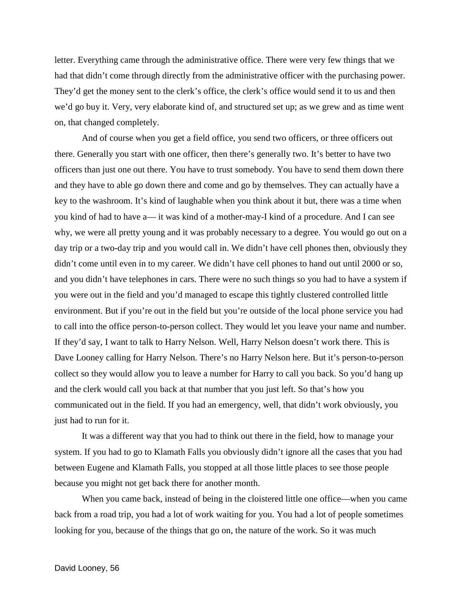letter. Everything came through the administrative office. There were very few things that we had that didn't come through directly from the administrative officer with the purchasing power. They'd get the money sent to the clerk's office, the clerk's office would send it to us and then we'd go buy it. Very, very elaborate kind of, and structured set up; as we grew and as time went on, that changed completely.

And of course when you get a field office, you send two officers, or three officers out there. Generally you start with one officer, then there's generally two. It's better to have two officers than just one out there. You have to trust somebody. You have to send them down there and they have to able go down there and come and go by themselves. They can actually have a key to the washroom. It's kind of laughable when you think about it but, there was a time when you kind of had to have a— it was kind of a mother-may-I kind of a procedure. And I can see why, we were all pretty young and it was probably necessary to a degree. You would go out on a day trip or a two-day trip and you would call in. We didn't have cell phones then, obviously they didn't come until even in to my career. We didn't have cell phones to hand out until 2000 or so, and you didn't have telephones in cars. There were no such things so you had to have a system if you were out in the field and you'd managed to escape this tightly clustered controlled little environment. But if you're out in the field but you're outside of the local phone service you had to call into the office person-to-person collect. They would let you leave your name and number. If they'd say, I want to talk to Harry Nelson. Well, Harry Nelson doesn't work there. This is Dave Looney calling for Harry Nelson. There's no Harry Nelson here. But it's person-to-person collect so they would allow you to leave a number for Harry to call you back. So you'd hang up and the clerk would call you back at that number that you just left. So that's how you communicated out in the field. If you had an emergency, well, that didn't work obviously, you just had to run for it.

It was a different way that you had to think out there in the field, how to manage your system. If you had to go to Klamath Falls you obviously didn't ignore all the cases that you had between Eugene and Klamath Falls, you stopped at all those little places to see those people because you might not get back there for another month.

When you came back, instead of being in the cloistered little one office—when you came back from a road trip, you had a lot of work waiting for you. You had a lot of people sometimes looking for you, because of the things that go on, the nature of the work. So it was much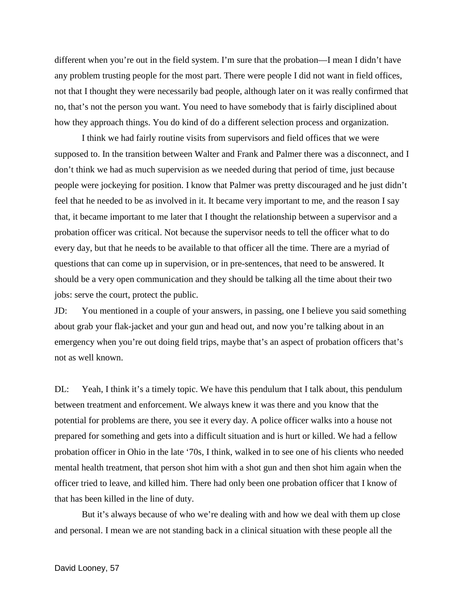different when you're out in the field system. I'm sure that the probation—I mean I didn't have any problem trusting people for the most part. There were people I did not want in field offices, not that I thought they were necessarily bad people, although later on it was really confirmed that no, that's not the person you want. You need to have somebody that is fairly disciplined about how they approach things. You do kind of do a different selection process and organization.

I think we had fairly routine visits from supervisors and field offices that we were supposed to. In the transition between Walter and Frank and Palmer there was a disconnect, and I don't think we had as much supervision as we needed during that period of time, just because people were jockeying for position. I know that Palmer was pretty discouraged and he just didn't feel that he needed to be as involved in it. It became very important to me, and the reason I say that, it became important to me later that I thought the relationship between a supervisor and a probation officer was critical. Not because the supervisor needs to tell the officer what to do every day, but that he needs to be available to that officer all the time. There are a myriad of questions that can come up in supervision, or in pre-sentences, that need to be answered. It should be a very open communication and they should be talking all the time about their two jobs: serve the court, protect the public.

JD: You mentioned in a couple of your answers, in passing, one I believe you said something about grab your flak-jacket and your gun and head out, and now you're talking about in an emergency when you're out doing field trips, maybe that's an aspect of probation officers that's not as well known.

DL: Yeah, I think it's a timely topic. We have this pendulum that I talk about, this pendulum between treatment and enforcement. We always knew it was there and you know that the potential for problems are there, you see it every day. A police officer walks into a house not prepared for something and gets into a difficult situation and is hurt or killed. We had a fellow probation officer in Ohio in the late '70s, I think, walked in to see one of his clients who needed mental health treatment, that person shot him with a shot gun and then shot him again when the officer tried to leave, and killed him. There had only been one probation officer that I know of that has been killed in the line of duty.

But it's always because of who we're dealing with and how we deal with them up close and personal. I mean we are not standing back in a clinical situation with these people all the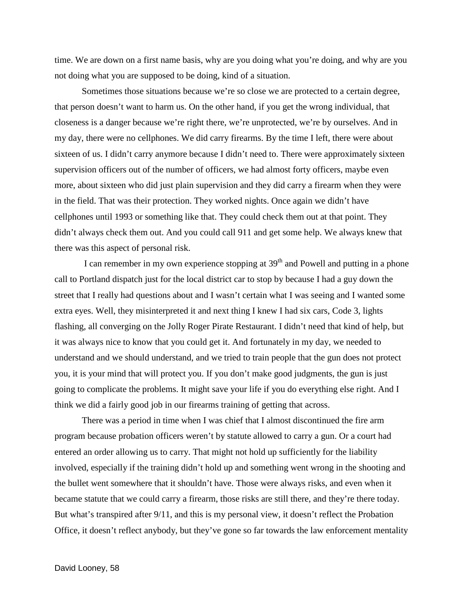time. We are down on a first name basis, why are you doing what you're doing, and why are you not doing what you are supposed to be doing, kind of a situation.

Sometimes those situations because we're so close we are protected to a certain degree, that person doesn't want to harm us. On the other hand, if you get the wrong individual, that closeness is a danger because we're right there, we're unprotected, we're by ourselves. And in my day, there were no cellphones. We did carry firearms. By the time I left, there were about sixteen of us. I didn't carry anymore because I didn't need to. There were approximately sixteen supervision officers out of the number of officers, we had almost forty officers, maybe even more, about sixteen who did just plain supervision and they did carry a firearm when they were in the field. That was their protection. They worked nights. Once again we didn't have cellphones until 1993 or something like that. They could check them out at that point. They didn't always check them out. And you could call 911 and get some help. We always knew that there was this aspect of personal risk.

I can remember in my own experience stopping at  $39<sup>th</sup>$  and Powell and putting in a phone call to Portland dispatch just for the local district car to stop by because I had a guy down the street that I really had questions about and I wasn't certain what I was seeing and I wanted some extra eyes. Well, they misinterpreted it and next thing I knew I had six cars, Code 3, lights flashing, all converging on the Jolly Roger Pirate Restaurant. I didn't need that kind of help, but it was always nice to know that you could get it. And fortunately in my day, we needed to understand and we should understand, and we tried to train people that the gun does not protect you, it is your mind that will protect you. If you don't make good judgments, the gun is just going to complicate the problems. It might save your life if you do everything else right. And I think we did a fairly good job in our firearms training of getting that across.

There was a period in time when I was chief that I almost discontinued the fire arm program because probation officers weren't by statute allowed to carry a gun. Or a court had entered an order allowing us to carry. That might not hold up sufficiently for the liability involved, especially if the training didn't hold up and something went wrong in the shooting and the bullet went somewhere that it shouldn't have. Those were always risks, and even when it became statute that we could carry a firearm, those risks are still there, and they're there today. But what's transpired after 9/11, and this is my personal view, it doesn't reflect the Probation Office, it doesn't reflect anybody, but they've gone so far towards the law enforcement mentality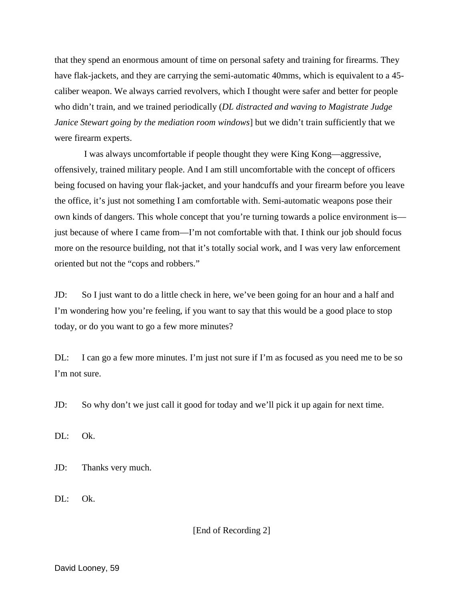that they spend an enormous amount of time on personal safety and training for firearms. They have flak-jackets, and they are carrying the semi-automatic 40mms, which is equivalent to a 45 caliber weapon. We always carried revolvers, which I thought were safer and better for people who didn't train, and we trained periodically (*DL distracted and waving to Magistrate Judge Janice Stewart going by the mediation room windows*] but we didn't train sufficiently that we were firearm experts.

I was always uncomfortable if people thought they were King Kong—aggressive, offensively, trained military people. And I am still uncomfortable with the concept of officers being focused on having your flak-jacket, and your handcuffs and your firearm before you leave the office, it's just not something I am comfortable with. Semi-automatic weapons pose their own kinds of dangers. This whole concept that you're turning towards a police environment is just because of where I came from—I'm not comfortable with that. I think our job should focus more on the resource building, not that it's totally social work, and I was very law enforcement oriented but not the "cops and robbers."

JD: So I just want to do a little check in here, we've been going for an hour and a half and I'm wondering how you're feeling, if you want to say that this would be a good place to stop today, or do you want to go a few more minutes?

DL: I can go a few more minutes. I'm just not sure if I'm as focused as you need me to be so I'm not sure.

JD: So why don't we just call it good for today and we'll pick it up again for next time.

DL: Ok.

JD: Thanks very much.

 $DL = Ok$ 

[End of Recording 2]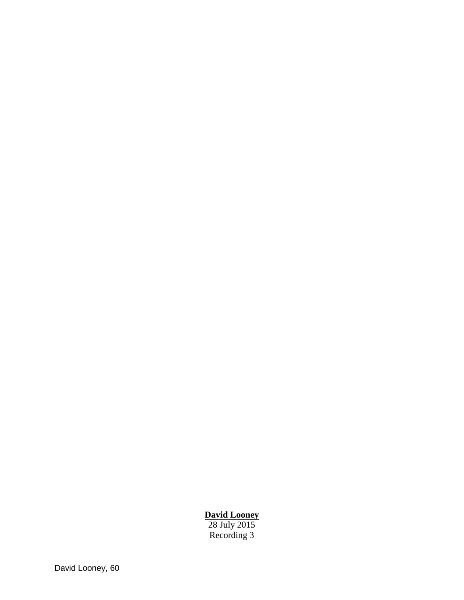## **David Looney**

28 July 2015 Recording 3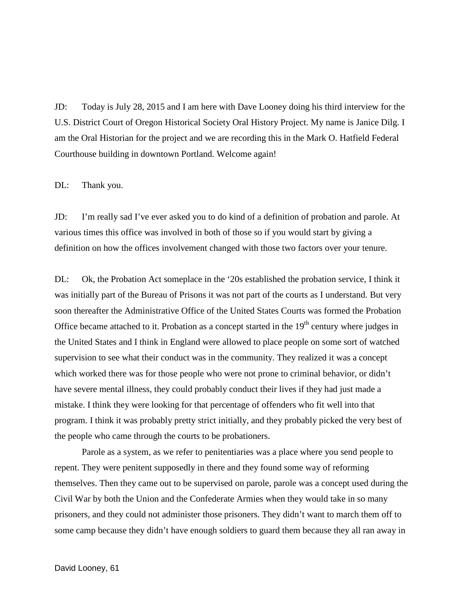JD: Today is July 28, 2015 and I am here with Dave Looney doing his third interview for the U.S. District Court of Oregon Historical Society Oral History Project. My name is Janice Dilg. I am the Oral Historian for the project and we are recording this in the Mark O. Hatfield Federal Courthouse building in downtown Portland. Welcome again!

DL: Thank you.

JD: I'm really sad I've ever asked you to do kind of a definition of probation and parole. At various times this office was involved in both of those so if you would start by giving a definition on how the offices involvement changed with those two factors over your tenure.

DL: Ok, the Probation Act someplace in the '20s established the probation service, I think it was initially part of the Bureau of Prisons it was not part of the courts as I understand. But very soon thereafter the Administrative Office of the United States Courts was formed the Probation Office became attached to it. Probation as a concept started in the  $19<sup>th</sup>$  century where judges in the United States and I think in England were allowed to place people on some sort of watched supervision to see what their conduct was in the community. They realized it was a concept which worked there was for those people who were not prone to criminal behavior, or didn't have severe mental illness, they could probably conduct their lives if they had just made a mistake. I think they were looking for that percentage of offenders who fit well into that program. I think it was probably pretty strict initially, and they probably picked the very best of the people who came through the courts to be probationers.

Parole as a system, as we refer to penitentiaries was a place where you send people to repent. They were penitent supposedly in there and they found some way of reforming themselves. Then they came out to be supervised on parole, parole was a concept used during the Civil War by both the Union and the Confederate Armies when they would take in so many prisoners, and they could not administer those prisoners. They didn't want to march them off to some camp because they didn't have enough soldiers to guard them because they all ran away in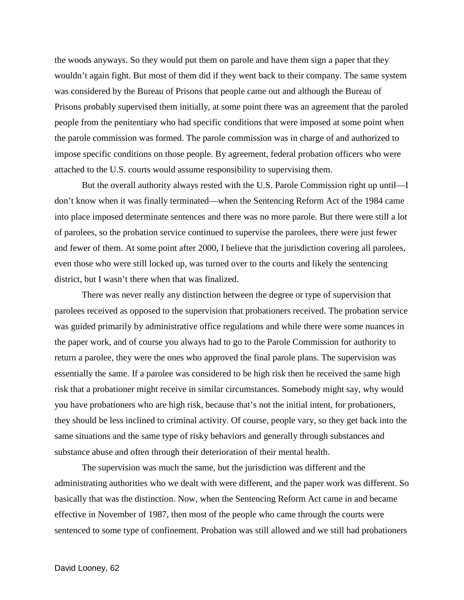the woods anyways. So they would put them on parole and have them sign a paper that they wouldn't again fight. But most of them did if they went back to their company. The same system was considered by the Bureau of Prisons that people came out and although the Bureau of Prisons probably supervised them initially, at some point there was an agreement that the paroled people from the penitentiary who had specific conditions that were imposed at some point when the parole commission was formed. The parole commission was in charge of and authorized to impose specific conditions on those people. By agreement, federal probation officers who were attached to the U.S. courts would assume responsibility to supervising them.

But the overall authority always rested with the U.S. Parole Commission right up until—I don't know when it was finally terminated—when the Sentencing Reform Act of the 1984 came into place imposed determinate sentences and there was no more parole. But there were still a lot of parolees, so the probation service continued to supervise the parolees, there were just fewer and fewer of them. At some point after 2000, I believe that the jurisdiction covering all parolees, even those who were still locked up, was turned over to the courts and likely the sentencing district, but I wasn't there when that was finalized.

There was never really any distinction between the degree or type of supervision that parolees received as opposed to the supervision that probationers received. The probation service was guided primarily by administrative office regulations and while there were some nuances in the paper work, and of course you always had to go to the Parole Commission for authority to return a parolee, they were the ones who approved the final parole plans. The supervision was essentially the same. If a parolee was considered to be high risk then he received the same high risk that a probationer might receive in similar circumstances. Somebody might say, why would you have probationers who are high risk, because that's not the initial intent, for probationers, they should be less inclined to criminal activity. Of course, people vary, so they get back into the same situations and the same type of risky behaviors and generally through substances and substance abuse and often through their deterioration of their mental health.

The supervision was much the same, but the jurisdiction was different and the administrating authorities who we dealt with were different, and the paper work was different. So basically that was the distinction. Now, when the Sentencing Reform Act came in and became effective in November of 1987, then most of the people who came through the courts were sentenced to some type of confinement. Probation was still allowed and we still had probationers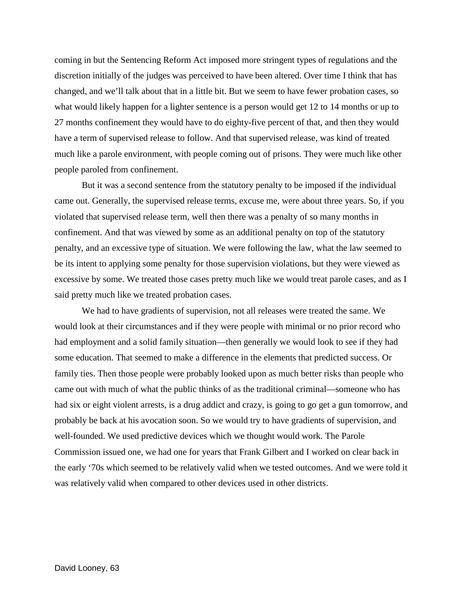coming in but the Sentencing Reform Act imposed more stringent types of regulations and the discretion initially of the judges was perceived to have been altered. Over time I think that has changed, and we'll talk about that in a little bit. But we seem to have fewer probation cases, so what would likely happen for a lighter sentence is a person would get 12 to 14 months or up to 27 months confinement they would have to do eighty-five percent of that, and then they would have a term of supervised release to follow. And that supervised release, was kind of treated much like a parole environment, with people coming out of prisons. They were much like other people paroled from confinement.

But it was a second sentence from the statutory penalty to be imposed if the individual came out. Generally, the supervised release terms, excuse me, were about three years. So, if you violated that supervised release term, well then there was a penalty of so many months in confinement. And that was viewed by some as an additional penalty on top of the statutory penalty, and an excessive type of situation. We were following the law, what the law seemed to be its intent to applying some penalty for those supervision violations, but they were viewed as excessive by some. We treated those cases pretty much like we would treat parole cases, and as I said pretty much like we treated probation cases.

We had to have gradients of supervision, not all releases were treated the same. We would look at their circumstances and if they were people with minimal or no prior record who had employment and a solid family situation—then generally we would look to see if they had some education. That seemed to make a difference in the elements that predicted success. Or family ties. Then those people were probably looked upon as much better risks than people who came out with much of what the public thinks of as the traditional criminal—someone who has had six or eight violent arrests, is a drug addict and crazy, is going to go get a gun tomorrow, and probably be back at his avocation soon. So we would try to have gradients of supervision, and well-founded. We used predictive devices which we thought would work. The Parole Commission issued one, we had one for years that Frank Gilbert and I worked on clear back in the early '70s which seemed to be relatively valid when we tested outcomes. And we were told it was relatively valid when compared to other devices used in other districts.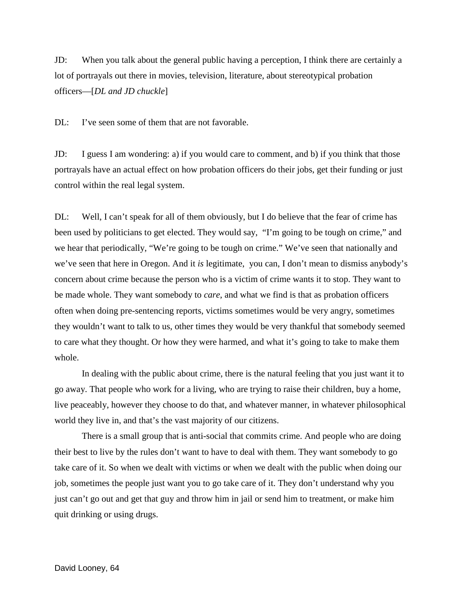JD: When you talk about the general public having a perception, I think there are certainly a lot of portrayals out there in movies, television, literature, about stereotypical probation officers—[*DL and JD chuckle*]

DL: I've seen some of them that are not favorable.

JD: I guess I am wondering: a) if you would care to comment, and b) if you think that those portrayals have an actual effect on how probation officers do their jobs, get their funding or just control within the real legal system.

DL: Well, I can't speak for all of them obviously, but I do believe that the fear of crime has been used by politicians to get elected. They would say, "I'm going to be tough on crime," and we hear that periodically, "We're going to be tough on crime." We've seen that nationally and we've seen that here in Oregon. And it *is* legitimate, you can, I don't mean to dismiss anybody's concern about crime because the person who is a victim of crime wants it to stop. They want to be made whole. They want somebody to *care*, and what we find is that as probation officers often when doing pre-sentencing reports, victims sometimes would be very angry, sometimes they wouldn't want to talk to us, other times they would be very thankful that somebody seemed to care what they thought. Or how they were harmed, and what it's going to take to make them whole.

In dealing with the public about crime, there is the natural feeling that you just want it to go away. That people who work for a living, who are trying to raise their children, buy a home, live peaceably, however they choose to do that, and whatever manner, in whatever philosophical world they live in, and that's the vast majority of our citizens.

There is a small group that is anti-social that commits crime. And people who are doing their best to live by the rules don't want to have to deal with them. They want somebody to go take care of it. So when we dealt with victims or when we dealt with the public when doing our job, sometimes the people just want you to go take care of it. They don't understand why you just can't go out and get that guy and throw him in jail or send him to treatment, or make him quit drinking or using drugs.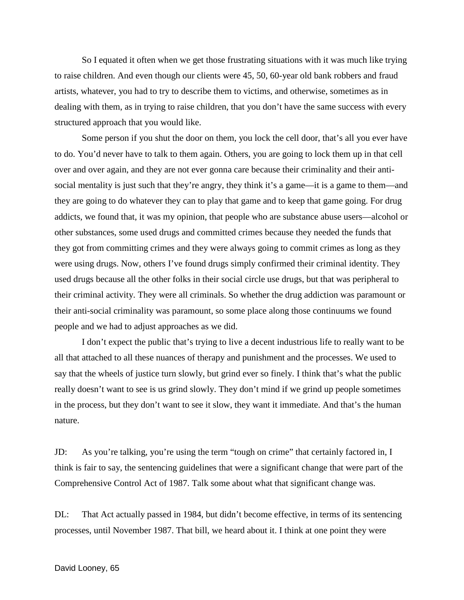So I equated it often when we get those frustrating situations with it was much like trying to raise children. And even though our clients were 45, 50, 60-year old bank robbers and fraud artists, whatever, you had to try to describe them to victims, and otherwise, sometimes as in dealing with them, as in trying to raise children, that you don't have the same success with every structured approach that you would like.

Some person if you shut the door on them, you lock the cell door, that's all you ever have to do. You'd never have to talk to them again. Others, you are going to lock them up in that cell over and over again, and they are not ever gonna care because their criminality and their antisocial mentality is just such that they're angry, they think it's a game—it is a game to them—and they are going to do whatever they can to play that game and to keep that game going. For drug addicts, we found that, it was my opinion, that people who are substance abuse users—alcohol or other substances, some used drugs and committed crimes because they needed the funds that they got from committing crimes and they were always going to commit crimes as long as they were using drugs. Now, others I've found drugs simply confirmed their criminal identity. They used drugs because all the other folks in their social circle use drugs, but that was peripheral to their criminal activity. They were all criminals. So whether the drug addiction was paramount or their anti-social criminality was paramount, so some place along those continuums we found people and we had to adjust approaches as we did.

I don't expect the public that's trying to live a decent industrious life to really want to be all that attached to all these nuances of therapy and punishment and the processes. We used to say that the wheels of justice turn slowly, but grind ever so finely. I think that's what the public really doesn't want to see is us grind slowly. They don't mind if we grind up people sometimes in the process, but they don't want to see it slow, they want it immediate. And that's the human nature.

JD: As you're talking, you're using the term "tough on crime" that certainly factored in, I think is fair to say, the sentencing guidelines that were a significant change that were part of the Comprehensive Control Act of 1987. Talk some about what that significant change was.

DL: That Act actually passed in 1984, but didn't become effective, in terms of its sentencing processes, until November 1987. That bill, we heard about it. I think at one point they were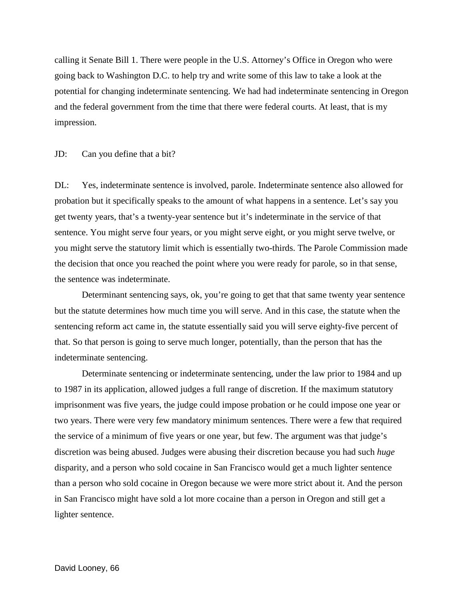calling it Senate Bill 1. There were people in the U.S. Attorney's Office in Oregon who were going back to Washington D.C. to help try and write some of this law to take a look at the potential for changing indeterminate sentencing. We had had indeterminate sentencing in Oregon and the federal government from the time that there were federal courts. At least, that is my impression.

## JD: Can you define that a bit?

DL: Yes, indeterminate sentence is involved, parole. Indeterminate sentence also allowed for probation but it specifically speaks to the amount of what happens in a sentence. Let's say you get twenty years, that's a twenty-year sentence but it's indeterminate in the service of that sentence. You might serve four years, or you might serve eight, or you might serve twelve, or you might serve the statutory limit which is essentially two-thirds. The Parole Commission made the decision that once you reached the point where you were ready for parole, so in that sense, the sentence was indeterminate.

Determinant sentencing says, ok, you're going to get that that same twenty year sentence but the statute determines how much time you will serve. And in this case, the statute when the sentencing reform act came in, the statute essentially said you will serve eighty-five percent of that. So that person is going to serve much longer, potentially, than the person that has the indeterminate sentencing.

Determinate sentencing or indeterminate sentencing, under the law prior to 1984 and up to 1987 in its application, allowed judges a full range of discretion. If the maximum statutory imprisonment was five years, the judge could impose probation or he could impose one year or two years. There were very few mandatory minimum sentences. There were a few that required the service of a minimum of five years or one year, but few. The argument was that judge's discretion was being abused. Judges were abusing their discretion because you had such *huge*  disparity, and a person who sold cocaine in San Francisco would get a much lighter sentence than a person who sold cocaine in Oregon because we were more strict about it. And the person in San Francisco might have sold a lot more cocaine than a person in Oregon and still get a lighter sentence.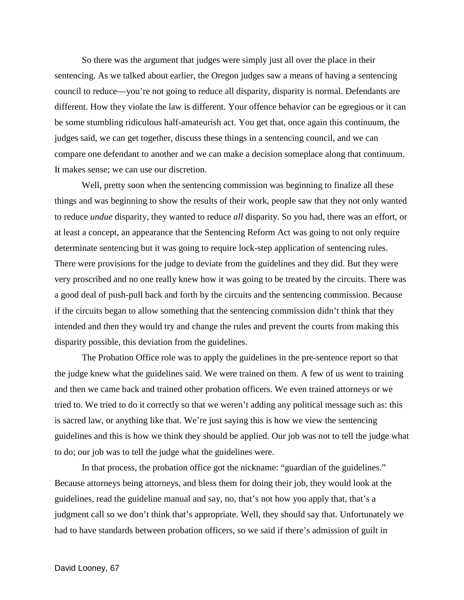So there was the argument that judges were simply just all over the place in their sentencing. As we talked about earlier, the Oregon judges saw a means of having a sentencing council to reduce—you're not going to reduce all disparity, disparity is normal. Defendants are different. How they violate the law is different. Your offence behavior can be egregious or it can be some stumbling ridiculous half-amateurish act. You get that, once again this continuum, the judges said, we can get together, discuss these things in a sentencing council, and we can compare one defendant to another and we can make a decision someplace along that continuum. It makes sense; we can use our discretion.

Well, pretty soon when the sentencing commission was beginning to finalize all these things and was beginning to show the results of their work, people saw that they not only wanted to reduce *undue* disparity, they wanted to reduce *all* disparity. So you had, there was an effort, or at least a concept, an appearance that the Sentencing Reform Act was going to not only require determinate sentencing but it was going to require lock-step application of sentencing rules. There were provisions for the judge to deviate from the guidelines and they did. But they were very proscribed and no one really knew how it was going to be treated by the circuits. There was a good deal of push-pull back and forth by the circuits and the sentencing commission. Because if the circuits began to allow something that the sentencing commission didn't think that they intended and then they would try and change the rules and prevent the courts from making this disparity possible, this deviation from the guidelines.

The Probation Office role was to apply the guidelines in the pre-sentence report so that the judge knew what the guidelines said. We were trained on them. A few of us went to training and then we came back and trained other probation officers. We even trained attorneys or we tried to. We tried to do it correctly so that we weren't adding any political message such as: this is sacred law, or anything like that. We're just saying this is how we view the sentencing guidelines and this is how we think they should be applied. Our job was not to tell the judge what to do; our job was to tell the judge what the guidelines were.

In that process, the probation office got the nickname: "guardian of the guidelines." Because attorneys being attorneys, and bless them for doing their job, they would look at the guidelines, read the guideline manual and say, no, that's not how you apply that, that's a judgment call so we don't think that's appropriate. Well, they should say that. Unfortunately we had to have standards between probation officers, so we said if there's admission of guilt in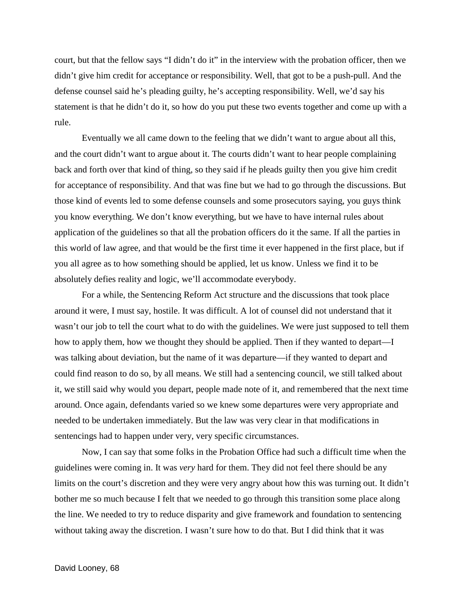court, but that the fellow says "I didn't do it" in the interview with the probation officer, then we didn't give him credit for acceptance or responsibility. Well, that got to be a push-pull. And the defense counsel said he's pleading guilty, he's accepting responsibility. Well, we'd say his statement is that he didn't do it, so how do you put these two events together and come up with a rule.

Eventually we all came down to the feeling that we didn't want to argue about all this, and the court didn't want to argue about it. The courts didn't want to hear people complaining back and forth over that kind of thing, so they said if he pleads guilty then you give him credit for acceptance of responsibility. And that was fine but we had to go through the discussions. But those kind of events led to some defense counsels and some prosecutors saying, you guys think you know everything. We don't know everything, but we have to have internal rules about application of the guidelines so that all the probation officers do it the same. If all the parties in this world of law agree, and that would be the first time it ever happened in the first place, but if you all agree as to how something should be applied, let us know. Unless we find it to be absolutely defies reality and logic, we'll accommodate everybody.

For a while, the Sentencing Reform Act structure and the discussions that took place around it were, I must say, hostile. It was difficult. A lot of counsel did not understand that it wasn't our job to tell the court what to do with the guidelines. We were just supposed to tell them how to apply them, how we thought they should be applied. Then if they wanted to depart—I was talking about deviation, but the name of it was departure—if they wanted to depart and could find reason to do so, by all means. We still had a sentencing council, we still talked about it, we still said why would you depart, people made note of it, and remembered that the next time around. Once again, defendants varied so we knew some departures were very appropriate and needed to be undertaken immediately. But the law was very clear in that modifications in sentencings had to happen under very, very specific circumstances.

Now, I can say that some folks in the Probation Office had such a difficult time when the guidelines were coming in. It was *very* hard for them. They did not feel there should be any limits on the court's discretion and they were very angry about how this was turning out. It didn't bother me so much because I felt that we needed to go through this transition some place along the line. We needed to try to reduce disparity and give framework and foundation to sentencing without taking away the discretion. I wasn't sure how to do that. But I did think that it was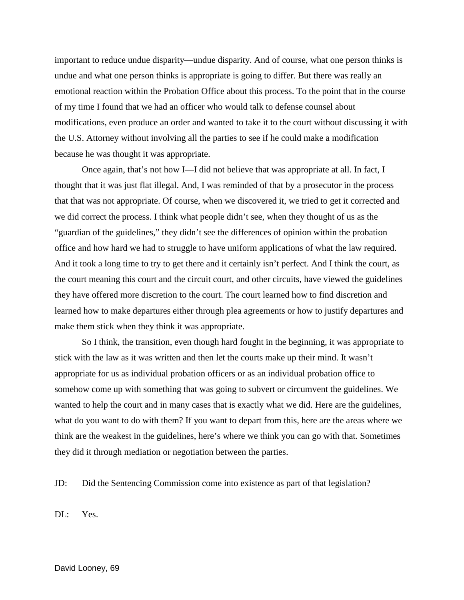important to reduce undue disparity—undue disparity. And of course, what one person thinks is undue and what one person thinks is appropriate is going to differ. But there was really an emotional reaction within the Probation Office about this process. To the point that in the course of my time I found that we had an officer who would talk to defense counsel about modifications, even produce an order and wanted to take it to the court without discussing it with the U.S. Attorney without involving all the parties to see if he could make a modification because he was thought it was appropriate.

Once again, that's not how I—I did not believe that was appropriate at all. In fact, I thought that it was just flat illegal. And, I was reminded of that by a prosecutor in the process that that was not appropriate. Of course, when we discovered it, we tried to get it corrected and we did correct the process. I think what people didn't see, when they thought of us as the "guardian of the guidelines," they didn't see the differences of opinion within the probation office and how hard we had to struggle to have uniform applications of what the law required. And it took a long time to try to get there and it certainly isn't perfect. And I think the court, as the court meaning this court and the circuit court, and other circuits, have viewed the guidelines they have offered more discretion to the court. The court learned how to find discretion and learned how to make departures either through plea agreements or how to justify departures and make them stick when they think it was appropriate.

So I think, the transition, even though hard fought in the beginning, it was appropriate to stick with the law as it was written and then let the courts make up their mind. It wasn't appropriate for us as individual probation officers or as an individual probation office to somehow come up with something that was going to subvert or circumvent the guidelines. We wanted to help the court and in many cases that is exactly what we did. Here are the guidelines, what do you want to do with them? If you want to depart from this, here are the areas where we think are the weakest in the guidelines, here's where we think you can go with that. Sometimes they did it through mediation or negotiation between the parties.

JD: Did the Sentencing Commission come into existence as part of that legislation?

DL: Yes.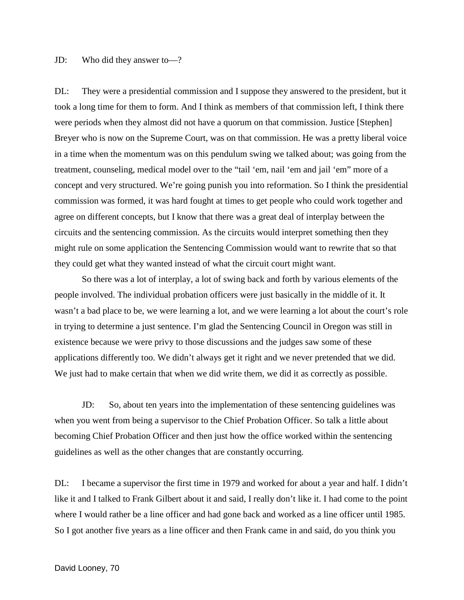## JD: Who did they answer to—?

DL: They were a presidential commission and I suppose they answered to the president, but it took a long time for them to form. And I think as members of that commission left, I think there were periods when they almost did not have a quorum on that commission. Justice [Stephen] Breyer who is now on the Supreme Court, was on that commission. He was a pretty liberal voice in a time when the momentum was on this pendulum swing we talked about; was going from the treatment, counseling, medical model over to the "tail 'em, nail 'em and jail 'em" more of a concept and very structured. We're going punish you into reformation. So I think the presidential commission was formed, it was hard fought at times to get people who could work together and agree on different concepts, but I know that there was a great deal of interplay between the circuits and the sentencing commission. As the circuits would interpret something then they might rule on some application the Sentencing Commission would want to rewrite that so that they could get what they wanted instead of what the circuit court might want.

So there was a lot of interplay, a lot of swing back and forth by various elements of the people involved. The individual probation officers were just basically in the middle of it. It wasn't a bad place to be, we were learning a lot, and we were learning a lot about the court's role in trying to determine a just sentence. I'm glad the Sentencing Council in Oregon was still in existence because we were privy to those discussions and the judges saw some of these applications differently too. We didn't always get it right and we never pretended that we did. We just had to make certain that when we did write them, we did it as correctly as possible.

JD: So, about ten years into the implementation of these sentencing guidelines was when you went from being a supervisor to the Chief Probation Officer. So talk a little about becoming Chief Probation Officer and then just how the office worked within the sentencing guidelines as well as the other changes that are constantly occurring.

DL: I became a supervisor the first time in 1979 and worked for about a year and half. I didn't like it and I talked to Frank Gilbert about it and said, I really don't like it. I had come to the point where I would rather be a line officer and had gone back and worked as a line officer until 1985. So I got another five years as a line officer and then Frank came in and said, do you think you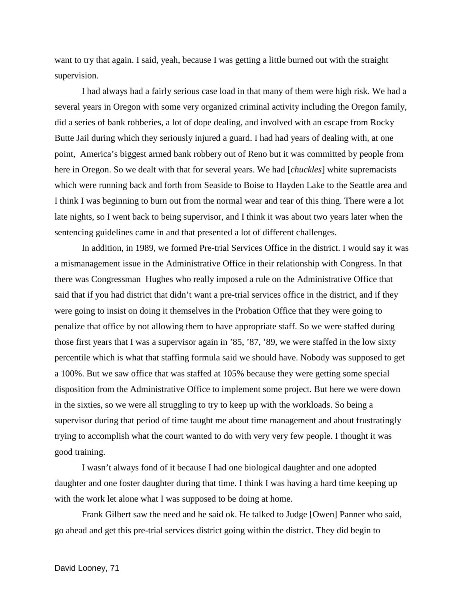want to try that again. I said, yeah, because I was getting a little burned out with the straight supervision.

I had always had a fairly serious case load in that many of them were high risk. We had a several years in Oregon with some very organized criminal activity including the Oregon family, did a series of bank robberies, a lot of dope dealing, and involved with an escape from Rocky Butte Jail during which they seriously injured a guard. I had had years of dealing with, at one point, America's biggest armed bank robbery out of Reno but it was committed by people from here in Oregon. So we dealt with that for several years. We had [*chuckles*] white supremacists which were running back and forth from Seaside to Boise to Hayden Lake to the Seattle area and I think I was beginning to burn out from the normal wear and tear of this thing. There were a lot late nights, so I went back to being supervisor, and I think it was about two years later when the sentencing guidelines came in and that presented a lot of different challenges.

In addition, in 1989, we formed Pre-trial Services Office in the district. I would say it was a mismanagement issue in the Administrative Office in their relationship with Congress. In that there was Congressman Hughes who really imposed a rule on the Administrative Office that said that if you had district that didn't want a pre-trial services office in the district, and if they were going to insist on doing it themselves in the Probation Office that they were going to penalize that office by not allowing them to have appropriate staff. So we were staffed during those first years that I was a supervisor again in '85, '87, '89, we were staffed in the low sixty percentile which is what that staffing formula said we should have. Nobody was supposed to get a 100%. But we saw office that was staffed at 105% because they were getting some special disposition from the Administrative Office to implement some project. But here we were down in the sixties, so we were all struggling to try to keep up with the workloads. So being a supervisor during that period of time taught me about time management and about frustratingly trying to accomplish what the court wanted to do with very very few people. I thought it was good training.

I wasn't always fond of it because I had one biological daughter and one adopted daughter and one foster daughter during that time. I think I was having a hard time keeping up with the work let alone what I was supposed to be doing at home.

Frank Gilbert saw the need and he said ok. He talked to Judge [Owen] Panner who said, go ahead and get this pre-trial services district going within the district. They did begin to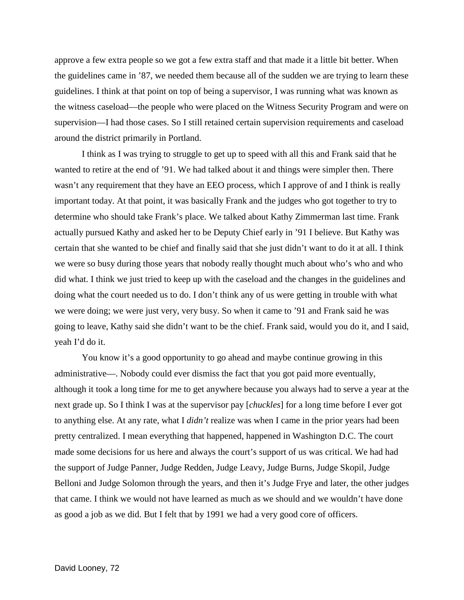approve a few extra people so we got a few extra staff and that made it a little bit better. When the guidelines came in '87, we needed them because all of the sudden we are trying to learn these guidelines. I think at that point on top of being a supervisor, I was running what was known as the witness caseload—the people who were placed on the Witness Security Program and were on supervision—I had those cases. So I still retained certain supervision requirements and caseload around the district primarily in Portland.

I think as I was trying to struggle to get up to speed with all this and Frank said that he wanted to retire at the end of '91. We had talked about it and things were simpler then. There wasn't any requirement that they have an EEO process, which I approve of and I think is really important today. At that point, it was basically Frank and the judges who got together to try to determine who should take Frank's place. We talked about Kathy Zimmerman last time. Frank actually pursued Kathy and asked her to be Deputy Chief early in '91 I believe. But Kathy was certain that she wanted to be chief and finally said that she just didn't want to do it at all. I think we were so busy during those years that nobody really thought much about who's who and who did what. I think we just tried to keep up with the caseload and the changes in the guidelines and doing what the court needed us to do. I don't think any of us were getting in trouble with what we were doing; we were just very, very busy. So when it came to '91 and Frank said he was going to leave, Kathy said she didn't want to be the chief. Frank said, would you do it, and I said, yeah I'd do it.

You know it's a good opportunity to go ahead and maybe continue growing in this administrative—. Nobody could ever dismiss the fact that you got paid more eventually, although it took a long time for me to get anywhere because you always had to serve a year at the next grade up. So I think I was at the supervisor pay [*chuckles*] for a long time before I ever got to anything else. At any rate, what I *didn't* realize was when I came in the prior years had been pretty centralized. I mean everything that happened, happened in Washington D.C. The court made some decisions for us here and always the court's support of us was critical. We had had the support of Judge Panner, Judge Redden, Judge Leavy, Judge Burns, Judge Skopil, Judge Belloni and Judge Solomon through the years, and then it's Judge Frye and later, the other judges that came. I think we would not have learned as much as we should and we wouldn't have done as good a job as we did. But I felt that by 1991 we had a very good core of officers.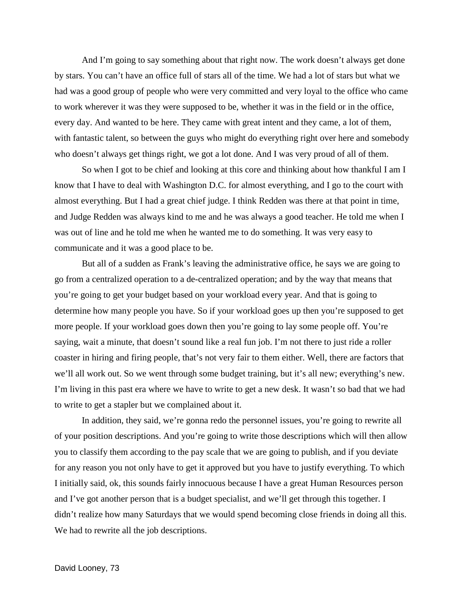And I'm going to say something about that right now. The work doesn't always get done by stars. You can't have an office full of stars all of the time. We had a lot of stars but what we had was a good group of people who were very committed and very loyal to the office who came to work wherever it was they were supposed to be, whether it was in the field or in the office, every day. And wanted to be here. They came with great intent and they came, a lot of them, with fantastic talent, so between the guys who might do everything right over here and somebody who doesn't always get things right, we got a lot done. And I was very proud of all of them.

So when I got to be chief and looking at this core and thinking about how thankful I am I know that I have to deal with Washington D.C. for almost everything, and I go to the court with almost everything. But I had a great chief judge. I think Redden was there at that point in time, and Judge Redden was always kind to me and he was always a good teacher. He told me when I was out of line and he told me when he wanted me to do something. It was very easy to communicate and it was a good place to be.

But all of a sudden as Frank's leaving the administrative office, he says we are going to go from a centralized operation to a de-centralized operation; and by the way that means that you're going to get your budget based on your workload every year. And that is going to determine how many people you have. So if your workload goes up then you're supposed to get more people. If your workload goes down then you're going to lay some people off. You're saying, wait a minute, that doesn't sound like a real fun job. I'm not there to just ride a roller coaster in hiring and firing people, that's not very fair to them either. Well, there are factors that we'll all work out. So we went through some budget training, but it's all new; everything's new. I'm living in this past era where we have to write to get a new desk. It wasn't so bad that we had to write to get a stapler but we complained about it.

In addition, they said, we're gonna redo the personnel issues, you're going to rewrite all of your position descriptions. And you're going to write those descriptions which will then allow you to classify them according to the pay scale that we are going to publish, and if you deviate for any reason you not only have to get it approved but you have to justify everything. To which I initially said, ok, this sounds fairly innocuous because I have a great Human Resources person and I've got another person that is a budget specialist, and we'll get through this together. I didn't realize how many Saturdays that we would spend becoming close friends in doing all this. We had to rewrite all the job descriptions.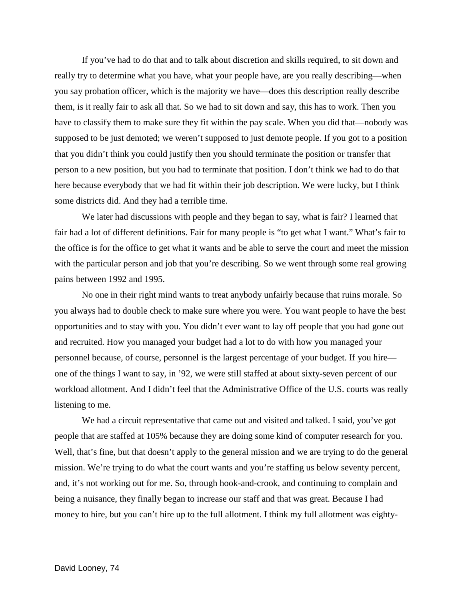If you've had to do that and to talk about discretion and skills required, to sit down and really try to determine what you have, what your people have, are you really describing—when you say probation officer, which is the majority we have—does this description really describe them, is it really fair to ask all that. So we had to sit down and say, this has to work. Then you have to classify them to make sure they fit within the pay scale. When you did that—nobody was supposed to be just demoted; we weren't supposed to just demote people. If you got to a position that you didn't think you could justify then you should terminate the position or transfer that person to a new position, but you had to terminate that position. I don't think we had to do that here because everybody that we had fit within their job description. We were lucky, but I think some districts did. And they had a terrible time.

We later had discussions with people and they began to say, what is fair? I learned that fair had a lot of different definitions. Fair for many people is "to get what I want." What's fair to the office is for the office to get what it wants and be able to serve the court and meet the mission with the particular person and job that you're describing. So we went through some real growing pains between 1992 and 1995.

No one in their right mind wants to treat anybody unfairly because that ruins morale. So you always had to double check to make sure where you were. You want people to have the best opportunities and to stay with you. You didn't ever want to lay off people that you had gone out and recruited. How you managed your budget had a lot to do with how you managed your personnel because, of course, personnel is the largest percentage of your budget. If you hire one of the things I want to say, in '92, we were still staffed at about sixty-seven percent of our workload allotment. And I didn't feel that the Administrative Office of the U.S. courts was really listening to me.

We had a circuit representative that came out and visited and talked. I said, you've got people that are staffed at 105% because they are doing some kind of computer research for you. Well, that's fine, but that doesn't apply to the general mission and we are trying to do the general mission. We're trying to do what the court wants and you're staffing us below seventy percent, and, it's not working out for me. So, through hook-and-crook, and continuing to complain and being a nuisance, they finally began to increase our staff and that was great. Because I had money to hire, but you can't hire up to the full allotment. I think my full allotment was eighty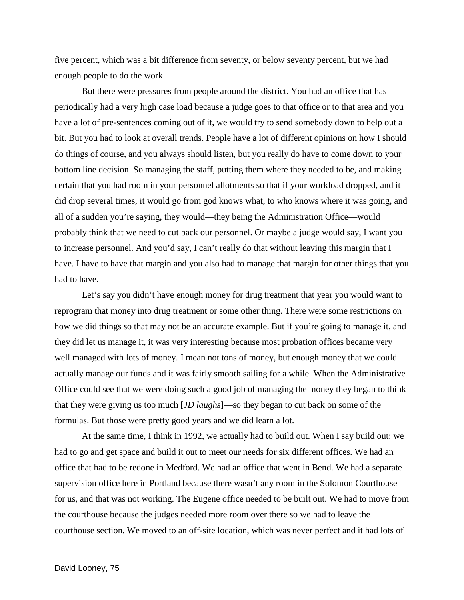five percent, which was a bit difference from seventy, or below seventy percent, but we had enough people to do the work.

But there were pressures from people around the district. You had an office that has periodically had a very high case load because a judge goes to that office or to that area and you have a lot of pre-sentences coming out of it, we would try to send somebody down to help out a bit. But you had to look at overall trends. People have a lot of different opinions on how I should do things of course, and you always should listen, but you really do have to come down to your bottom line decision. So managing the staff, putting them where they needed to be, and making certain that you had room in your personnel allotments so that if your workload dropped, and it did drop several times, it would go from god knows what, to who knows where it was going, and all of a sudden you're saying, they would—they being the Administration Office—would probably think that we need to cut back our personnel. Or maybe a judge would say, I want you to increase personnel. And you'd say, I can't really do that without leaving this margin that I have. I have to have that margin and you also had to manage that margin for other things that you had to have.

Let's say you didn't have enough money for drug treatment that year you would want to reprogram that money into drug treatment or some other thing. There were some restrictions on how we did things so that may not be an accurate example. But if you're going to manage it, and they did let us manage it, it was very interesting because most probation offices became very well managed with lots of money. I mean not tons of money, but enough money that we could actually manage our funds and it was fairly smooth sailing for a while. When the Administrative Office could see that we were doing such a good job of managing the money they began to think that they were giving us too much [*JD laughs*]—so they began to cut back on some of the formulas. But those were pretty good years and we did learn a lot.

At the same time, I think in 1992, we actually had to build out. When I say build out: we had to go and get space and build it out to meet our needs for six different offices. We had an office that had to be redone in Medford. We had an office that went in Bend. We had a separate supervision office here in Portland because there wasn't any room in the Solomon Courthouse for us, and that was not working. The Eugene office needed to be built out. We had to move from the courthouse because the judges needed more room over there so we had to leave the courthouse section. We moved to an off-site location, which was never perfect and it had lots of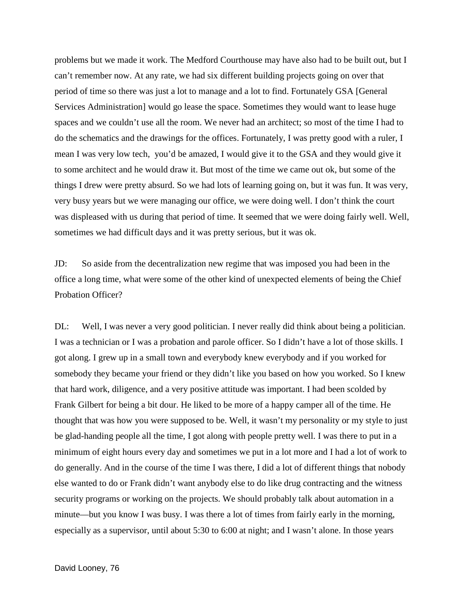problems but we made it work. The Medford Courthouse may have also had to be built out, but I can't remember now. At any rate, we had six different building projects going on over that period of time so there was just a lot to manage and a lot to find. Fortunately GSA [General Services Administration] would go lease the space. Sometimes they would want to lease huge spaces and we couldn't use all the room. We never had an architect; so most of the time I had to do the schematics and the drawings for the offices. Fortunately, I was pretty good with a ruler, I mean I was very low tech, you'd be amazed, I would give it to the GSA and they would give it to some architect and he would draw it. But most of the time we came out ok, but some of the things I drew were pretty absurd. So we had lots of learning going on, but it was fun. It was very, very busy years but we were managing our office, we were doing well. I don't think the court was displeased with us during that period of time. It seemed that we were doing fairly well. Well, sometimes we had difficult days and it was pretty serious, but it was ok.

JD: So aside from the decentralization new regime that was imposed you had been in the office a long time, what were some of the other kind of unexpected elements of being the Chief Probation Officer?

DL: Well, I was never a very good politician. I never really did think about being a politician. I was a technician or I was a probation and parole officer. So I didn't have a lot of those skills. I got along. I grew up in a small town and everybody knew everybody and if you worked for somebody they became your friend or they didn't like you based on how you worked. So I knew that hard work, diligence, and a very positive attitude was important. I had been scolded by Frank Gilbert for being a bit dour. He liked to be more of a happy camper all of the time. He thought that was how you were supposed to be. Well, it wasn't my personality or my style to just be glad-handing people all the time, I got along with people pretty well. I was there to put in a minimum of eight hours every day and sometimes we put in a lot more and I had a lot of work to do generally. And in the course of the time I was there, I did a lot of different things that nobody else wanted to do or Frank didn't want anybody else to do like drug contracting and the witness security programs or working on the projects. We should probably talk about automation in a minute—but you know I was busy. I was there a lot of times from fairly early in the morning, especially as a supervisor, until about 5:30 to 6:00 at night; and I wasn't alone. In those years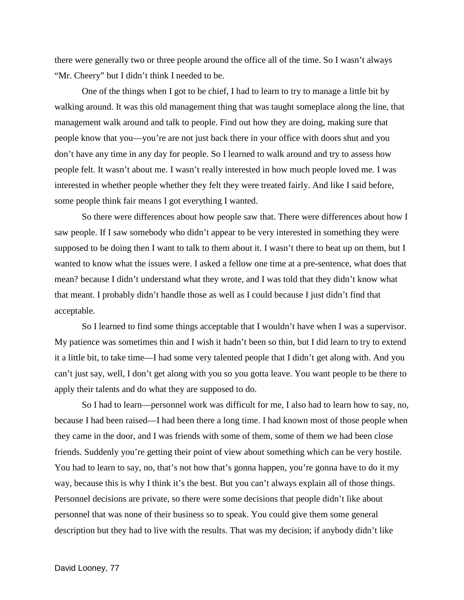there were generally two or three people around the office all of the time. So I wasn't always "Mr. Cheery" but I didn't think I needed to be.

One of the things when I got to be chief, I had to learn to try to manage a little bit by walking around. It was this old management thing that was taught someplace along the line, that management walk around and talk to people. Find out how they are doing, making sure that people know that you—you're are not just back there in your office with doors shut and you don't have any time in any day for people. So I learned to walk around and try to assess how people felt. It wasn't about me. I wasn't really interested in how much people loved me. I was interested in whether people whether they felt they were treated fairly. And like I said before, some people think fair means I got everything I wanted.

So there were differences about how people saw that. There were differences about how I saw people. If I saw somebody who didn't appear to be very interested in something they were supposed to be doing then I want to talk to them about it. I wasn't there to beat up on them, but I wanted to know what the issues were. I asked a fellow one time at a pre-sentence, what does that mean? because I didn't understand what they wrote, and I was told that they didn't know what that meant. I probably didn't handle those as well as I could because I just didn't find that acceptable.

So I learned to find some things acceptable that I wouldn't have when I was a supervisor. My patience was sometimes thin and I wish it hadn't been so thin, but I did learn to try to extend it a little bit, to take time—I had some very talented people that I didn't get along with. And you can't just say, well, I don't get along with you so you gotta leave. You want people to be there to apply their talents and do what they are supposed to do.

So I had to learn—personnel work was difficult for me, I also had to learn how to say, no, because I had been raised—I had been there a long time. I had known most of those people when they came in the door, and I was friends with some of them, some of them we had been close friends. Suddenly you're getting their point of view about something which can be very hostile. You had to learn to say, no, that's not how that's gonna happen, you're gonna have to do it my way, because this is why I think it's the best. But you can't always explain all of those things. Personnel decisions are private, so there were some decisions that people didn't like about personnel that was none of their business so to speak. You could give them some general description but they had to live with the results. That was my decision; if anybody didn't like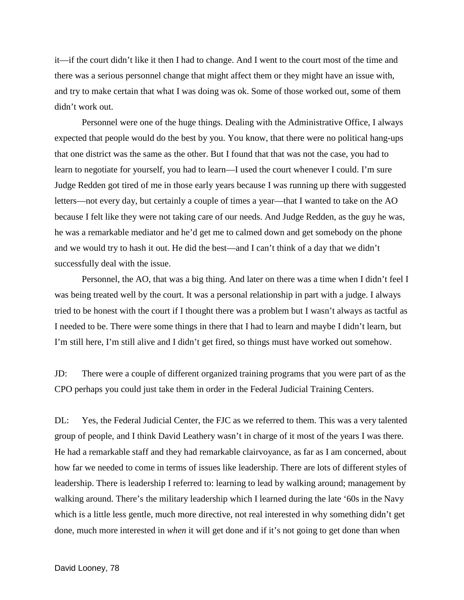it—if the court didn't like it then I had to change. And I went to the court most of the time and there was a serious personnel change that might affect them or they might have an issue with, and try to make certain that what I was doing was ok. Some of those worked out, some of them didn't work out.

Personnel were one of the huge things. Dealing with the Administrative Office, I always expected that people would do the best by you. You know, that there were no political hang-ups that one district was the same as the other. But I found that that was not the case, you had to learn to negotiate for yourself, you had to learn—I used the court whenever I could. I'm sure Judge Redden got tired of me in those early years because I was running up there with suggested letters—not every day, but certainly a couple of times a year—that I wanted to take on the AO because I felt like they were not taking care of our needs. And Judge Redden, as the guy he was, he was a remarkable mediator and he'd get me to calmed down and get somebody on the phone and we would try to hash it out. He did the best—and I can't think of a day that we didn't successfully deal with the issue.

Personnel, the AO, that was a big thing. And later on there was a time when I didn't feel I was being treated well by the court. It was a personal relationship in part with a judge. I always tried to be honest with the court if I thought there was a problem but I wasn't always as tactful as I needed to be. There were some things in there that I had to learn and maybe I didn't learn, but I'm still here, I'm still alive and I didn't get fired, so things must have worked out somehow.

JD: There were a couple of different organized training programs that you were part of as the CPO perhaps you could just take them in order in the Federal Judicial Training Centers.

DL: Yes, the Federal Judicial Center, the FJC as we referred to them. This was a very talented group of people, and I think David Leathery wasn't in charge of it most of the years I was there. He had a remarkable staff and they had remarkable clairvoyance, as far as I am concerned, about how far we needed to come in terms of issues like leadership. There are lots of different styles of leadership. There is leadership I referred to: learning to lead by walking around; management by walking around. There's the military leadership which I learned during the late '60s in the Navy which is a little less gentle, much more directive, not real interested in why something didn't get done, much more interested in *when* it will get done and if it's not going to get done than when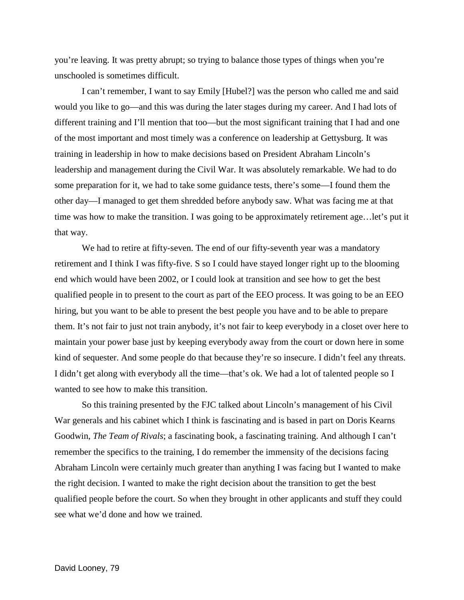you're leaving. It was pretty abrupt; so trying to balance those types of things when you're unschooled is sometimes difficult.

I can't remember, I want to say Emily [Hubel?] was the person who called me and said would you like to go—and this was during the later stages during my career. And I had lots of different training and I'll mention that too—but the most significant training that I had and one of the most important and most timely was a conference on leadership at Gettysburg. It was training in leadership in how to make decisions based on President Abraham Lincoln's leadership and management during the Civil War. It was absolutely remarkable. We had to do some preparation for it, we had to take some guidance tests, there's some—I found them the other day—I managed to get them shredded before anybody saw. What was facing me at that time was how to make the transition. I was going to be approximately retirement age…let's put it that way.

We had to retire at fifty-seven. The end of our fifty-seventh year was a mandatory retirement and I think I was fifty-five. S so I could have stayed longer right up to the blooming end which would have been 2002, or I could look at transition and see how to get the best qualified people in to present to the court as part of the EEO process. It was going to be an EEO hiring, but you want to be able to present the best people you have and to be able to prepare them. It's not fair to just not train anybody, it's not fair to keep everybody in a closet over here to maintain your power base just by keeping everybody away from the court or down here in some kind of sequester. And some people do that because they're so insecure. I didn't feel any threats. I didn't get along with everybody all the time—that's ok. We had a lot of talented people so I wanted to see how to make this transition.

So this training presented by the FJC talked about Lincoln's management of his Civil War generals and his cabinet which I think is fascinating and is based in part on Doris Kearns Goodwin, *The Team of Rivals*; a fascinating book, a fascinating training. And although I can't remember the specifics to the training, I do remember the immensity of the decisions facing Abraham Lincoln were certainly much greater than anything I was facing but I wanted to make the right decision. I wanted to make the right decision about the transition to get the best qualified people before the court. So when they brought in other applicants and stuff they could see what we'd done and how we trained.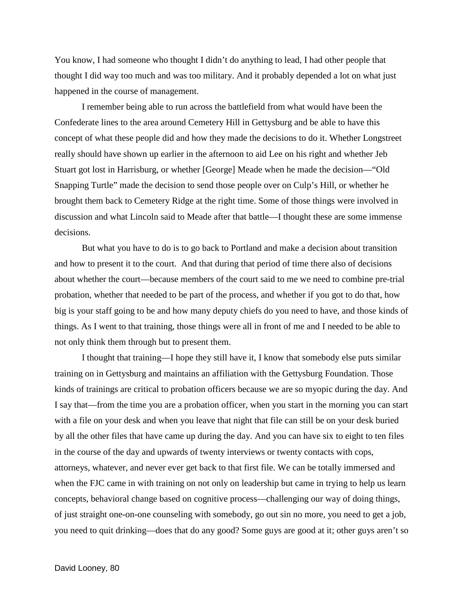You know, I had someone who thought I didn't do anything to lead, I had other people that thought I did way too much and was too military. And it probably depended a lot on what just happened in the course of management.

I remember being able to run across the battlefield from what would have been the Confederate lines to the area around Cemetery Hill in Gettysburg and be able to have this concept of what these people did and how they made the decisions to do it. Whether Longstreet really should have shown up earlier in the afternoon to aid Lee on his right and whether Jeb Stuart got lost in Harrisburg, or whether [George] Meade when he made the decision—"Old Snapping Turtle" made the decision to send those people over on Culp's Hill, or whether he brought them back to Cemetery Ridge at the right time. Some of those things were involved in discussion and what Lincoln said to Meade after that battle—I thought these are some immense decisions.

But what you have to do is to go back to Portland and make a decision about transition and how to present it to the court. And that during that period of time there also of decisions about whether the court—because members of the court said to me we need to combine pre-trial probation, whether that needed to be part of the process, and whether if you got to do that, how big is your staff going to be and how many deputy chiefs do you need to have, and those kinds of things. As I went to that training, those things were all in front of me and I needed to be able to not only think them through but to present them.

I thought that training—I hope they still have it, I know that somebody else puts similar training on in Gettysburg and maintains an affiliation with the Gettysburg Foundation. Those kinds of trainings are critical to probation officers because we are so myopic during the day. And I say that—from the time you are a probation officer, when you start in the morning you can start with a file on your desk and when you leave that night that file can still be on your desk buried by all the other files that have came up during the day. And you can have six to eight to ten files in the course of the day and upwards of twenty interviews or twenty contacts with cops, attorneys, whatever, and never ever get back to that first file. We can be totally immersed and when the FJC came in with training on not only on leadership but came in trying to help us learn concepts, behavioral change based on cognitive process—challenging our way of doing things, of just straight one-on-one counseling with somebody, go out sin no more, you need to get a job, you need to quit drinking—does that do any good? Some guys are good at it; other guys aren't so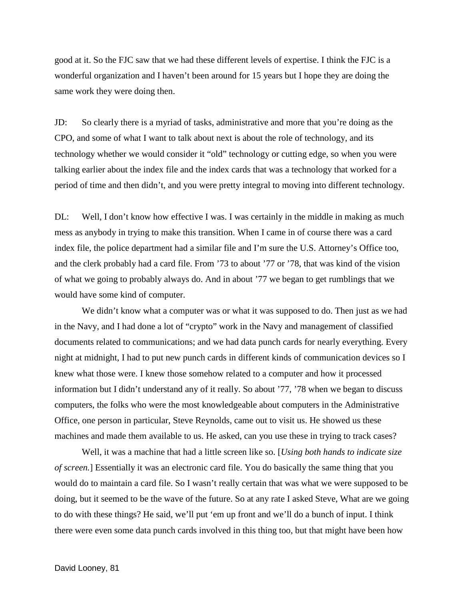good at it. So the FJC saw that we had these different levels of expertise. I think the FJC is a wonderful organization and I haven't been around for 15 years but I hope they are doing the same work they were doing then.

JD: So clearly there is a myriad of tasks, administrative and more that you're doing as the CPO, and some of what I want to talk about next is about the role of technology, and its technology whether we would consider it "old" technology or cutting edge, so when you were talking earlier about the index file and the index cards that was a technology that worked for a period of time and then didn't, and you were pretty integral to moving into different technology.

DL: Well, I don't know how effective I was. I was certainly in the middle in making as much mess as anybody in trying to make this transition. When I came in of course there was a card index file, the police department had a similar file and I'm sure the U.S. Attorney's Office too, and the clerk probably had a card file. From '73 to about '77 or '78, that was kind of the vision of what we going to probably always do. And in about '77 we began to get rumblings that we would have some kind of computer.

We didn't know what a computer was or what it was supposed to do. Then just as we had in the Navy, and I had done a lot of "crypto" work in the Navy and management of classified documents related to communications; and we had data punch cards for nearly everything. Every night at midnight, I had to put new punch cards in different kinds of communication devices so I knew what those were. I knew those somehow related to a computer and how it processed information but I didn't understand any of it really. So about '77, '78 when we began to discuss computers, the folks who were the most knowledgeable about computers in the Administrative Office, one person in particular, Steve Reynolds, came out to visit us. He showed us these machines and made them available to us. He asked, can you use these in trying to track cases?

Well, it was a machine that had a little screen like so. [*Using both hands to indicate size of screen.*] Essentially it was an electronic card file. You do basically the same thing that you would do to maintain a card file. So I wasn't really certain that was what we were supposed to be doing, but it seemed to be the wave of the future. So at any rate I asked Steve, What are we going to do with these things? He said, we'll put 'em up front and we'll do a bunch of input. I think there were even some data punch cards involved in this thing too, but that might have been how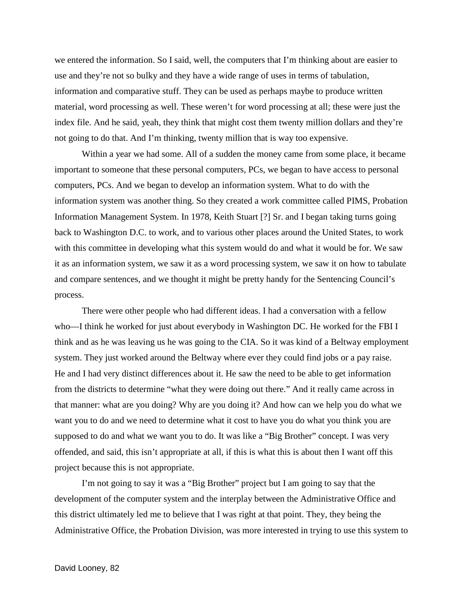we entered the information. So I said, well, the computers that I'm thinking about are easier to use and they're not so bulky and they have a wide range of uses in terms of tabulation, information and comparative stuff. They can be used as perhaps maybe to produce written material, word processing as well. These weren't for word processing at all; these were just the index file. And he said, yeah, they think that might cost them twenty million dollars and they're not going to do that. And I'm thinking, twenty million that is way too expensive.

Within a year we had some. All of a sudden the money came from some place, it became important to someone that these personal computers, PCs, we began to have access to personal computers, PCs. And we began to develop an information system. What to do with the information system was another thing. So they created a work committee called PIMS, Probation Information Management System. In 1978, Keith Stuart [?] Sr. and I began taking turns going back to Washington D.C. to work, and to various other places around the United States, to work with this committee in developing what this system would do and what it would be for. We saw it as an information system, we saw it as a word processing system, we saw it on how to tabulate and compare sentences, and we thought it might be pretty handy for the Sentencing Council's process.

There were other people who had different ideas. I had a conversation with a fellow who—I think he worked for just about everybody in Washington DC. He worked for the FBI I think and as he was leaving us he was going to the CIA. So it was kind of a Beltway employment system. They just worked around the Beltway where ever they could find jobs or a pay raise. He and I had very distinct differences about it. He saw the need to be able to get information from the districts to determine "what they were doing out there." And it really came across in that manner: what are you doing? Why are you doing it? And how can we help you do what we want you to do and we need to determine what it cost to have you do what you think you are supposed to do and what we want you to do. It was like a "Big Brother" concept. I was very offended, and said, this isn't appropriate at all, if this is what this is about then I want off this project because this is not appropriate.

I'm not going to say it was a "Big Brother" project but I am going to say that the development of the computer system and the interplay between the Administrative Office and this district ultimately led me to believe that I was right at that point. They, they being the Administrative Office, the Probation Division, was more interested in trying to use this system to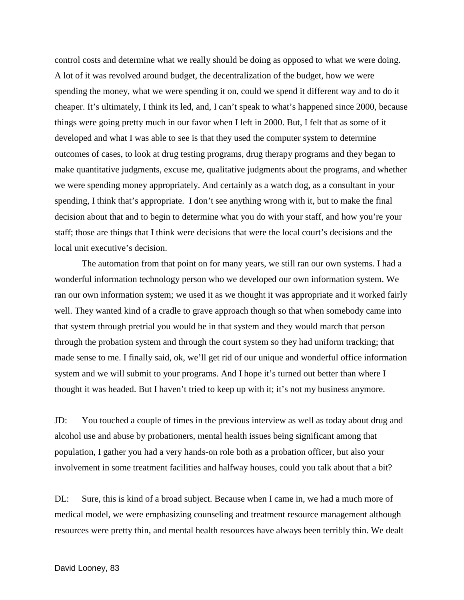control costs and determine what we really should be doing as opposed to what we were doing. A lot of it was revolved around budget, the decentralization of the budget, how we were spending the money, what we were spending it on, could we spend it different way and to do it cheaper. It's ultimately, I think its led, and, I can't speak to what's happened since 2000, because things were going pretty much in our favor when I left in 2000. But, I felt that as some of it developed and what I was able to see is that they used the computer system to determine outcomes of cases, to look at drug testing programs, drug therapy programs and they began to make quantitative judgments, excuse me, qualitative judgments about the programs, and whether we were spending money appropriately. And certainly as a watch dog, as a consultant in your spending, I think that's appropriate. I don't see anything wrong with it, but to make the final decision about that and to begin to determine what you do with your staff, and how you're your staff; those are things that I think were decisions that were the local court's decisions and the local unit executive's decision.

The automation from that point on for many years, we still ran our own systems. I had a wonderful information technology person who we developed our own information system. We ran our own information system; we used it as we thought it was appropriate and it worked fairly well. They wanted kind of a cradle to grave approach though so that when somebody came into that system through pretrial you would be in that system and they would march that person through the probation system and through the court system so they had uniform tracking; that made sense to me. I finally said, ok, we'll get rid of our unique and wonderful office information system and we will submit to your programs. And I hope it's turned out better than where I thought it was headed. But I haven't tried to keep up with it; it's not my business anymore.

JD: You touched a couple of times in the previous interview as well as today about drug and alcohol use and abuse by probationers, mental health issues being significant among that population, I gather you had a very hands-on role both as a probation officer, but also your involvement in some treatment facilities and halfway houses, could you talk about that a bit?

DL: Sure, this is kind of a broad subject. Because when I came in, we had a much more of medical model, we were emphasizing counseling and treatment resource management although resources were pretty thin, and mental health resources have always been terribly thin. We dealt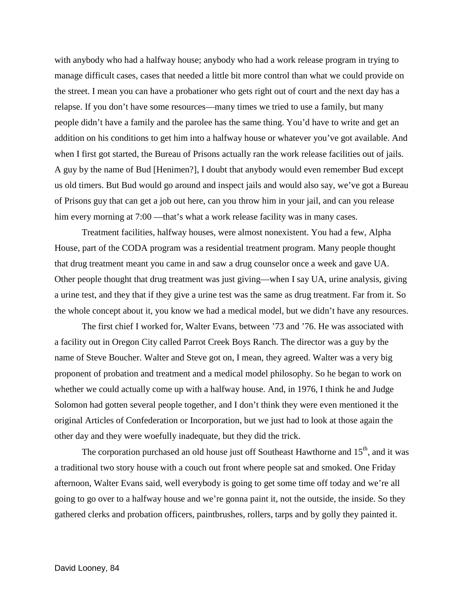with anybody who had a halfway house; anybody who had a work release program in trying to manage difficult cases, cases that needed a little bit more control than what we could provide on the street. I mean you can have a probationer who gets right out of court and the next day has a relapse. If you don't have some resources—many times we tried to use a family, but many people didn't have a family and the parolee has the same thing. You'd have to write and get an addition on his conditions to get him into a halfway house or whatever you've got available. And when I first got started, the Bureau of Prisons actually ran the work release facilities out of jails. A guy by the name of Bud [Henimen?], I doubt that anybody would even remember Bud except us old timers. But Bud would go around and inspect jails and would also say, we've got a Bureau of Prisons guy that can get a job out here, can you throw him in your jail, and can you release him every morning at 7:00 —that's what a work release facility was in many cases.

Treatment facilities, halfway houses, were almost nonexistent. You had a few, Alpha House, part of the CODA program was a residential treatment program. Many people thought that drug treatment meant you came in and saw a drug counselor once a week and gave UA. Other people thought that drug treatment was just giving—when I say UA, urine analysis, giving a urine test, and they that if they give a urine test was the same as drug treatment. Far from it. So the whole concept about it, you know we had a medical model, but we didn't have any resources.

The first chief I worked for, Walter Evans, between '73 and '76. He was associated with a facility out in Oregon City called Parrot Creek Boys Ranch. The director was a guy by the name of Steve Boucher. Walter and Steve got on, I mean, they agreed. Walter was a very big proponent of probation and treatment and a medical model philosophy. So he began to work on whether we could actually come up with a halfway house. And, in 1976, I think he and Judge Solomon had gotten several people together, and I don't think they were even mentioned it the original Articles of Confederation or Incorporation, but we just had to look at those again the other day and they were woefully inadequate, but they did the trick.

The corporation purchased an old house just off Southeast Hawthorne and  $15<sup>th</sup>$ , and it was a traditional two story house with a couch out front where people sat and smoked. One Friday afternoon, Walter Evans said, well everybody is going to get some time off today and we're all going to go over to a halfway house and we're gonna paint it, not the outside, the inside. So they gathered clerks and probation officers, paintbrushes, rollers, tarps and by golly they painted it.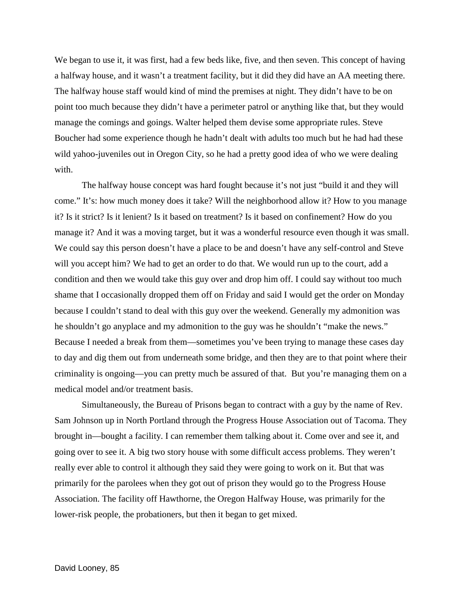We began to use it, it was first, had a few beds like, five, and then seven. This concept of having a halfway house, and it wasn't a treatment facility, but it did they did have an AA meeting there. The halfway house staff would kind of mind the premises at night. They didn't have to be on point too much because they didn't have a perimeter patrol or anything like that, but they would manage the comings and goings. Walter helped them devise some appropriate rules. Steve Boucher had some experience though he hadn't dealt with adults too much but he had had these wild yahoo-juveniles out in Oregon City, so he had a pretty good idea of who we were dealing with.

The halfway house concept was hard fought because it's not just "build it and they will come." It's: how much money does it take? Will the neighborhood allow it? How to you manage it? Is it strict? Is it lenient? Is it based on treatment? Is it based on confinement? How do you manage it? And it was a moving target, but it was a wonderful resource even though it was small. We could say this person doesn't have a place to be and doesn't have any self-control and Steve will you accept him? We had to get an order to do that. We would run up to the court, add a condition and then we would take this guy over and drop him off. I could say without too much shame that I occasionally dropped them off on Friday and said I would get the order on Monday because I couldn't stand to deal with this guy over the weekend. Generally my admonition was he shouldn't go anyplace and my admonition to the guy was he shouldn't "make the news." Because I needed a break from them—sometimes you've been trying to manage these cases day to day and dig them out from underneath some bridge, and then they are to that point where their criminality is ongoing—you can pretty much be assured of that. But you're managing them on a medical model and/or treatment basis.

Simultaneously, the Bureau of Prisons began to contract with a guy by the name of Rev. Sam Johnson up in North Portland through the Progress House Association out of Tacoma. They brought in—bought a facility. I can remember them talking about it. Come over and see it, and going over to see it. A big two story house with some difficult access problems. They weren't really ever able to control it although they said they were going to work on it. But that was primarily for the parolees when they got out of prison they would go to the Progress House Association. The facility off Hawthorne, the Oregon Halfway House, was primarily for the lower-risk people, the probationers, but then it began to get mixed.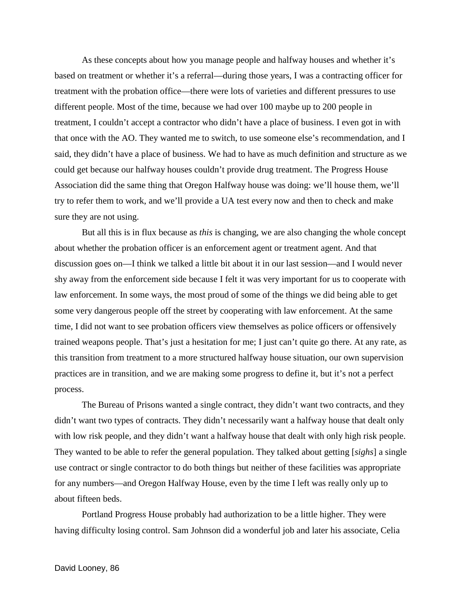As these concepts about how you manage people and halfway houses and whether it's based on treatment or whether it's a referral—during those years, I was a contracting officer for treatment with the probation office—there were lots of varieties and different pressures to use different people. Most of the time, because we had over 100 maybe up to 200 people in treatment, I couldn't accept a contractor who didn't have a place of business. I even got in with that once with the AO. They wanted me to switch, to use someone else's recommendation, and I said, they didn't have a place of business. We had to have as much definition and structure as we could get because our halfway houses couldn't provide drug treatment. The Progress House Association did the same thing that Oregon Halfway house was doing: we'll house them, we'll try to refer them to work, and we'll provide a UA test every now and then to check and make sure they are not using.

But all this is in flux because as *this* is changing, we are also changing the whole concept about whether the probation officer is an enforcement agent or treatment agent. And that discussion goes on—I think we talked a little bit about it in our last session—and I would never shy away from the enforcement side because I felt it was very important for us to cooperate with law enforcement. In some ways, the most proud of some of the things we did being able to get some very dangerous people off the street by cooperating with law enforcement. At the same time, I did not want to see probation officers view themselves as police officers or offensively trained weapons people. That's just a hesitation for me; I just can't quite go there. At any rate, as this transition from treatment to a more structured halfway house situation, our own supervision practices are in transition, and we are making some progress to define it, but it's not a perfect process.

The Bureau of Prisons wanted a single contract, they didn't want two contracts, and they didn't want two types of contracts. They didn't necessarily want a halfway house that dealt only with low risk people, and they didn't want a halfway house that dealt with only high risk people. They wanted to be able to refer the general population. They talked about getting [*sighs*] a single use contract or single contractor to do both things but neither of these facilities was appropriate for any numbers—and Oregon Halfway House, even by the time I left was really only up to about fifteen beds.

Portland Progress House probably had authorization to be a little higher. They were having difficulty losing control. Sam Johnson did a wonderful job and later his associate, Celia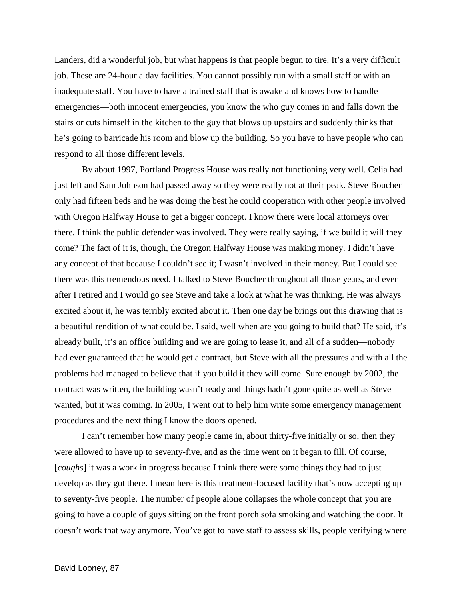Landers, did a wonderful job, but what happens is that people begun to tire. It's a very difficult job. These are 24-hour a day facilities. You cannot possibly run with a small staff or with an inadequate staff. You have to have a trained staff that is awake and knows how to handle emergencies—both innocent emergencies, you know the who guy comes in and falls down the stairs or cuts himself in the kitchen to the guy that blows up upstairs and suddenly thinks that he's going to barricade his room and blow up the building. So you have to have people who can respond to all those different levels.

By about 1997, Portland Progress House was really not functioning very well. Celia had just left and Sam Johnson had passed away so they were really not at their peak. Steve Boucher only had fifteen beds and he was doing the best he could cooperation with other people involved with Oregon Halfway House to get a bigger concept. I know there were local attorneys over there. I think the public defender was involved. They were really saying, if we build it will they come? The fact of it is, though, the Oregon Halfway House was making money. I didn't have any concept of that because I couldn't see it; I wasn't involved in their money. But I could see there was this tremendous need. I talked to Steve Boucher throughout all those years, and even after I retired and I would go see Steve and take a look at what he was thinking. He was always excited about it, he was terribly excited about it. Then one day he brings out this drawing that is a beautiful rendition of what could be. I said, well when are you going to build that? He said, it's already built, it's an office building and we are going to lease it, and all of a sudden—nobody had ever guaranteed that he would get a contract, but Steve with all the pressures and with all the problems had managed to believe that if you build it they will come. Sure enough by 2002, the contract was written, the building wasn't ready and things hadn't gone quite as well as Steve wanted, but it was coming. In 2005, I went out to help him write some emergency management procedures and the next thing I know the doors opened.

I can't remember how many people came in, about thirty-five initially or so, then they were allowed to have up to seventy-five, and as the time went on it began to fill. Of course, [*coughs*] it was a work in progress because I think there were some things they had to just develop as they got there. I mean here is this treatment-focused facility that's now accepting up to seventy-five people. The number of people alone collapses the whole concept that you are going to have a couple of guys sitting on the front porch sofa smoking and watching the door. It doesn't work that way anymore. You've got to have staff to assess skills, people verifying where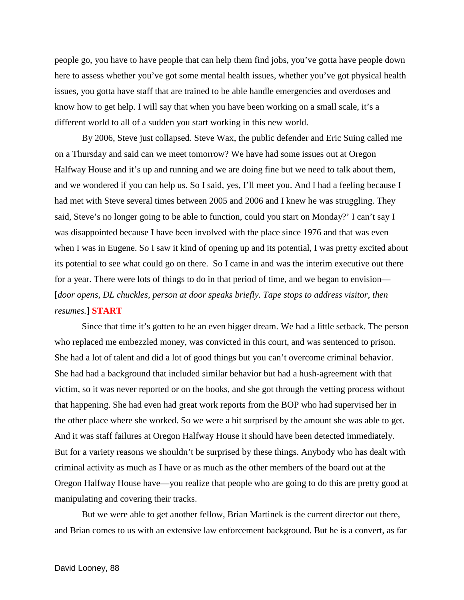people go, you have to have people that can help them find jobs, you've gotta have people down here to assess whether you've got some mental health issues, whether you've got physical health issues, you gotta have staff that are trained to be able handle emergencies and overdoses and know how to get help. I will say that when you have been working on a small scale, it's a different world to all of a sudden you start working in this new world.

By 2006, Steve just collapsed. Steve Wax, the public defender and Eric Suing called me on a Thursday and said can we meet tomorrow? We have had some issues out at Oregon Halfway House and it's up and running and we are doing fine but we need to talk about them, and we wondered if you can help us. So I said, yes, I'll meet you. And I had a feeling because I had met with Steve several times between 2005 and 2006 and I knew he was struggling. They said, Steve's no longer going to be able to function, could you start on Monday?' I can't say I was disappointed because I have been involved with the place since 1976 and that was even when I was in Eugene. So I saw it kind of opening up and its potential, I was pretty excited about its potential to see what could go on there. So I came in and was the interim executive out there for a year. There were lots of things to do in that period of time, and we began to envision— [*door opens, DL chuckles, person at door speaks briefly. Tape stops to address visitor, then resumes.*] **START**

Since that time it's gotten to be an even bigger dream. We had a little setback. The person who replaced me embezzled money, was convicted in this court, and was sentenced to prison. She had a lot of talent and did a lot of good things but you can't overcome criminal behavior. She had had a background that included similar behavior but had a hush-agreement with that victim, so it was never reported or on the books, and she got through the vetting process without that happening. She had even had great work reports from the BOP who had supervised her in the other place where she worked. So we were a bit surprised by the amount she was able to get. And it was staff failures at Oregon Halfway House it should have been detected immediately. But for a variety reasons we shouldn't be surprised by these things. Anybody who has dealt with criminal activity as much as I have or as much as the other members of the board out at the Oregon Halfway House have—you realize that people who are going to do this are pretty good at manipulating and covering their tracks.

But we were able to get another fellow, Brian Martinek is the current director out there, and Brian comes to us with an extensive law enforcement background. But he is a convert, as far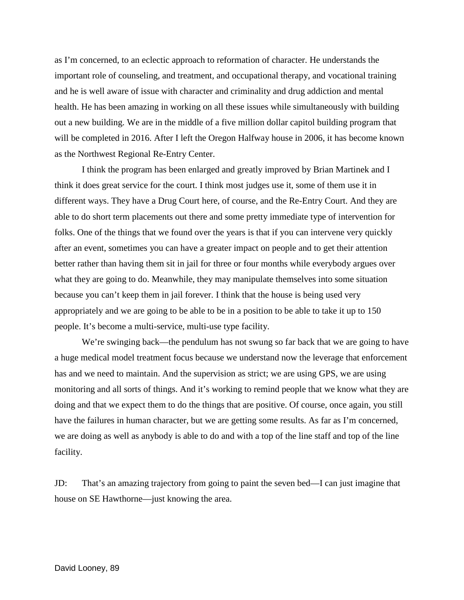as I'm concerned, to an eclectic approach to reformation of character. He understands the important role of counseling, and treatment, and occupational therapy, and vocational training and he is well aware of issue with character and criminality and drug addiction and mental health. He has been amazing in working on all these issues while simultaneously with building out a new building. We are in the middle of a five million dollar capitol building program that will be completed in 2016. After I left the Oregon Halfway house in 2006, it has become known as the Northwest Regional Re-Entry Center.

I think the program has been enlarged and greatly improved by Brian Martinek and I think it does great service for the court. I think most judges use it, some of them use it in different ways. They have a Drug Court here, of course, and the Re-Entry Court. And they are able to do short term placements out there and some pretty immediate type of intervention for folks. One of the things that we found over the years is that if you can intervene very quickly after an event, sometimes you can have a greater impact on people and to get their attention better rather than having them sit in jail for three or four months while everybody argues over what they are going to do. Meanwhile, they may manipulate themselves into some situation because you can't keep them in jail forever. I think that the house is being used very appropriately and we are going to be able to be in a position to be able to take it up to 150 people. It's become a multi-service, multi-use type facility.

We're swinging back—the pendulum has not swung so far back that we are going to have a huge medical model treatment focus because we understand now the leverage that enforcement has and we need to maintain. And the supervision as strict; we are using GPS, we are using monitoring and all sorts of things. And it's working to remind people that we know what they are doing and that we expect them to do the things that are positive. Of course, once again, you still have the failures in human character, but we are getting some results. As far as I'm concerned, we are doing as well as anybody is able to do and with a top of the line staff and top of the line facility.

JD: That's an amazing trajectory from going to paint the seven bed—I can just imagine that house on SE Hawthorne—just knowing the area.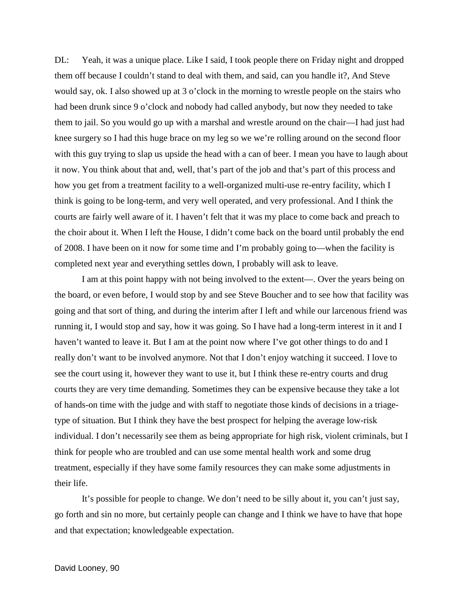DL: Yeah, it was a unique place. Like I said, I took people there on Friday night and dropped them off because I couldn't stand to deal with them, and said, can you handle it?, And Steve would say, ok. I also showed up at 3 o'clock in the morning to wrestle people on the stairs who had been drunk since 9 o'clock and nobody had called anybody, but now they needed to take them to jail. So you would go up with a marshal and wrestle around on the chair—I had just had knee surgery so I had this huge brace on my leg so we we're rolling around on the second floor with this guy trying to slap us upside the head with a can of beer. I mean you have to laugh about it now. You think about that and, well, that's part of the job and that's part of this process and how you get from a treatment facility to a well-organized multi-use re-entry facility, which I think is going to be long-term, and very well operated, and very professional. And I think the courts are fairly well aware of it. I haven't felt that it was my place to come back and preach to the choir about it. When I left the House, I didn't come back on the board until probably the end of 2008. I have been on it now for some time and I'm probably going to—when the facility is completed next year and everything settles down, I probably will ask to leave.

I am at this point happy with not being involved to the extent—. Over the years being on the board, or even before, I would stop by and see Steve Boucher and to see how that facility was going and that sort of thing, and during the interim after I left and while our larcenous friend was running it, I would stop and say, how it was going. So I have had a long-term interest in it and I haven't wanted to leave it. But I am at the point now where I've got other things to do and I really don't want to be involved anymore. Not that I don't enjoy watching it succeed. I love to see the court using it, however they want to use it, but I think these re-entry courts and drug courts they are very time demanding. Sometimes they can be expensive because they take a lot of hands-on time with the judge and with staff to negotiate those kinds of decisions in a triagetype of situation. But I think they have the best prospect for helping the average low-risk individual. I don't necessarily see them as being appropriate for high risk, violent criminals, but I think for people who are troubled and can use some mental health work and some drug treatment, especially if they have some family resources they can make some adjustments in their life.

It's possible for people to change. We don't need to be silly about it, you can't just say, go forth and sin no more, but certainly people can change and I think we have to have that hope and that expectation; knowledgeable expectation.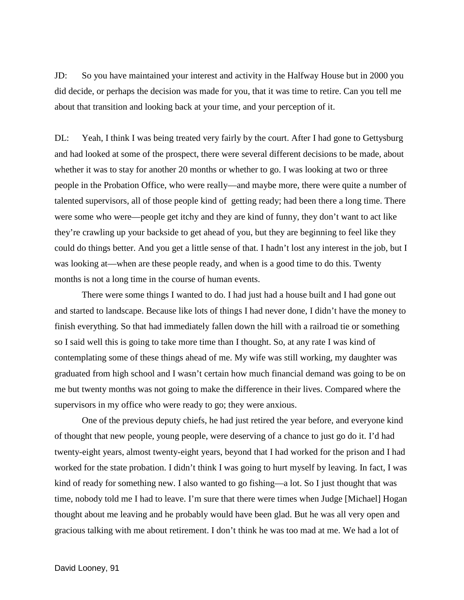JD: So you have maintained your interest and activity in the Halfway House but in 2000 you did decide, or perhaps the decision was made for you, that it was time to retire. Can you tell me about that transition and looking back at your time, and your perception of it.

DL: Yeah, I think I was being treated very fairly by the court. After I had gone to Gettysburg and had looked at some of the prospect, there were several different decisions to be made, about whether it was to stay for another 20 months or whether to go. I was looking at two or three people in the Probation Office, who were really—and maybe more, there were quite a number of talented supervisors, all of those people kind of getting ready; had been there a long time. There were some who were—people get itchy and they are kind of funny, they don't want to act like they're crawling up your backside to get ahead of you, but they are beginning to feel like they could do things better. And you get a little sense of that. I hadn't lost any interest in the job, but I was looking at—when are these people ready, and when is a good time to do this. Twenty months is not a long time in the course of human events.

There were some things I wanted to do. I had just had a house built and I had gone out and started to landscape. Because like lots of things I had never done, I didn't have the money to finish everything. So that had immediately fallen down the hill with a railroad tie or something so I said well this is going to take more time than I thought. So, at any rate I was kind of contemplating some of these things ahead of me. My wife was still working, my daughter was graduated from high school and I wasn't certain how much financial demand was going to be on me but twenty months was not going to make the difference in their lives. Compared where the supervisors in my office who were ready to go; they were anxious.

One of the previous deputy chiefs, he had just retired the year before, and everyone kind of thought that new people, young people, were deserving of a chance to just go do it. I'd had twenty-eight years, almost twenty-eight years, beyond that I had worked for the prison and I had worked for the state probation. I didn't think I was going to hurt myself by leaving. In fact, I was kind of ready for something new. I also wanted to go fishing—a lot. So I just thought that was time, nobody told me I had to leave. I'm sure that there were times when Judge [Michael] Hogan thought about me leaving and he probably would have been glad. But he was all very open and gracious talking with me about retirement. I don't think he was too mad at me. We had a lot of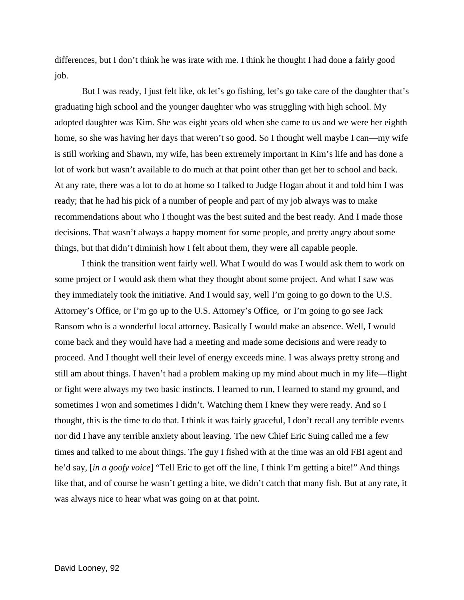differences, but I don't think he was irate with me. I think he thought I had done a fairly good job.

But I was ready, I just felt like, ok let's go fishing, let's go take care of the daughter that's graduating high school and the younger daughter who was struggling with high school. My adopted daughter was Kim. She was eight years old when she came to us and we were her eighth home, so she was having her days that weren't so good. So I thought well maybe I can—my wife is still working and Shawn, my wife, has been extremely important in Kim's life and has done a lot of work but wasn't available to do much at that point other than get her to school and back. At any rate, there was a lot to do at home so I talked to Judge Hogan about it and told him I was ready; that he had his pick of a number of people and part of my job always was to make recommendations about who I thought was the best suited and the best ready. And I made those decisions. That wasn't always a happy moment for some people, and pretty angry about some things, but that didn't diminish how I felt about them, they were all capable people.

I think the transition went fairly well. What I would do was I would ask them to work on some project or I would ask them what they thought about some project. And what I saw was they immediately took the initiative. And I would say, well I'm going to go down to the U.S. Attorney's Office, or I'm go up to the U.S. Attorney's Office, or I'm going to go see Jack Ransom who is a wonderful local attorney. Basically I would make an absence. Well, I would come back and they would have had a meeting and made some decisions and were ready to proceed. And I thought well their level of energy exceeds mine. I was always pretty strong and still am about things. I haven't had a problem making up my mind about much in my life—flight or fight were always my two basic instincts. I learned to run, I learned to stand my ground, and sometimes I won and sometimes I didn't. Watching them I knew they were ready. And so I thought, this is the time to do that. I think it was fairly graceful, I don't recall any terrible events nor did I have any terrible anxiety about leaving. The new Chief Eric Suing called me a few times and talked to me about things. The guy I fished with at the time was an old FBI agent and he'd say, [*in a goofy voice*] "Tell Eric to get off the line, I think I'm getting a bite!" And things like that, and of course he wasn't getting a bite, we didn't catch that many fish. But at any rate, it was always nice to hear what was going on at that point.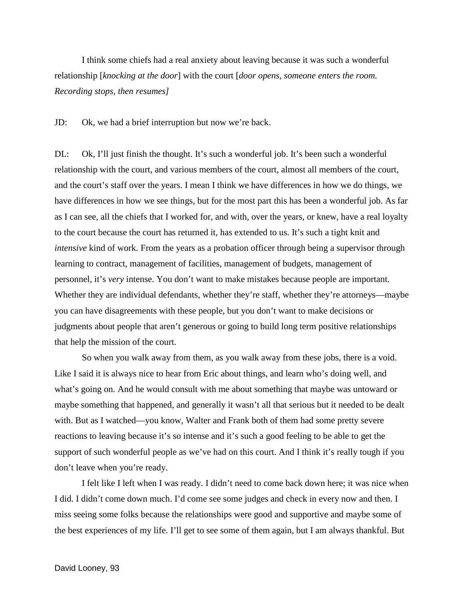I think some chiefs had a real anxiety about leaving because it was such a wonderful relationship [*knocking at the door*] with the court [*door opens, someone enters the room. Recording stops, then resumes]*

JD: Ok, we had a brief interruption but now we're back.

DL: Ok, I'll just finish the thought. It's such a wonderful job. It's been such a wonderful relationship with the court, and various members of the court, almost all members of the court, and the court's staff over the years. I mean I think we have differences in how we do things, we have differences in how we see things, but for the most part this has been a wonderful job. As far as I can see, all the chiefs that I worked for, and with, over the years, or knew, have a real loyalty to the court because the court has returned it, has extended to us. It's such a tight knit and *intensive* kind of work. From the years as a probation officer through being a supervisor through learning to contract, management of facilities, management of budgets, management of personnel, it's *very* intense. You don't want to make mistakes because people are important. Whether they are individual defendants, whether they're staff, whether they're attorneys—maybe you can have disagreements with these people, but you don't want to make decisions or judgments about people that aren't generous or going to build long term positive relationships that help the mission of the court.

So when you walk away from them, as you walk away from these jobs, there is a void. Like I said it is always nice to hear from Eric about things, and learn who's doing well, and what's going on. And he would consult with me about something that maybe was untoward or maybe something that happened, and generally it wasn't all that serious but it needed to be dealt with. But as I watched—you know, Walter and Frank both of them had some pretty severe reactions to leaving because it's so intense and it's such a good feeling to be able to get the support of such wonderful people as we've had on this court. And I think it's really tough if you don't leave when you're ready.

I felt like I left when I was ready. I didn't need to come back down here; it was nice when I did. I didn't come down much. I'd come see some judges and check in every now and then. I miss seeing some folks because the relationships were good and supportive and maybe some of the best experiences of my life. I'll get to see some of them again, but I am always thankful. But